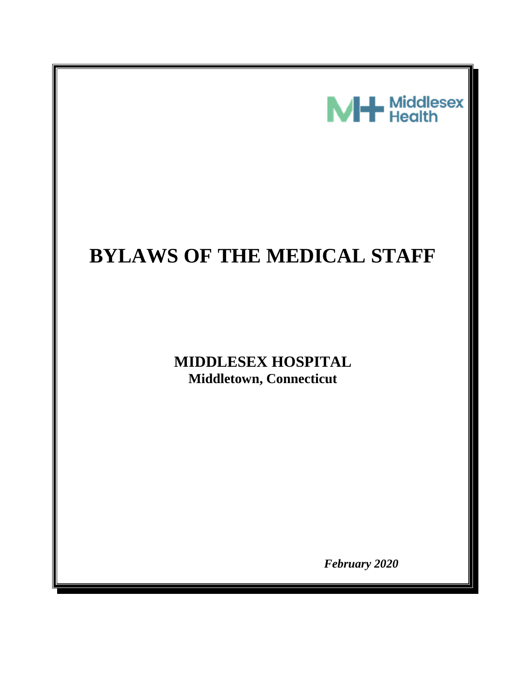

# **BYLAWS OF THE MEDICAL STAFF**

# **MIDDLESEX HOSPITAL Middletown, Connecticut**

*February 2020*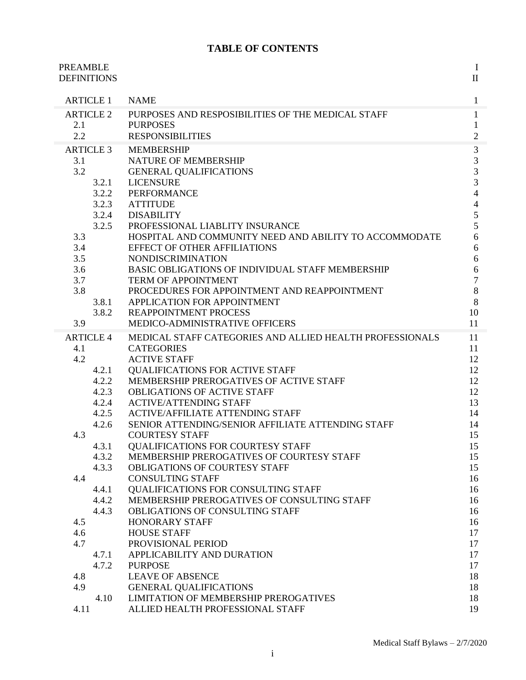# **TABLE OF CONTENTS**

| <b>PREAMBLE</b><br><b>DEFINITIONS</b> |                                                                                                 | $\bf{I}$<br>$\mathbf{I}$                       |
|---------------------------------------|-------------------------------------------------------------------------------------------------|------------------------------------------------|
| <b>ARTICLE 1</b>                      | <b>NAME</b>                                                                                     | $\mathbf{1}$                                   |
| <b>ARTICLE 2</b><br>2.1<br>2.2        | PURPOSES AND RESPOSIBILITIES OF THE MEDICAL STAFF<br><b>PURPOSES</b><br><b>RESPONSIBILITIES</b> | $\mathbf{1}$<br>$\mathbf{1}$<br>$\overline{2}$ |
| <b>ARTICLE 3</b>                      | <b>MEMBERSHIP</b>                                                                               | 3                                              |
| 3.1                                   | NATURE OF MEMBERSHIP                                                                            | 3                                              |
| 3.2                                   | <b>GENERAL QUALIFICATIONS</b>                                                                   | 3                                              |
| 3.2.1                                 | <b>LICENSURE</b>                                                                                | $\overline{3}$                                 |
| 3.2.2                                 | <b>PERFORMANCE</b>                                                                              | $\overline{4}$                                 |
| 3.2.3                                 | <b>ATTITUDE</b>                                                                                 | $\overline{4}$                                 |
| 3.2.4                                 | <b>DISABILITY</b>                                                                               | 5                                              |
| 3.2.5                                 | PROFESSIONAL LIABLITY INSURANCE                                                                 | 5                                              |
| 3.3                                   | HOSPITAL AND COMMUNITY NEED AND ABILITY TO ACCOMMODATE                                          | 6                                              |
| 3.4<br>3.5                            | <b>EFFECT OF OTHER AFFILIATIONS</b><br><b>NONDISCRIMINATION</b>                                 | 6                                              |
| 3.6                                   | BASIC OBLIGATIONS OF INDIVIDUAL STAFF MEMBERSHIP                                                | 6<br>6                                         |
| 3.7                                   | TERM OF APPOINTMENT                                                                             | $\overline{7}$                                 |
| 3.8                                   | PROCEDURES FOR APPOINTMENT AND REAPPOINTMENT                                                    | 8                                              |
| 3.8.1                                 | APPLICATION FOR APPOINTMENT                                                                     | 8                                              |
| 3.8.2                                 | <b>REAPPOINTMENT PROCESS</b>                                                                    | 10                                             |
| 3.9                                   | MEDICO-ADMINISTRATIVE OFFICERS                                                                  | 11                                             |
| <b>ARTICLE 4</b>                      | MEDICAL STAFF CATEGORIES AND ALLIED HEALTH PROFESSIONALS                                        | 11                                             |
| 4.1                                   | <b>CATEGORIES</b>                                                                               | 11                                             |
| 4.2                                   | <b>ACTIVE STAFF</b>                                                                             | 12                                             |
| 4.2.1                                 | <b>QUALIFICATIONS FOR ACTIVE STAFF</b>                                                          | 12                                             |
| 4.2.2                                 | MEMBERSHIP PREROGATIVES OF ACTIVE STAFF                                                         | 12                                             |
| 4.2.3                                 | <b>OBLIGATIONS OF ACTIVE STAFF</b><br><b>ACTIVE/ATTENDING STAFF</b>                             | 12<br>13                                       |
| 4.2.4<br>4.2.5                        | <b>ACTIVE/AFFILIATE ATTENDING STAFF</b>                                                         | 14                                             |
| 4.2.6                                 | SENIOR ATTENDING/SENIOR AFFILIATE ATTENDING STAFF                                               | 14                                             |
| 4.3                                   | <b>COURTESY STAFF</b>                                                                           | 15                                             |
| 4.3.1                                 | <b>OUALIFICATIONS FOR COURTESY STAFF</b>                                                        | 15                                             |
| 4.3.2                                 | MEMBERSHIP PREROGATIVES OF COURTESY STAFF                                                       | 15                                             |
| 4.3.3                                 | OBLIGATIONS OF COURTESY STAFF                                                                   | 15                                             |
| 4.4                                   | <b>CONSULTING STAFF</b>                                                                         | 16                                             |
| 4.4.1                                 | QUALIFICATIONS FOR CONSULTING STAFF                                                             | 16                                             |
| 4.4.2                                 | MEMBERSHIP PREROGATIVES OF CONSULTING STAFF                                                     | 16                                             |
| 4.4.3                                 | OBLIGATIONS OF CONSULTING STAFF                                                                 | 16                                             |
| 4.5<br>4.6                            | <b>HONORARY STAFF</b><br><b>HOUSE STAFF</b>                                                     | 16<br>17                                       |
| 4.7                                   | PROVISIONAL PERIOD                                                                              | 17                                             |
| 4.7.1                                 | APPLICABILITY AND DURATION                                                                      | 17                                             |
| 4.7.2                                 | <b>PURPOSE</b>                                                                                  | 17                                             |
| 4.8                                   | <b>LEAVE OF ABSENCE</b>                                                                         | 18                                             |
| 4.9                                   | <b>GENERAL QUALIFICATIONS</b>                                                                   | 18                                             |
| 4.10                                  | <b>LIMITATION OF MEMBERSHIP PREROGATIVES</b>                                                    | 18                                             |
| 4.11                                  | ALLIED HEALTH PROFESSIONAL STAFF                                                                | 19                                             |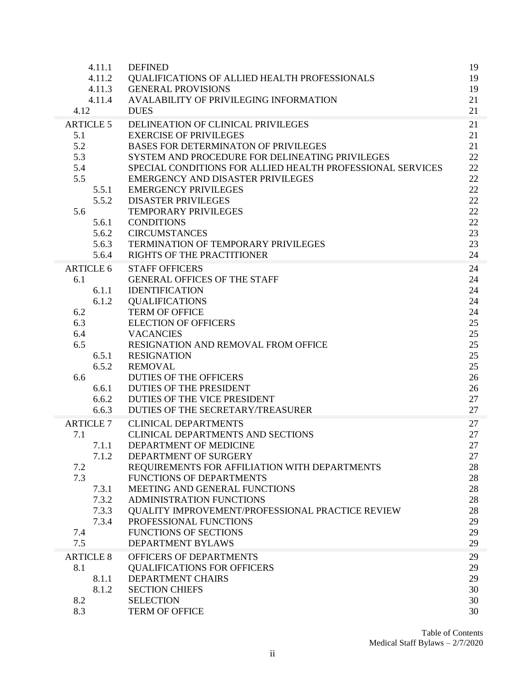| 4.11.1           | <b>DEFINED</b>                                             | 19 |
|------------------|------------------------------------------------------------|----|
| 4.11.2           | <b>OUALIFICATIONS OF ALLIED HEALTH PROFESSIONALS</b>       | 19 |
| 4.11.3           | <b>GENERAL PROVISIONS</b>                                  | 19 |
| 4.11.4           | AVALABILITY OF PRIVILEGING INFORMATION                     | 21 |
| 4.12             | <b>DUES</b>                                                | 21 |
| <b>ARTICLE 5</b> | DELINEATION OF CLINICAL PRIVILEGES                         | 21 |
| 5.1              | <b>EXERCISE OF PRIVILEGES</b>                              | 21 |
| 5.2              | <b>BASES FOR DETERMINATON OF PRIVILEGES</b>                | 21 |
| 5.3              | SYSTEM AND PROCEDURE FOR DELINEATING PRIVILEGES            | 22 |
| 5.4              | SPECIAL CONDITIONS FOR ALLIED HEALTH PROFESSIONAL SERVICES | 22 |
| 5.5              | <b>EMERGENCY AND DISASTER PRIVILEGES</b>                   | 22 |
| 5.5.1            | <b>EMERGENCY PRIVILEGES</b>                                | 22 |
| 5.5.2            | <b>DISASTER PRIVILEGES</b>                                 | 22 |
| 5.6              | <b>TEMPORARY PRIVILEGES</b>                                | 22 |
| 5.6.1            | <b>CONDITIONS</b>                                          | 22 |
| 5.6.2            | <b>CIRCUMSTANCES</b>                                       | 23 |
| 5.6.3            | TERMINATION OF TEMPORARY PRIVILEGES                        | 23 |
| 5.6.4            | RIGHTS OF THE PRACTITIONER                                 | 24 |
| <b>ARTICLE 6</b> | <b>STAFF OFFICERS</b>                                      | 24 |
| 6.1              | <b>GENERAL OFFICES OF THE STAFF</b>                        | 24 |
| 6.1.1            | <b>IDENTIFICATION</b>                                      | 24 |
| 6.1.2            | <b>QUALIFICATIONS</b>                                      | 24 |
| 6.2              | <b>TERM OF OFFICE</b>                                      | 24 |
| 6.3              | <b>ELECTION OF OFFICERS</b>                                | 25 |
| 6.4              | <b>VACANCIES</b>                                           | 25 |
| 6.5              | RESIGNATION AND REMOVAL FROM OFFICE                        | 25 |
| 6.5.1            | <b>RESIGNATION</b>                                         | 25 |
| 6.5.2            | <b>REMOVAL</b>                                             | 25 |
| 6.6              | <b>DUTIES OF THE OFFICERS</b>                              | 26 |
| 6.6.1            | <b>DUTIES OF THE PRESIDENT</b>                             | 26 |
| 6.6.2            | DUTIES OF THE VICE PRESIDENT                               | 27 |
| 6.6.3            | DUTIES OF THE SECRETARY/TREASURER                          | 27 |
| <b>ARTICLE 7</b> | <b>CLINICAL DEPARTMENTS</b>                                | 27 |
| 7.1              | <b>CLINICAL DEPARTMENTS AND SECTIONS</b>                   | 27 |
| 7.1.1            | DEPARTMENT OF MEDICINE                                     | 27 |
| 7.1.2            | DEPARTMENT OF SURGERY                                      | 27 |
| 7.2              | REQUIREMENTS FOR AFFILIATION WITH DEPARTMENTS              | 28 |
| 7.3              | FUNCTIONS OF DEPARTMENTS                                   | 28 |
| 7.3.1            | MEETING AND GENERAL FUNCTIONS                              | 28 |
| 7.3.2            | ADMINISTRATION FUNCTIONS                                   | 28 |
| 7.3.3            | QUALITY IMPROVEMENT/PROFESSIONAL PRACTICE REVIEW           | 28 |
| 7.3.4            | PROFESSIONAL FUNCTIONS                                     | 29 |
| 7.4              | <b>FUNCTIONS OF SECTIONS</b>                               | 29 |
| 7.5              | <b>DEPARTMENT BYLAWS</b>                                   | 29 |
| <b>ARTICLE 8</b> | OFFICERS OF DEPARTMENTS                                    | 29 |
| 8.1              | <b>QUALIFICATIONS FOR OFFICERS</b>                         | 29 |
| 8.1.1            | DEPARTMENT CHAIRS                                          | 29 |
| 8.1.2            | <b>SECTION CHIEFS</b>                                      | 30 |
| 8.2              | <b>SELECTION</b>                                           | 30 |
| 8.3              | <b>TERM OF OFFICE</b>                                      | 30 |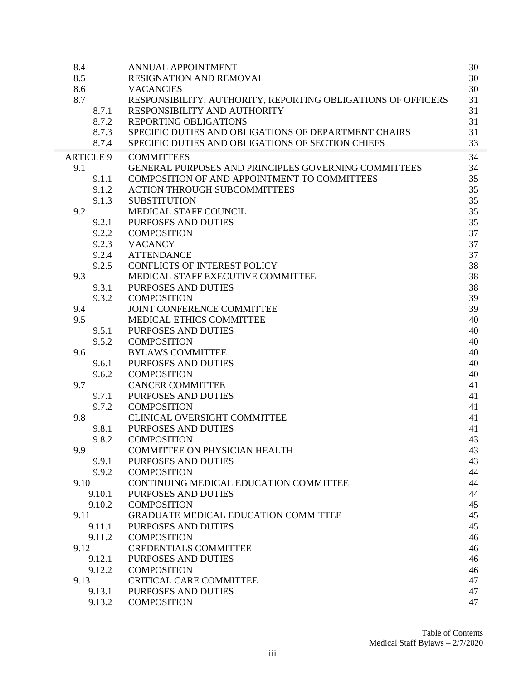| 8.4<br>8.5 |                  | <b>ANNUAL APPOINTMENT</b><br><b>RESIGNATION AND REMOVAL</b>  | 30<br>30 |
|------------|------------------|--------------------------------------------------------------|----------|
| 8.6        |                  | <b>VACANCIES</b>                                             | 30       |
| 8.7        |                  | RESPONSIBILITY, AUTHORITY, REPORTING OBLIGATIONS OF OFFICERS | 31       |
|            | 8.7.1            | RESPONSIBILITY AND AUTHORITY                                 | 31       |
|            | 8.7.2            | REPORTING OBLIGATIONS                                        | 31       |
|            | 8.7.3            | SPECIFIC DUTIES AND OBLIGATIONS OF DEPARTMENT CHAIRS         | 31       |
|            | 8.7.4            | SPECIFIC DUTIES AND OBLIGATIONS OF SECTION CHIEFS            | 33       |
|            | <b>ARTICLE 9</b> | <b>COMMITTEES</b>                                            | 34       |
| 9.1        |                  | <b>GENERAL PURPOSES AND PRINCIPLES GOVERNING COMMITTEES</b>  | 34       |
|            | 9.1.1            | COMPOSITION OF AND APPOINTMENT TO COMMITTEES                 | 35       |
|            | 9.1.2            | <b>ACTION THROUGH SUBCOMMITTEES</b>                          | 35       |
|            | 9.1.3            | <b>SUBSTITUTION</b>                                          | 35       |
| 9.2        |                  | MEDICAL STAFF COUNCIL                                        | 35       |
|            | 9.2.1            | PURPOSES AND DUTIES                                          | 35       |
|            | 9.2.2            | <b>COMPOSITION</b>                                           | 37       |
|            | 9.2.3            | <b>VACANCY</b>                                               | 37       |
|            | 9.2.4            | <b>ATTENDANCE</b>                                            | 37       |
|            | 9.2.5            | <b>CONFLICTS OF INTEREST POLICY</b>                          | 38       |
| 9.3        |                  | MEDICAL STAFF EXECUTIVE COMMITTEE                            | 38       |
|            | 9.3.1            | PURPOSES AND DUTIES                                          | 38       |
|            | 9.3.2            | <b>COMPOSITION</b>                                           | 39       |
| 9.4        |                  | JOINT CONFERENCE COMMITTEE                                   | 39       |
| 9.5        |                  | MEDICAL ETHICS COMMITTEE                                     | 40       |
|            | 9.5.1            | PURPOSES AND DUTIES                                          | 40       |
|            | 9.5.2            | <b>COMPOSITION</b>                                           | 40       |
| 9.6        |                  | <b>BYLAWS COMMITTEE</b>                                      | 40       |
|            | 9.6.1            | PURPOSES AND DUTIES                                          | 40       |
|            | 9.6.2            | <b>COMPOSITION</b>                                           | 40       |
| 9.7        |                  | <b>CANCER COMMITTEE</b>                                      | 41       |
|            | 9.7.1            | <b>PURPOSES AND DUTIES</b>                                   | 41       |
|            | 9.7.2            | <b>COMPOSITION</b>                                           | 41       |
| 9.8        |                  | <b>CLINICAL OVERSIGHT COMMITTEE</b>                          | 41       |
|            | 9.8.1            | PURPOSES AND DUTIES                                          | 41       |
|            | 9.8.2            | <b>COMPOSITION</b>                                           | 43       |
| 9.9        |                  | <b>COMMITTEE ON PHYSICIAN HEALTH</b>                         | 43       |
|            | 9.9.1            | PURPOSES AND DUTIES                                          | 43       |
|            | 9.9.2            | <b>COMPOSITION</b>                                           | 44       |
| 9.10       |                  | CONTINUING MEDICAL EDUCATION COMMITTEE                       | 44       |
|            | 9.10.1           | PURPOSES AND DUTIES                                          | 44       |
|            | 9.10.2           | <b>COMPOSITION</b>                                           | 45       |
| 9.11       |                  | <b>GRADUATE MEDICAL EDUCATION COMMITTEE</b>                  | 45       |
|            | 9.11.1           | PURPOSES AND DUTIES                                          | 45       |
|            | 9.11.2           | <b>COMPOSITION</b>                                           | 46       |
| 9.12       |                  | <b>CREDENTIALS COMMITTEE</b>                                 | 46       |
|            | 9.12.1           | PURPOSES AND DUTIES                                          | 46       |
|            | 9.12.2           | <b>COMPOSITION</b>                                           | 46       |
| 9.13       |                  | <b>CRITICAL CARE COMMITTEE</b>                               | 47       |
|            | 9.13.1           | PURPOSES AND DUTIES                                          | 47       |
|            | 9.13.2           | <b>COMPOSITION</b>                                           | 47       |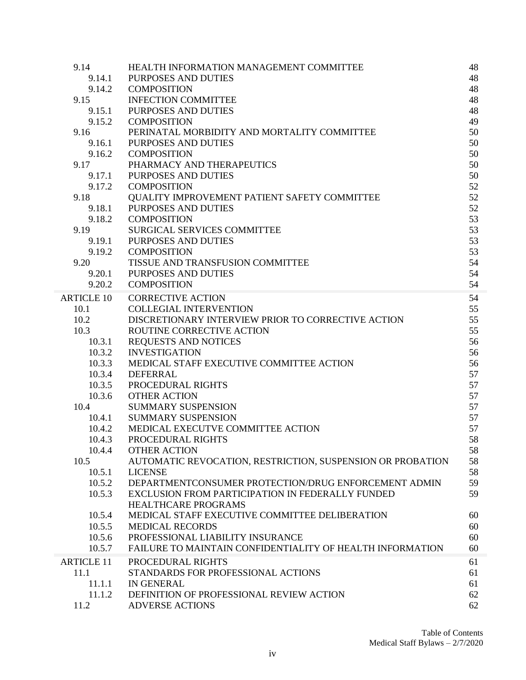| 9.14              | HEALTH INFORMATION MANAGEMENT COMMITTEE                    | 48 |
|-------------------|------------------------------------------------------------|----|
| 9.14.1            | <b>PURPOSES AND DUTIES</b>                                 | 48 |
| 9.14.2            | <b>COMPOSITION</b>                                         | 48 |
| 9.15              | <b>INFECTION COMMITTEE</b>                                 | 48 |
| 9.15.1            | PURPOSES AND DUTIES                                        | 48 |
| 9.15.2            | <b>COMPOSITION</b>                                         | 49 |
| 9.16              | PERINATAL MORBIDITY AND MORTALITY COMMITTEE                | 50 |
| 9.16.1            | PURPOSES AND DUTIES                                        | 50 |
| 9.16.2            | <b>COMPOSITION</b>                                         | 50 |
| 9.17              | PHARMACY AND THERAPEUTICS                                  | 50 |
| 9.17.1            | <b>PURPOSES AND DUTIES</b>                                 | 50 |
| 9.17.2            | <b>COMPOSITION</b>                                         | 52 |
| 9.18              | QUALITY IMPROVEMENT PATIENT SAFETY COMMITTEE               | 52 |
| 9.18.1            | PURPOSES AND DUTIES                                        | 52 |
| 9.18.2            | <b>COMPOSITION</b>                                         | 53 |
| 9.19              | <b>SURGICAL SERVICES COMMITTEE</b>                         | 53 |
| 9.19.1            | PURPOSES AND DUTIES                                        | 53 |
| 9.19.2            | <b>COMPOSITION</b>                                         | 53 |
| 9.20              | TISSUE AND TRANSFUSION COMMITTEE                           | 54 |
| 9.20.1            | PURPOSES AND DUTIES                                        | 54 |
| 9.20.2            | <b>COMPOSITION</b>                                         | 54 |
| <b>ARTICLE 10</b> | <b>CORRECTIVE ACTION</b>                                   | 54 |
| 10.1              | <b>COLLEGIAL INTERVENTION</b>                              | 55 |
| 10.2              | DISCRETIONARY INTERVIEW PRIOR TO CORRECTIVE ACTION         | 55 |
| 10.3              | ROUTINE CORRECTIVE ACTION                                  | 55 |
| 10.3.1            | <b>REQUESTS AND NOTICES</b>                                | 56 |
| 10.3.2            | <b>INVESTIGATION</b>                                       | 56 |
| 10.3.3            | MEDICAL STAFF EXECUTIVE COMMITTEE ACTION                   | 56 |
| 10.3.4            | <b>DEFERRAL</b>                                            | 57 |
| 10.3.5            | PROCEDURAL RIGHTS                                          | 57 |
| 10.3.6            | <b>OTHER ACTION</b>                                        | 57 |
| 10.4              | <b>SUMMARY SUSPENSION</b>                                  | 57 |
| 10.4.1            | <b>SUMMARY SUSPENSION</b>                                  | 57 |
| 10.4.2            | MEDICAL EXECUTVE COMMITTEE ACTION                          | 57 |
| 10.4.3            | PROCEDURAL RIGHTS                                          | 58 |
| 10.4.4            | <b>OTHER ACTION</b>                                        | 58 |
| 10.5              | AUTOMATIC REVOCATION, RESTRICTION, SUSPENSION OR PROBATION | 58 |
| 10.5.1            | <b>LICENSE</b>                                             | 58 |
| 10.5.2            | DEPARTMENTCONSUMER PROTECTION/DRUG ENFORCEMENT ADMIN       | 59 |
| 10.5.3            | EXCLUSION FROM PARTICIPATION IN FEDERALLY FUNDED           | 59 |
|                   | <b>HEALTHCARE PROGRAMS</b>                                 |    |
| 10.5.4            | MEDICAL STAFF EXECUTIVE COMMITTEE DELIBERATION             | 60 |
| 10.5.5            | <b>MEDICAL RECORDS</b>                                     | 60 |
| 10.5.6            | PROFESSIONAL LIABILITY INSURANCE                           | 60 |
| 10.5.7            | FAILURE TO MAINTAIN CONFIDENTIALITY OF HEALTH INFORMATION  | 60 |
| <b>ARTICLE 11</b> | PROCEDURAL RIGHTS                                          | 61 |
| 11.1              | STANDARDS FOR PROFESSIONAL ACTIONS                         | 61 |
| 11.1.1            | <b>IN GENERAL</b>                                          | 61 |
| 11.1.2            | DEFINITION OF PROFESSIONAL REVIEW ACTION                   | 62 |
| 11.2              | <b>ADVERSE ACTIONS</b>                                     | 62 |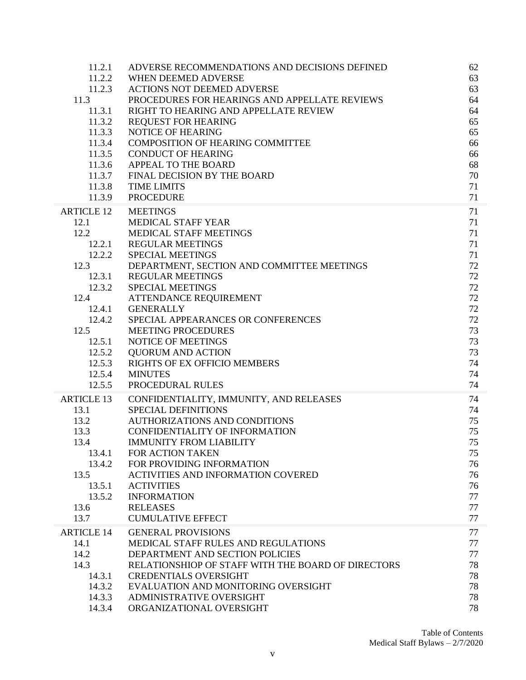| 11.2.1            | ADVERSE RECOMMENDATIONS AND DECISIONS DEFINED      | 62 |
|-------------------|----------------------------------------------------|----|
| 11.2.2            | WHEN DEEMED ADVERSE                                | 63 |
| 11.2.3            | <b>ACTIONS NOT DEEMED ADVERSE</b>                  | 63 |
| 11.3              | PROCEDURES FOR HEARINGS AND APPELLATE REVIEWS      | 64 |
| 11.3.1            | RIGHT TO HEARING AND APPELLATE REVIEW              | 64 |
| 11.3.2            | <b>REQUEST FOR HEARING</b>                         | 65 |
| 11.3.3            | NOTICE OF HEARING                                  | 65 |
| 11.3.4            | <b>COMPOSITION OF HEARING COMMITTEE</b>            | 66 |
| 11.3.5            | <b>CONDUCT OF HEARING</b>                          | 66 |
| 11.3.6            | APPEAL TO THE BOARD                                | 68 |
| 11.3.7            | FINAL DECISION BY THE BOARD                        | 70 |
| 11.3.8            | <b>TIME LIMITS</b>                                 | 71 |
| 11.3.9            | <b>PROCEDURE</b>                                   | 71 |
| <b>ARTICLE 12</b> | <b>MEETINGS</b>                                    | 71 |
| 12.1              | MEDICAL STAFF YEAR                                 | 71 |
| 12.2              | <b>MEDICAL STAFF MEETINGS</b>                      | 71 |
| 12.2.1            | <b>REGULAR MEETINGS</b>                            | 71 |
| 12.2.2            | <b>SPECIAL MEETINGS</b>                            | 71 |
| 12.3              | DEPARTMENT, SECTION AND COMMITTEE MEETINGS         | 72 |
| 12.3.1            | <b>REGULAR MEETINGS</b>                            | 72 |
| 12.3.2            | <b>SPECIAL MEETINGS</b>                            | 72 |
| 12.4              | ATTENDANCE REQUIREMENT                             | 72 |
| 12.4.1            | <b>GENERALLY</b>                                   | 72 |
| 12.4.2            | SPECIAL APPEARANCES OR CONFERENCES                 | 72 |
| 12.5              | <b>MEETING PROCEDURES</b>                          | 73 |
| 12.5.1            | NOTICE OF MEETINGS                                 | 73 |
| 12.5.2            | <b>QUORUM AND ACTION</b>                           | 73 |
| 12.5.3            | RIGHTS OF EX OFFICIO MEMBERS                       | 74 |
| 12.5.4            | <b>MINUTES</b>                                     | 74 |
| 12.5.5            | PROCEDURAL RULES                                   | 74 |
| <b>ARTICLE 13</b> | CONFIDENTIALITY, IMMUNITY, AND RELEASES            | 74 |
| 13.1              | <b>SPECIAL DEFINITIONS</b>                         | 74 |
| 13.2              | <b>AUTHORIZATIONS AND CONDITIONS</b>               | 75 |
| 13.3              | CONFIDENTIALITY OF INFORMATION                     | 75 |
| 13.4              | <b>IMMUNITY FROM LIABILITY</b>                     | 75 |
| 13.4.1            | FOR ACTION TAKEN                                   | 75 |
| 13.4.2            | FOR PROVIDING INFORMATION                          | 76 |
| 13.5              | <b>ACTIVITIES AND INFORMATION COVERED</b>          | 76 |
| 13.5.1            | <b>ACTIVITIES</b>                                  | 76 |
| 13.5.2            | <b>INFORMATION</b>                                 | 77 |
| 13.6              | <b>RELEASES</b>                                    | 77 |
| 13.7              | <b>CUMULATIVE EFFECT</b>                           | 77 |
| <b>ARTICLE 14</b> | <b>GENERAL PROVISIONS</b>                          | 77 |
| 14.1              | <b>MEDICAL STAFF RULES AND REGULATIONS</b>         | 77 |
| 14.2              | DEPARTMENT AND SECTION POLICIES                    | 77 |
| 14.3              | RELATIONSHIOP OF STAFF WITH THE BOARD OF DIRECTORS | 78 |
| 14.3.1            | <b>CREDENTIALS OVERSIGHT</b>                       | 78 |
| 14.3.2            | EVALUATION AND MONITORING OVERSIGHT                | 78 |
| 14.3.3            | ADMINISTRATIVE OVERSIGHT                           | 78 |
| 14.3.4            | ORGANIZATIONAL OVERSIGHT                           | 78 |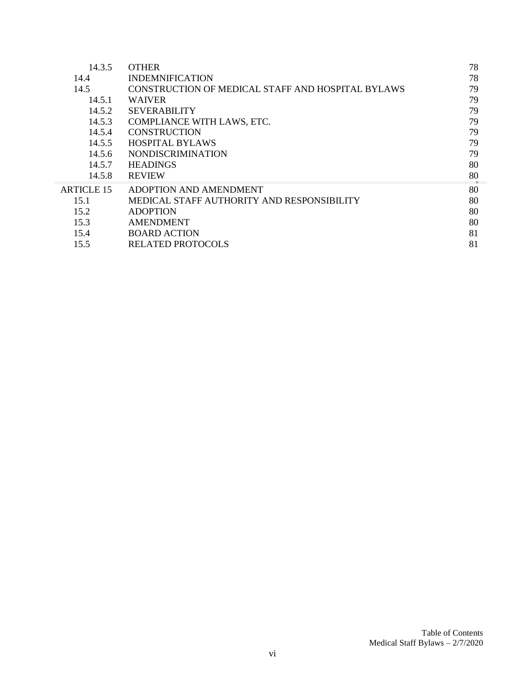| <b>OTHER</b>                                      | 78 |
|---------------------------------------------------|----|
| <b>INDEMNIFICATION</b>                            | 78 |
| CONSTRUCTION OF MEDICAL STAFF AND HOSPITAL BYLAWS | 79 |
| <b>WAIVER</b>                                     | 79 |
| <b>SEVERABILITY</b>                               | 79 |
| COMPLIANCE WITH LAWS, ETC.                        | 79 |
| <b>CONSTRUCTION</b>                               | 79 |
| <b>HOSPITAL BYLAWS</b>                            | 79 |
| <b>NONDISCRIMINATION</b>                          | 79 |
| <b>HEADINGS</b>                                   | 80 |
| <b>REVIEW</b>                                     | 80 |
| ADOPTION AND AMENDMENT                            | 80 |
| MEDICAL STAFF AUTHORITY AND RESPONSIBILITY        | 80 |
| <b>ADOPTION</b>                                   | 80 |
| <b>AMENDMENT</b>                                  | 80 |
| <b>BOARD ACTION</b>                               | 81 |
| <b>RELATED PROTOCOLS</b>                          | 81 |
|                                                   |    |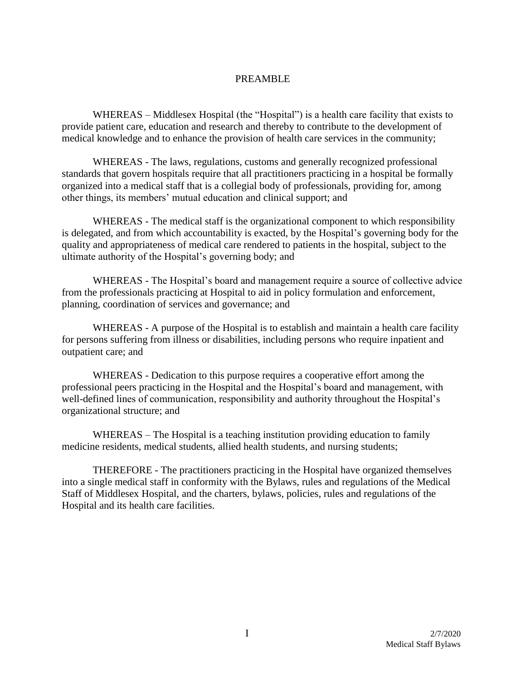#### PREAMBLE

WHEREAS – Middlesex Hospital (the "Hospital") is a health care facility that exists to provide patient care, education and research and thereby to contribute to the development of medical knowledge and to enhance the provision of health care services in the community;

WHEREAS - The laws, regulations, customs and generally recognized professional standards that govern hospitals require that all practitioners practicing in a hospital be formally organized into a medical staff that is a collegial body of professionals, providing for, among other things, its members' mutual education and clinical support; and

WHEREAS - The medical staff is the organizational component to which responsibility is delegated, and from which accountability is exacted, by the Hospital's governing body for the quality and appropriateness of medical care rendered to patients in the hospital, subject to the ultimate authority of the Hospital's governing body; and

WHEREAS - The Hospital's board and management require a source of collective advice from the professionals practicing at Hospital to aid in policy formulation and enforcement, planning, coordination of services and governance; and

WHEREAS - A purpose of the Hospital is to establish and maintain a health care facility for persons suffering from illness or disabilities, including persons who require inpatient and outpatient care; and

WHEREAS - Dedication to this purpose requires a cooperative effort among the professional peers practicing in the Hospital and the Hospital's board and management, with well-defined lines of communication, responsibility and authority throughout the Hospital's organizational structure; and

WHEREAS – The Hospital is a teaching institution providing education to family medicine residents, medical students, allied health students, and nursing students;

THEREFORE - The practitioners practicing in the Hospital have organized themselves into a single medical staff in conformity with the Bylaws, rules and regulations of the Medical Staff of Middlesex Hospital, and the charters, bylaws, policies, rules and regulations of the Hospital and its health care facilities.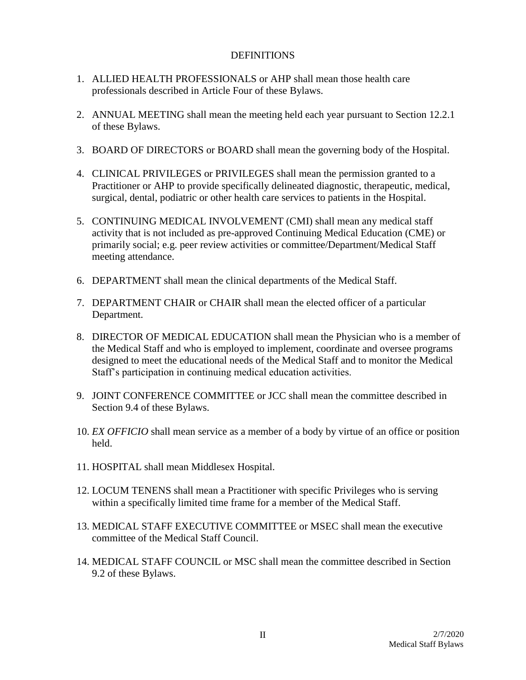#### **DEFINITIONS**

- 1. ALLIED HEALTH PROFESSIONALS or AHP shall mean those health care professionals described in Article Four of these Bylaws.
- 2. ANNUAL MEETING shall mean the meeting held each year pursuant to Section 12.2.1 of these Bylaws.
- 3. BOARD OF DIRECTORS or BOARD shall mean the governing body of the Hospital.
- 4. CLINICAL PRIVILEGES or PRIVILEGES shall mean the permission granted to a Practitioner or AHP to provide specifically delineated diagnostic, therapeutic, medical, surgical, dental, podiatric or other health care services to patients in the Hospital.
- 5. CONTINUING MEDICAL INVOLVEMENT (CMI) shall mean any medical staff activity that is not included as pre-approved Continuing Medical Education (CME) or primarily social; e.g. peer review activities or committee/Department/Medical Staff meeting attendance.
- 6. DEPARTMENT shall mean the clinical departments of the Medical Staff.
- 7. DEPARTMENT CHAIR or CHAIR shall mean the elected officer of a particular Department.
- 8. DIRECTOR OF MEDICAL EDUCATION shall mean the Physician who is a member of the Medical Staff and who is employed to implement, coordinate and oversee programs designed to meet the educational needs of the Medical Staff and to monitor the Medical Staff's participation in continuing medical education activities.
- 9. JOINT CONFERENCE COMMITTEE or JCC shall mean the committee described in Section 9.4 of these Bylaws.
- 10. *EX OFFICIO* shall mean service as a member of a body by virtue of an office or position held.
- 11. HOSPITAL shall mean Middlesex Hospital.
- 12. LOCUM TENENS shall mean a Practitioner with specific Privileges who is serving within a specifically limited time frame for a member of the Medical Staff.
- 13. MEDICAL STAFF EXECUTIVE COMMITTEE or MSEC shall mean the executive committee of the Medical Staff Council.
- 14. MEDICAL STAFF COUNCIL or MSC shall mean the committee described in Section 9.2 of these Bylaws.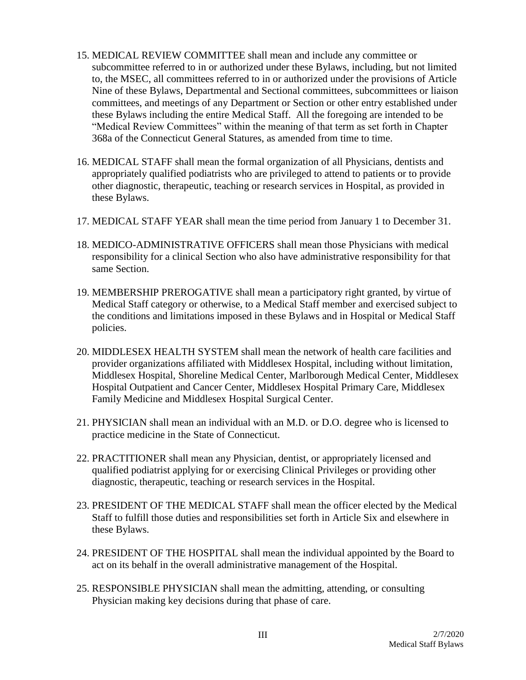- 15. MEDICAL REVIEW COMMITTEE shall mean and include any committee or subcommittee referred to in or authorized under these Bylaws, including, but not limited to, the MSEC, all committees referred to in or authorized under the provisions of Article Nine of these Bylaws, Departmental and Sectional committees, subcommittees or liaison committees, and meetings of any Department or Section or other entry established under these Bylaws including the entire Medical Staff. All the foregoing are intended to be "Medical Review Committees" within the meaning of that term as set forth in Chapter 368a of the Connecticut General Statures, as amended from time to time.
- 16. MEDICAL STAFF shall mean the formal organization of all Physicians, dentists and appropriately qualified podiatrists who are privileged to attend to patients or to provide other diagnostic, therapeutic, teaching or research services in Hospital, as provided in these Bylaws.
- 17. MEDICAL STAFF YEAR shall mean the time period from January 1 to December 31.
- 18. MEDICO-ADMINISTRATIVE OFFICERS shall mean those Physicians with medical responsibility for a clinical Section who also have administrative responsibility for that same Section.
- 19. MEMBERSHIP PREROGATIVE shall mean a participatory right granted, by virtue of Medical Staff category or otherwise, to a Medical Staff member and exercised subject to the conditions and limitations imposed in these Bylaws and in Hospital or Medical Staff policies.
- 20. MIDDLESEX HEALTH SYSTEM shall mean the network of health care facilities and provider organizations affiliated with Middlesex Hospital, including without limitation, Middlesex Hospital, Shoreline Medical Center, Marlborough Medical Center, Middlesex Hospital Outpatient and Cancer Center, Middlesex Hospital Primary Care, Middlesex Family Medicine and Middlesex Hospital Surgical Center.
- 21. PHYSICIAN shall mean an individual with an M.D. or D.O. degree who is licensed to practice medicine in the State of Connecticut.
- 22. PRACTITIONER shall mean any Physician, dentist, or appropriately licensed and qualified podiatrist applying for or exercising Clinical Privileges or providing other diagnostic, therapeutic, teaching or research services in the Hospital.
- 23. PRESIDENT OF THE MEDICAL STAFF shall mean the officer elected by the Medical Staff to fulfill those duties and responsibilities set forth in Article Six and elsewhere in these Bylaws.
- 24. PRESIDENT OF THE HOSPITAL shall mean the individual appointed by the Board to act on its behalf in the overall administrative management of the Hospital.
- 25. RESPONSIBLE PHYSICIAN shall mean the admitting, attending, or consulting Physician making key decisions during that phase of care.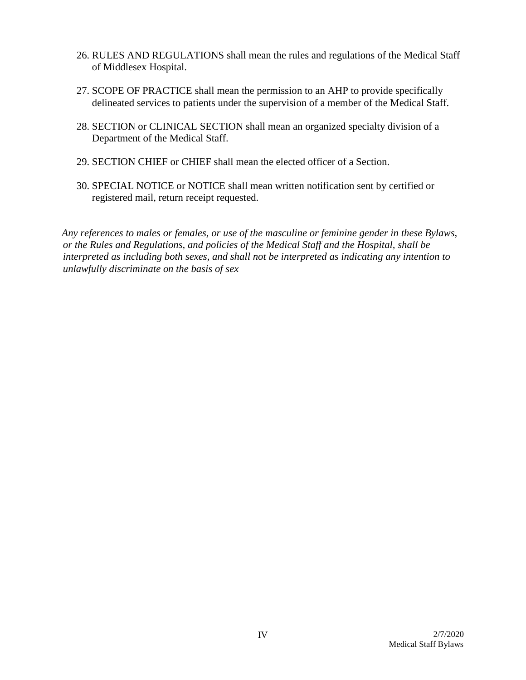- 26. RULES AND REGULATIONS shall mean the rules and regulations of the Medical Staff of Middlesex Hospital.
- 27. SCOPE OF PRACTICE shall mean the permission to an AHP to provide specifically delineated services to patients under the supervision of a member of the Medical Staff.
- 28. SECTION or CLINICAL SECTION shall mean an organized specialty division of a Department of the Medical Staff.
- 29. SECTION CHIEF or CHIEF shall mean the elected officer of a Section.
- 30. SPECIAL NOTICE or NOTICE shall mean written notification sent by certified or registered mail, return receipt requested.

*Any references to males or females, or use of the masculine or feminine gender in these Bylaws, or the Rules and Regulations, and policies of the Medical Staff and the Hospital, shall be interpreted as including both sexes, and shall not be interpreted as indicating any intention to unlawfully discriminate on the basis of sex*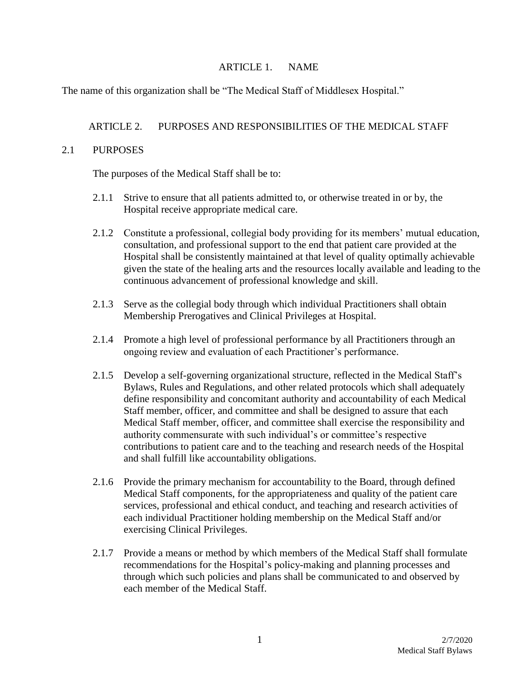#### ARTICLE 1. NAME

The name of this organization shall be "The Medical Staff of Middlesex Hospital."

# ARTICLE 2. PURPOSES AND RESPONSIBILITIES OF THE MEDICAL STAFF

#### 2.1 PURPOSES

The purposes of the Medical Staff shall be to:

- 2.1.1 Strive to ensure that all patients admitted to, or otherwise treated in or by, the Hospital receive appropriate medical care.
- 2.1.2 Constitute a professional, collegial body providing for its members' mutual education, consultation, and professional support to the end that patient care provided at the Hospital shall be consistently maintained at that level of quality optimally achievable given the state of the healing arts and the resources locally available and leading to the continuous advancement of professional knowledge and skill.
- 2.1.3 Serve as the collegial body through which individual Practitioners shall obtain Membership Prerogatives and Clinical Privileges at Hospital.
- 2.1.4 Promote a high level of professional performance by all Practitioners through an ongoing review and evaluation of each Practitioner's performance.
- 2.1.5 Develop a self-governing organizational structure, reflected in the Medical Staff's Bylaws, Rules and Regulations, and other related protocols which shall adequately define responsibility and concomitant authority and accountability of each Medical Staff member, officer, and committee and shall be designed to assure that each Medical Staff member, officer, and committee shall exercise the responsibility and authority commensurate with such individual's or committee's respective contributions to patient care and to the teaching and research needs of the Hospital and shall fulfill like accountability obligations.
- 2.1.6 Provide the primary mechanism for accountability to the Board, through defined Medical Staff components, for the appropriateness and quality of the patient care services, professional and ethical conduct, and teaching and research activities of each individual Practitioner holding membership on the Medical Staff and/or exercising Clinical Privileges.
- 2.1.7 Provide a means or method by which members of the Medical Staff shall formulate recommendations for the Hospital's policy-making and planning processes and through which such policies and plans shall be communicated to and observed by each member of the Medical Staff.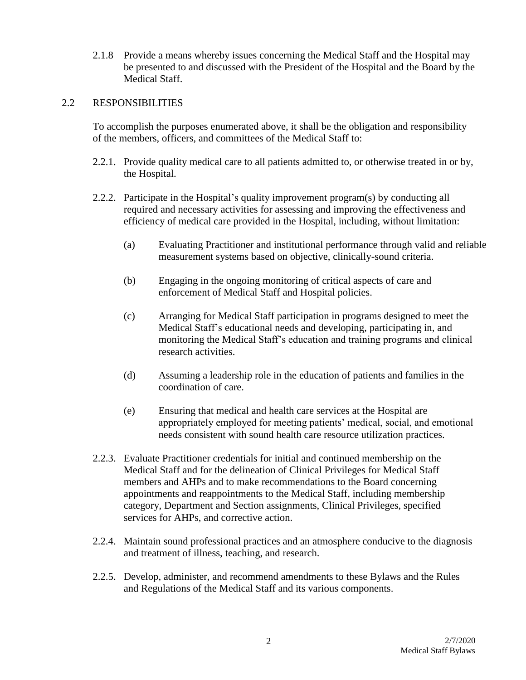2.1.8 Provide a means whereby issues concerning the Medical Staff and the Hospital may be presented to and discussed with the President of the Hospital and the Board by the Medical Staff.

#### 2.2 RESPONSIBILITIES

To accomplish the purposes enumerated above, it shall be the obligation and responsibility of the members, officers, and committees of the Medical Staff to:

- 2.2.1. Provide quality medical care to all patients admitted to, or otherwise treated in or by, the Hospital.
- 2.2.2. Participate in the Hospital's quality improvement program(s) by conducting all required and necessary activities for assessing and improving the effectiveness and efficiency of medical care provided in the Hospital, including, without limitation:
	- (a) Evaluating Practitioner and institutional performance through valid and reliable measurement systems based on objective, clinically-sound criteria.
	- (b) Engaging in the ongoing monitoring of critical aspects of care and enforcement of Medical Staff and Hospital policies.
	- (c) Arranging for Medical Staff participation in programs designed to meet the Medical Staff's educational needs and developing, participating in, and monitoring the Medical Staff's education and training programs and clinical research activities.
	- (d) Assuming a leadership role in the education of patients and families in the coordination of care.
	- (e) Ensuring that medical and health care services at the Hospital are appropriately employed for meeting patients' medical, social, and emotional needs consistent with sound health care resource utilization practices.
- 2.2.3. Evaluate Practitioner credentials for initial and continued membership on the Medical Staff and for the delineation of Clinical Privileges for Medical Staff members and AHPs and to make recommendations to the Board concerning appointments and reappointments to the Medical Staff, including membership category, Department and Section assignments, Clinical Privileges, specified services for AHPs, and corrective action.
- 2.2.4. Maintain sound professional practices and an atmosphere conducive to the diagnosis and treatment of illness, teaching, and research.
- 2.2.5. Develop, administer, and recommend amendments to these Bylaws and the Rules and Regulations of the Medical Staff and its various components.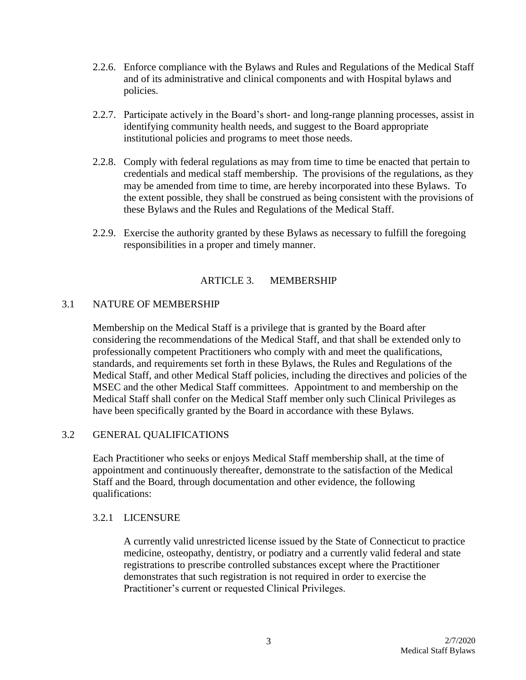- 2.2.6. Enforce compliance with the Bylaws and Rules and Regulations of the Medical Staff and of its administrative and clinical components and with Hospital bylaws and policies.
- 2.2.7. Participate actively in the Board's short- and long-range planning processes, assist in identifying community health needs, and suggest to the Board appropriate institutional policies and programs to meet those needs.
- 2.2.8. Comply with federal regulations as may from time to time be enacted that pertain to credentials and medical staff membership. The provisions of the regulations, as they may be amended from time to time, are hereby incorporated into these Bylaws. To the extent possible, they shall be construed as being consistent with the provisions of these Bylaws and the Rules and Regulations of the Medical Staff.
- 2.2.9. Exercise the authority granted by these Bylaws as necessary to fulfill the foregoing responsibilities in a proper and timely manner.

#### ARTICLE 3. MEMBERSHIP

#### 3.1 NATURE OF MEMBERSHIP

Membership on the Medical Staff is a privilege that is granted by the Board after considering the recommendations of the Medical Staff, and that shall be extended only to professionally competent Practitioners who comply with and meet the qualifications, standards, and requirements set forth in these Bylaws, the Rules and Regulations of the Medical Staff, and other Medical Staff policies, including the directives and policies of the MSEC and the other Medical Staff committees. Appointment to and membership on the Medical Staff shall confer on the Medical Staff member only such Clinical Privileges as have been specifically granted by the Board in accordance with these Bylaws.

#### 3.2 GENERAL QUALIFICATIONS

Each Practitioner who seeks or enjoys Medical Staff membership shall, at the time of appointment and continuously thereafter, demonstrate to the satisfaction of the Medical Staff and the Board, through documentation and other evidence, the following qualifications:

#### 3.2.1 LICENSURE

A currently valid unrestricted license issued by the State of Connecticut to practice medicine, osteopathy, dentistry, or podiatry and a currently valid federal and state registrations to prescribe controlled substances except where the Practitioner demonstrates that such registration is not required in order to exercise the Practitioner's current or requested Clinical Privileges.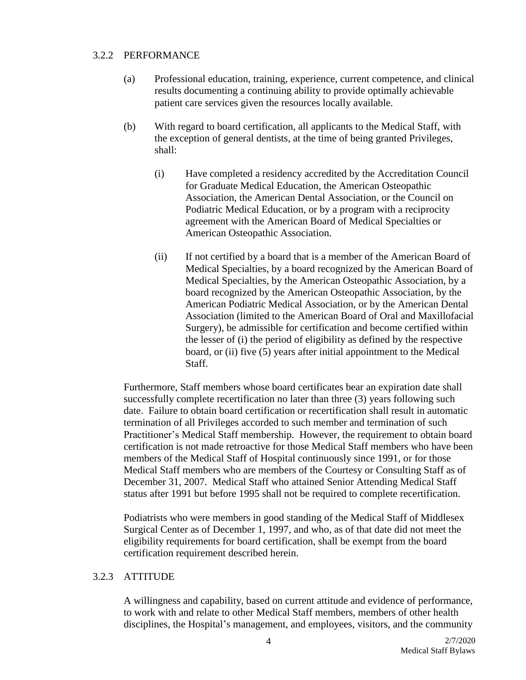#### 3.2.2 PERFORMANCE

- (a) Professional education, training, experience, current competence, and clinical results documenting a continuing ability to provide optimally achievable patient care services given the resources locally available.
- (b) With regard to board certification, all applicants to the Medical Staff, with the exception of general dentists, at the time of being granted Privileges, shall:
	- (i) Have completed a residency accredited by the Accreditation Council for Graduate Medical Education, the American Osteopathic Association, the American Dental Association, or the Council on Podiatric Medical Education, or by a program with a reciprocity agreement with the American Board of Medical Specialties or American Osteopathic Association.
	- (ii) If not certified by a board that is a member of the American Board of Medical Specialties, by a board recognized by the American Board of Medical Specialties, by the American Osteopathic Association, by a board recognized by the American Osteopathic Association, by the American Podiatric Medical Association, or by the American Dental Association (limited to the American Board of Oral and Maxillofacial Surgery), be admissible for certification and become certified within the lesser of (i) the period of eligibility as defined by the respective board, or (ii) five (5) years after initial appointment to the Medical Staff.

Furthermore, Staff members whose board certificates bear an expiration date shall successfully complete recertification no later than three (3) years following such date. Failure to obtain board certification or recertification shall result in automatic termination of all Privileges accorded to such member and termination of such Practitioner's Medical Staff membership. However, the requirement to obtain board certification is not made retroactive for those Medical Staff members who have been members of the Medical Staff of Hospital continuously since 1991, or for those Medical Staff members who are members of the Courtesy or Consulting Staff as of December 31, 2007. Medical Staff who attained Senior Attending Medical Staff status after 1991 but before 1995 shall not be required to complete recertification.

Podiatrists who were members in good standing of the Medical Staff of Middlesex Surgical Center as of December 1, 1997, and who, as of that date did not meet the eligibility requirements for board certification, shall be exempt from the board certification requirement described herein.

# 3.2.3 ATTITUDE

A willingness and capability, based on current attitude and evidence of performance, to work with and relate to other Medical Staff members, members of other health disciplines, the Hospital's management, and employees, visitors, and the community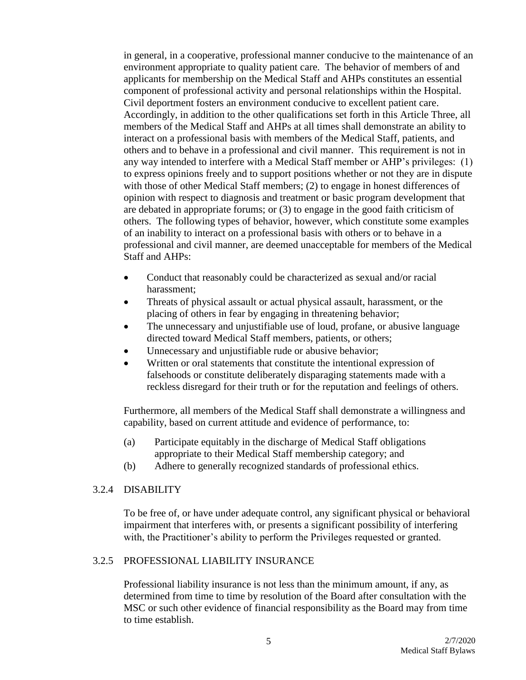in general, in a cooperative, professional manner conducive to the maintenance of an environment appropriate to quality patient care. The behavior of members of and applicants for membership on the Medical Staff and AHPs constitutes an essential component of professional activity and personal relationships within the Hospital. Civil deportment fosters an environment conducive to excellent patient care. Accordingly, in addition to the other qualifications set forth in this Article Three, all members of the Medical Staff and AHPs at all times shall demonstrate an ability to interact on a professional basis with members of the Medical Staff, patients, and others and to behave in a professional and civil manner. This requirement is not in any way intended to interfere with a Medical Staff member or AHP's privileges: (1) to express opinions freely and to support positions whether or not they are in dispute with those of other Medical Staff members; (2) to engage in honest differences of opinion with respect to diagnosis and treatment or basic program development that are debated in appropriate forums; or (3) to engage in the good faith criticism of others. The following types of behavior, however, which constitute some examples of an inability to interact on a professional basis with others or to behave in a professional and civil manner, are deemed unacceptable for members of the Medical Staff and AHPs:

- Conduct that reasonably could be characterized as sexual and/or racial harassment;
- Threats of physical assault or actual physical assault, harassment, or the placing of others in fear by engaging in threatening behavior;
- The unnecessary and unjustifiable use of loud, profane, or abusive language directed toward Medical Staff members, patients, or others;
- Unnecessary and unjustifiable rude or abusive behavior;
- Written or oral statements that constitute the intentional expression of falsehoods or constitute deliberately disparaging statements made with a reckless disregard for their truth or for the reputation and feelings of others.

Furthermore, all members of the Medical Staff shall demonstrate a willingness and capability, based on current attitude and evidence of performance, to:

- (a) Participate equitably in the discharge of Medical Staff obligations appropriate to their Medical Staff membership category; and
- (b) Adhere to generally recognized standards of professional ethics.

#### 3.2.4 DISABILITY

To be free of, or have under adequate control, any significant physical or behavioral impairment that interferes with, or presents a significant possibility of interfering with, the Practitioner's ability to perform the Privileges requested or granted.

# 3.2.5 PROFESSIONAL LIABILITY INSURANCE

Professional liability insurance is not less than the minimum amount, if any, as determined from time to time by resolution of the Board after consultation with the MSC or such other evidence of financial responsibility as the Board may from time to time establish.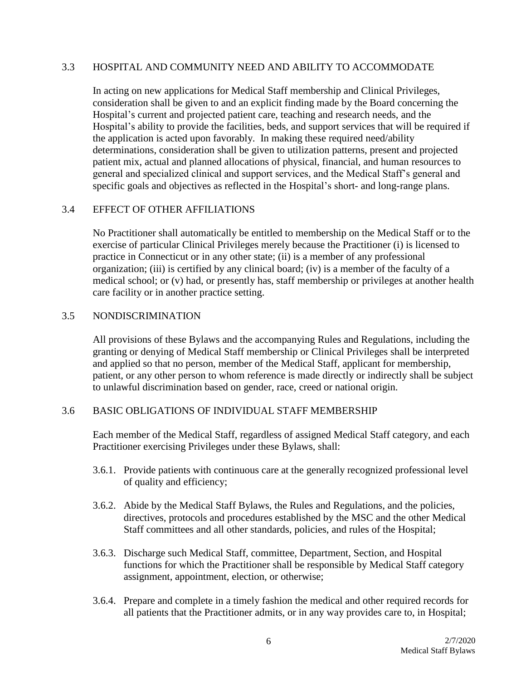#### 3.3 HOSPITAL AND COMMUNITY NEED AND ABILITY TO ACCOMMODATE

In acting on new applications for Medical Staff membership and Clinical Privileges, consideration shall be given to and an explicit finding made by the Board concerning the Hospital's current and projected patient care, teaching and research needs, and the Hospital's ability to provide the facilities, beds, and support services that will be required if the application is acted upon favorably. In making these required need/ability determinations, consideration shall be given to utilization patterns, present and projected patient mix, actual and planned allocations of physical, financial, and human resources to general and specialized clinical and support services, and the Medical Staff's general and specific goals and objectives as reflected in the Hospital's short- and long-range plans.

#### 3.4 EFFECT OF OTHER AFFILIATIONS

No Practitioner shall automatically be entitled to membership on the Medical Staff or to the exercise of particular Clinical Privileges merely because the Practitioner (i) is licensed to practice in Connecticut or in any other state; (ii) is a member of any professional organization; (iii) is certified by any clinical board; (iv) is a member of the faculty of a medical school; or (v) had, or presently has, staff membership or privileges at another health care facility or in another practice setting.

#### 3.5 NONDISCRIMINATION

All provisions of these Bylaws and the accompanying Rules and Regulations, including the granting or denying of Medical Staff membership or Clinical Privileges shall be interpreted and applied so that no person, member of the Medical Staff, applicant for membership, patient, or any other person to whom reference is made directly or indirectly shall be subject to unlawful discrimination based on gender, race, creed or national origin.

# 3.6 BASIC OBLIGATIONS OF INDIVIDUAL STAFF MEMBERSHIP

Each member of the Medical Staff, regardless of assigned Medical Staff category, and each Practitioner exercising Privileges under these Bylaws, shall:

- 3.6.1. Provide patients with continuous care at the generally recognized professional level of quality and efficiency;
- 3.6.2. Abide by the Medical Staff Bylaws, the Rules and Regulations, and the policies, directives, protocols and procedures established by the MSC and the other Medical Staff committees and all other standards, policies, and rules of the Hospital;
- 3.6.3. Discharge such Medical Staff, committee, Department, Section, and Hospital functions for which the Practitioner shall be responsible by Medical Staff category assignment, appointment, election, or otherwise;
- 3.6.4. Prepare and complete in a timely fashion the medical and other required records for all patients that the Practitioner admits, or in any way provides care to, in Hospital;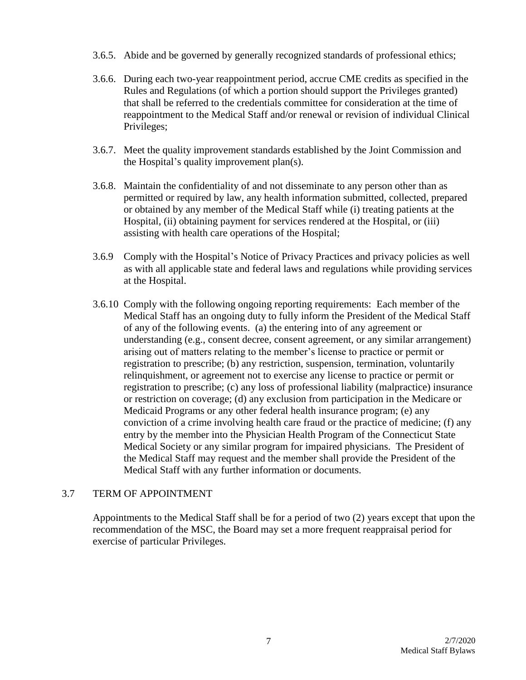- 3.6.5. Abide and be governed by generally recognized standards of professional ethics;
- 3.6.6. During each two-year reappointment period, accrue CME credits as specified in the Rules and Regulations (of which a portion should support the Privileges granted) that shall be referred to the credentials committee for consideration at the time of reappointment to the Medical Staff and/or renewal or revision of individual Clinical Privileges;
- 3.6.7. Meet the quality improvement standards established by the Joint Commission and the Hospital's quality improvement plan(s).
- 3.6.8. Maintain the confidentiality of and not disseminate to any person other than as permitted or required by law, any health information submitted, collected, prepared or obtained by any member of the Medical Staff while (i) treating patients at the Hospital, (ii) obtaining payment for services rendered at the Hospital, or (iii) assisting with health care operations of the Hospital;
- 3.6.9 Comply with the Hospital's Notice of Privacy Practices and privacy policies as well as with all applicable state and federal laws and regulations while providing services at the Hospital.
- 3.6.10 Comply with the following ongoing reporting requirements: Each member of the Medical Staff has an ongoing duty to fully inform the President of the Medical Staff of any of the following events. (a) the entering into of any agreement or understanding (e.g., consent decree, consent agreement, or any similar arrangement) arising out of matters relating to the member's license to practice or permit or registration to prescribe; (b) any restriction, suspension, termination, voluntarily relinquishment, or agreement not to exercise any license to practice or permit or registration to prescribe; (c) any loss of professional liability (malpractice) insurance or restriction on coverage; (d) any exclusion from participation in the Medicare or Medicaid Programs or any other federal health insurance program; (e) any conviction of a crime involving health care fraud or the practice of medicine; (f) any entry by the member into the Physician Health Program of the Connecticut State Medical Society or any similar program for impaired physicians. The President of the Medical Staff may request and the member shall provide the President of the Medical Staff with any further information or documents.

# 3.7 TERM OF APPOINTMENT

Appointments to the Medical Staff shall be for a period of two (2) years except that upon the recommendation of the MSC, the Board may set a more frequent reappraisal period for exercise of particular Privileges.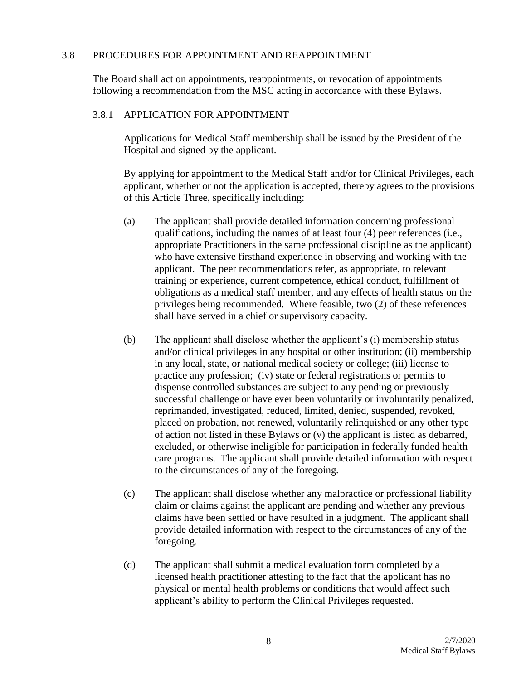#### 3.8 PROCEDURES FOR APPOINTMENT AND REAPPOINTMENT

The Board shall act on appointments, reappointments, or revocation of appointments following a recommendation from the MSC acting in accordance with these Bylaws.

#### 3.8.1 APPLICATION FOR APPOINTMENT

Applications for Medical Staff membership shall be issued by the President of the Hospital and signed by the applicant.

By applying for appointment to the Medical Staff and/or for Clinical Privileges, each applicant, whether or not the application is accepted, thereby agrees to the provisions of this Article Three, specifically including:

- (a) The applicant shall provide detailed information concerning professional qualifications, including the names of at least four (4) peer references (i.e., appropriate Practitioners in the same professional discipline as the applicant) who have extensive firsthand experience in observing and working with the applicant. The peer recommendations refer, as appropriate, to relevant training or experience, current competence, ethical conduct, fulfillment of obligations as a medical staff member, and any effects of health status on the privileges being recommended. Where feasible, two (2) of these references shall have served in a chief or supervisory capacity.
- (b) The applicant shall disclose whether the applicant's (i) membership status and/or clinical privileges in any hospital or other institution; (ii) membership in any local, state, or national medical society or college; (iii) license to practice any profession; (iv) state or federal registrations or permits to dispense controlled substances are subject to any pending or previously successful challenge or have ever been voluntarily or involuntarily penalized, reprimanded, investigated, reduced, limited, denied, suspended, revoked, placed on probation, not renewed, voluntarily relinquished or any other type of action not listed in these Bylaws or (v) the applicant is listed as debarred, excluded, or otherwise ineligible for participation in federally funded health care programs. The applicant shall provide detailed information with respect to the circumstances of any of the foregoing.
- (c) The applicant shall disclose whether any malpractice or professional liability claim or claims against the applicant are pending and whether any previous claims have been settled or have resulted in a judgment. The applicant shall provide detailed information with respect to the circumstances of any of the foregoing.
- (d) The applicant shall submit a medical evaluation form completed by a licensed health practitioner attesting to the fact that the applicant has no physical or mental health problems or conditions that would affect such applicant's ability to perform the Clinical Privileges requested.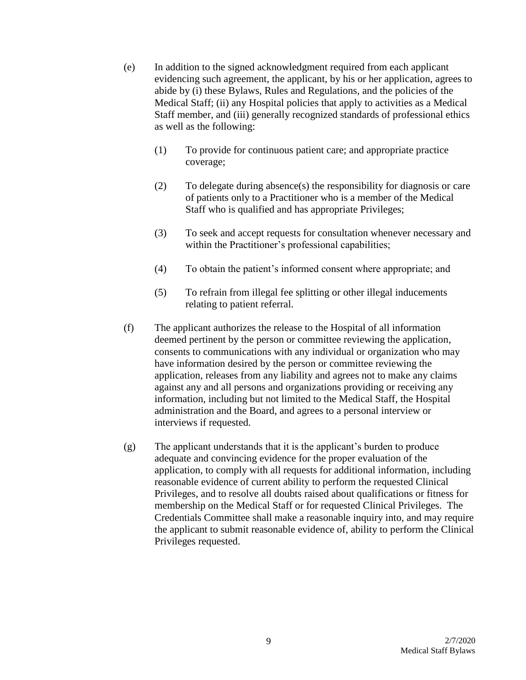- (e) In addition to the signed acknowledgment required from each applicant evidencing such agreement, the applicant, by his or her application, agrees to abide by (i) these Bylaws, Rules and Regulations, and the policies of the Medical Staff; (ii) any Hospital policies that apply to activities as a Medical Staff member, and (iii) generally recognized standards of professional ethics as well as the following:
	- (1) To provide for continuous patient care; and appropriate practice coverage;
	- (2) To delegate during absence(s) the responsibility for diagnosis or care of patients only to a Practitioner who is a member of the Medical Staff who is qualified and has appropriate Privileges;
	- (3) To seek and accept requests for consultation whenever necessary and within the Practitioner's professional capabilities;
	- (4) To obtain the patient's informed consent where appropriate; and
	- (5) To refrain from illegal fee splitting or other illegal inducements relating to patient referral.
- (f) The applicant authorizes the release to the Hospital of all information deemed pertinent by the person or committee reviewing the application, consents to communications with any individual or organization who may have information desired by the person or committee reviewing the application, releases from any liability and agrees not to make any claims against any and all persons and organizations providing or receiving any information, including but not limited to the Medical Staff, the Hospital administration and the Board, and agrees to a personal interview or interviews if requested.
- (g) The applicant understands that it is the applicant's burden to produce adequate and convincing evidence for the proper evaluation of the application, to comply with all requests for additional information, including reasonable evidence of current ability to perform the requested Clinical Privileges, and to resolve all doubts raised about qualifications or fitness for membership on the Medical Staff or for requested Clinical Privileges. The Credentials Committee shall make a reasonable inquiry into, and may require the applicant to submit reasonable evidence of, ability to perform the Clinical Privileges requested.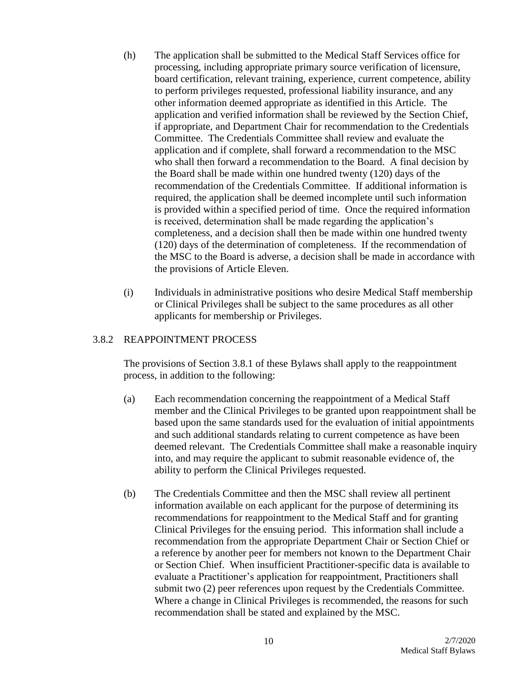- (h) The application shall be submitted to the Medical Staff Services office for processing, including appropriate primary source verification of licensure, board certification, relevant training, experience, current competence, ability to perform privileges requested, professional liability insurance, and any other information deemed appropriate as identified in this Article. The application and verified information shall be reviewed by the Section Chief, if appropriate, and Department Chair for recommendation to the Credentials Committee. The Credentials Committee shall review and evaluate the application and if complete, shall forward a recommendation to the MSC who shall then forward a recommendation to the Board. A final decision by the Board shall be made within one hundred twenty (120) days of the recommendation of the Credentials Committee. If additional information is required, the application shall be deemed incomplete until such information is provided within a specified period of time. Once the required information is received, determination shall be made regarding the application's completeness, and a decision shall then be made within one hundred twenty (120) days of the determination of completeness. If the recommendation of the MSC to the Board is adverse, a decision shall be made in accordance with the provisions of Article Eleven.
- (i) Individuals in administrative positions who desire Medical Staff membership or Clinical Privileges shall be subject to the same procedures as all other applicants for membership or Privileges.

# 3.8.2 REAPPOINTMENT PROCESS

The provisions of Section 3.8.1 of these Bylaws shall apply to the reappointment process, in addition to the following:

- (a) Each recommendation concerning the reappointment of a Medical Staff member and the Clinical Privileges to be granted upon reappointment shall be based upon the same standards used for the evaluation of initial appointments and such additional standards relating to current competence as have been deemed relevant. The Credentials Committee shall make a reasonable inquiry into, and may require the applicant to submit reasonable evidence of, the ability to perform the Clinical Privileges requested.
- (b) The Credentials Committee and then the MSC shall review all pertinent information available on each applicant for the purpose of determining its recommendations for reappointment to the Medical Staff and for granting Clinical Privileges for the ensuing period. This information shall include a recommendation from the appropriate Department Chair or Section Chief or a reference by another peer for members not known to the Department Chair or Section Chief. When insufficient Practitioner-specific data is available to evaluate a Practitioner's application for reappointment, Practitioners shall submit two (2) peer references upon request by the Credentials Committee. Where a change in Clinical Privileges is recommended, the reasons for such recommendation shall be stated and explained by the MSC.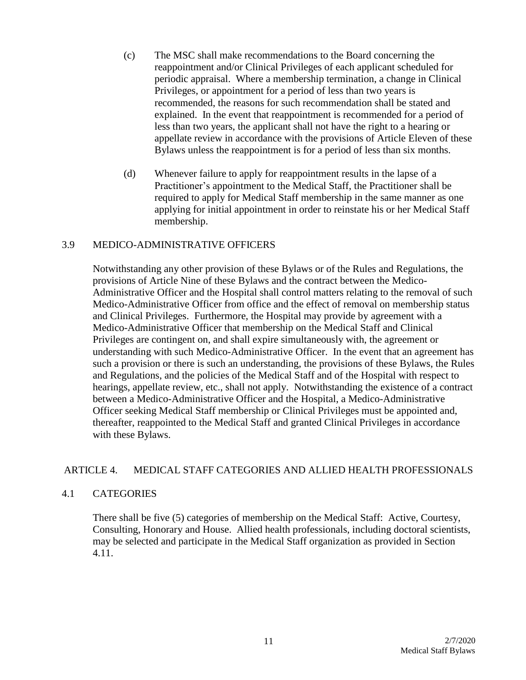- (c) The MSC shall make recommendations to the Board concerning the reappointment and/or Clinical Privileges of each applicant scheduled for periodic appraisal. Where a membership termination, a change in Clinical Privileges, or appointment for a period of less than two years is recommended, the reasons for such recommendation shall be stated and explained. In the event that reappointment is recommended for a period of less than two years, the applicant shall not have the right to a hearing or appellate review in accordance with the provisions of Article Eleven of these Bylaws unless the reappointment is for a period of less than six months.
- (d) Whenever failure to apply for reappointment results in the lapse of a Practitioner's appointment to the Medical Staff, the Practitioner shall be required to apply for Medical Staff membership in the same manner as one applying for initial appointment in order to reinstate his or her Medical Staff membership.

#### 3.9 MEDICO-ADMINISTRATIVE OFFICERS

Notwithstanding any other provision of these Bylaws or of the Rules and Regulations, the provisions of Article Nine of these Bylaws and the contract between the Medico-Administrative Officer and the Hospital shall control matters relating to the removal of such Medico-Administrative Officer from office and the effect of removal on membership status and Clinical Privileges. Furthermore, the Hospital may provide by agreement with a Medico-Administrative Officer that membership on the Medical Staff and Clinical Privileges are contingent on, and shall expire simultaneously with, the agreement or understanding with such Medico-Administrative Officer. In the event that an agreement has such a provision or there is such an understanding, the provisions of these Bylaws, the Rules and Regulations, and the policies of the Medical Staff and of the Hospital with respect to hearings, appellate review, etc., shall not apply. Notwithstanding the existence of a contract between a Medico-Administrative Officer and the Hospital, a Medico-Administrative Officer seeking Medical Staff membership or Clinical Privileges must be appointed and, thereafter, reappointed to the Medical Staff and granted Clinical Privileges in accordance with these Bylaws.

# ARTICLE 4. MEDICAL STAFF CATEGORIES AND ALLIED HEALTH PROFESSIONALS

# 4.1 CATEGORIES

There shall be five (5) categories of membership on the Medical Staff: Active, Courtesy, Consulting, Honorary and House. Allied health professionals, including doctoral scientists, may be selected and participate in the Medical Staff organization as provided in Section 4.11.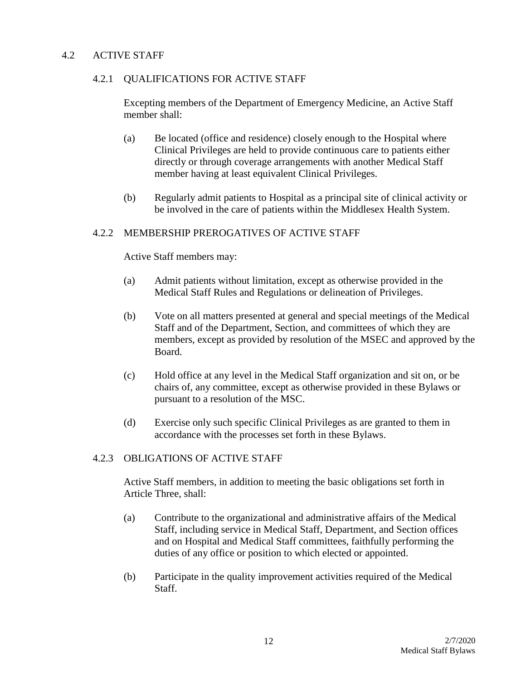#### 4.2 ACTIVE STAFF

#### 4.2.1 QUALIFICATIONS FOR ACTIVE STAFF

Excepting members of the Department of Emergency Medicine, an Active Staff member shall:

- (a) Be located (office and residence) closely enough to the Hospital where Clinical Privileges are held to provide continuous care to patients either directly or through coverage arrangements with another Medical Staff member having at least equivalent Clinical Privileges.
- (b) Regularly admit patients to Hospital as a principal site of clinical activity or be involved in the care of patients within the Middlesex Health System.

#### 4.2.2 MEMBERSHIP PREROGATIVES OF ACTIVE STAFF

#### Active Staff members may:

- (a) Admit patients without limitation, except as otherwise provided in the Medical Staff Rules and Regulations or delineation of Privileges.
- (b) Vote on all matters presented at general and special meetings of the Medical Staff and of the Department, Section, and committees of which they are members, except as provided by resolution of the MSEC and approved by the Board.
- (c) Hold office at any level in the Medical Staff organization and sit on, or be chairs of, any committee, except as otherwise provided in these Bylaws or pursuant to a resolution of the MSC.
- (d) Exercise only such specific Clinical Privileges as are granted to them in accordance with the processes set forth in these Bylaws.

#### 4.2.3 OBLIGATIONS OF ACTIVE STAFF

Active Staff members, in addition to meeting the basic obligations set forth in Article Three, shall:

- (a) Contribute to the organizational and administrative affairs of the Medical Staff, including service in Medical Staff, Department, and Section offices and on Hospital and Medical Staff committees, faithfully performing the duties of any office or position to which elected or appointed.
- (b) Participate in the quality improvement activities required of the Medical Staff.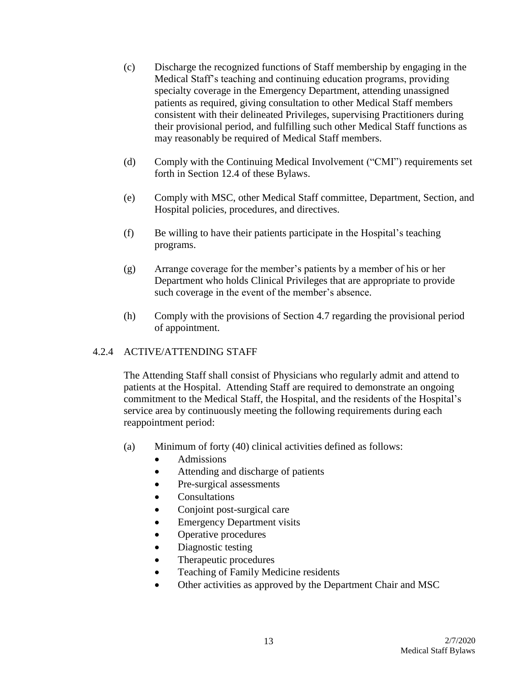- (c) Discharge the recognized functions of Staff membership by engaging in the Medical Staff's teaching and continuing education programs, providing specialty coverage in the Emergency Department, attending unassigned patients as required, giving consultation to other Medical Staff members consistent with their delineated Privileges, supervising Practitioners during their provisional period, and fulfilling such other Medical Staff functions as may reasonably be required of Medical Staff members.
- (d) Comply with the Continuing Medical Involvement ("CMI") requirements set forth in Section 12.4 of these Bylaws.
- (e) Comply with MSC, other Medical Staff committee, Department, Section, and Hospital policies, procedures, and directives.
- (f) Be willing to have their patients participate in the Hospital's teaching programs.
- (g) Arrange coverage for the member's patients by a member of his or her Department who holds Clinical Privileges that are appropriate to provide such coverage in the event of the member's absence.
- (h) Comply with the provisions of Section 4.7 regarding the provisional period of appointment.

# 4.2.4 ACTIVE/ATTENDING STAFF

The Attending Staff shall consist of Physicians who regularly admit and attend to patients at the Hospital. Attending Staff are required to demonstrate an ongoing commitment to the Medical Staff, the Hospital, and the residents of the Hospital's service area by continuously meeting the following requirements during each reappointment period:

- (a) Minimum of forty (40) clinical activities defined as follows:
	- Admissions
	- Attending and discharge of patients
	- Pre-surgical assessments
	- Consultations
	- Conjoint post-surgical care
	- Emergency Department visits
	- Operative procedures
	- Diagnostic testing
	- Therapeutic procedures
	- Teaching of Family Medicine residents
	- Other activities as approved by the Department Chair and MSC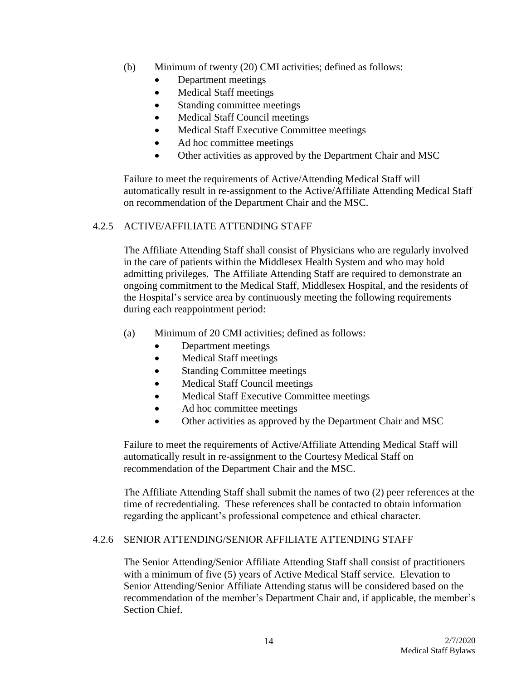- (b) Minimum of twenty (20) CMI activities; defined as follows:
	- Department meetings
	- Medical Staff meetings
	- Standing committee meetings
	- Medical Staff Council meetings
	- Medical Staff Executive Committee meetings
	- Ad hoc committee meetings
	- Other activities as approved by the Department Chair and MSC

Failure to meet the requirements of Active/Attending Medical Staff will automatically result in re-assignment to the Active/Affiliate Attending Medical Staff on recommendation of the Department Chair and the MSC.

# 4.2.5 ACTIVE/AFFILIATE ATTENDING STAFF

The Affiliate Attending Staff shall consist of Physicians who are regularly involved in the care of patients within the Middlesex Health System and who may hold admitting privileges. The Affiliate Attending Staff are required to demonstrate an ongoing commitment to the Medical Staff, Middlesex Hospital, and the residents of the Hospital's service area by continuously meeting the following requirements during each reappointment period:

- (a) Minimum of 20 CMI activities; defined as follows:
	- Department meetings
	- Medical Staff meetings
	- Standing Committee meetings
	- Medical Staff Council meetings
	- Medical Staff Executive Committee meetings
	- Ad hoc committee meetings
	- Other activities as approved by the Department Chair and MSC

Failure to meet the requirements of Active/Affiliate Attending Medical Staff will automatically result in re-assignment to the Courtesy Medical Staff on recommendation of the Department Chair and the MSC.

The Affiliate Attending Staff shall submit the names of two (2) peer references at the time of recredentialing. These references shall be contacted to obtain information regarding the applicant's professional competence and ethical character.

# 4.2.6 SENIOR ATTENDING/SENIOR AFFILIATE ATTENDING STAFF

The Senior Attending/Senior Affiliate Attending Staff shall consist of practitioners with a minimum of five (5) years of Active Medical Staff service. Elevation to Senior Attending/Senior Affiliate Attending status will be considered based on the recommendation of the member's Department Chair and, if applicable, the member's Section Chief.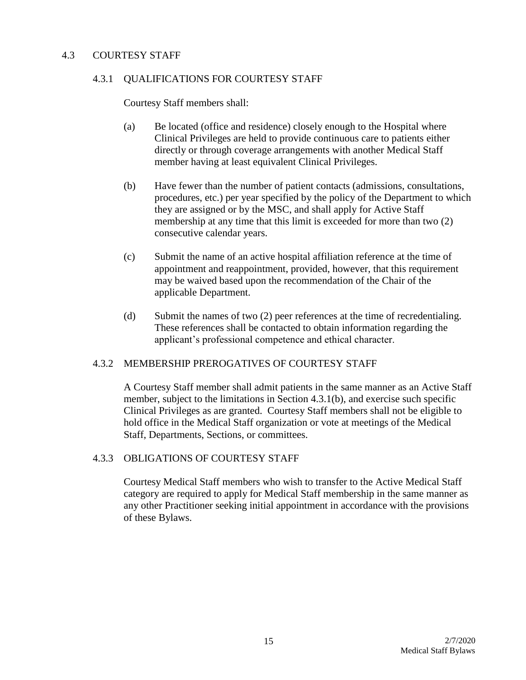#### 4.3 COURTESY STAFF

#### 4.3.1 QUALIFICATIONS FOR COURTESY STAFF

Courtesy Staff members shall:

- (a) Be located (office and residence) closely enough to the Hospital where Clinical Privileges are held to provide continuous care to patients either directly or through coverage arrangements with another Medical Staff member having at least equivalent Clinical Privileges.
- (b) Have fewer than the number of patient contacts (admissions, consultations, procedures, etc.) per year specified by the policy of the Department to which they are assigned or by the MSC, and shall apply for Active Staff membership at any time that this limit is exceeded for more than two (2) consecutive calendar years.
- (c) Submit the name of an active hospital affiliation reference at the time of appointment and reappointment, provided, however, that this requirement may be waived based upon the recommendation of the Chair of the applicable Department.
- (d) Submit the names of two (2) peer references at the time of recredentialing. These references shall be contacted to obtain information regarding the applicant's professional competence and ethical character.

# 4.3.2 MEMBERSHIP PREROGATIVES OF COURTESY STAFF

A Courtesy Staff member shall admit patients in the same manner as an Active Staff member, subject to the limitations in Section 4.3.1(b), and exercise such specific Clinical Privileges as are granted. Courtesy Staff members shall not be eligible to hold office in the Medical Staff organization or vote at meetings of the Medical Staff, Departments, Sections, or committees.

#### 4.3.3 OBLIGATIONS OF COURTESY STAFF

Courtesy Medical Staff members who wish to transfer to the Active Medical Staff category are required to apply for Medical Staff membership in the same manner as any other Practitioner seeking initial appointment in accordance with the provisions of these Bylaws.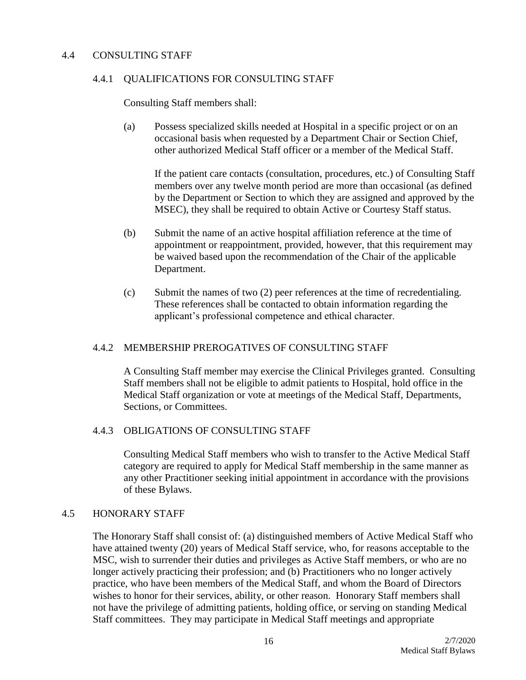#### 4.4 CONSULTING STAFF

#### 4.4.1 QUALIFICATIONS FOR CONSULTING STAFF

Consulting Staff members shall:

(a) Possess specialized skills needed at Hospital in a specific project or on an occasional basis when requested by a Department Chair or Section Chief, other authorized Medical Staff officer or a member of the Medical Staff.

If the patient care contacts (consultation, procedures, etc.) of Consulting Staff members over any twelve month period are more than occasional (as defined by the Department or Section to which they are assigned and approved by the MSEC), they shall be required to obtain Active or Courtesy Staff status.

- (b) Submit the name of an active hospital affiliation reference at the time of appointment or reappointment, provided, however, that this requirement may be waived based upon the recommendation of the Chair of the applicable Department.
- (c) Submit the names of two (2) peer references at the time of recredentialing. These references shall be contacted to obtain information regarding the applicant's professional competence and ethical character.

# 4.4.2 MEMBERSHIP PREROGATIVES OF CONSULTING STAFF

A Consulting Staff member may exercise the Clinical Privileges granted. Consulting Staff members shall not be eligible to admit patients to Hospital, hold office in the Medical Staff organization or vote at meetings of the Medical Staff, Departments, Sections, or Committees.

#### 4.4.3 OBLIGATIONS OF CONSULTING STAFF

Consulting Medical Staff members who wish to transfer to the Active Medical Staff category are required to apply for Medical Staff membership in the same manner as any other Practitioner seeking initial appointment in accordance with the provisions of these Bylaws.

#### 4.5 HONORARY STAFF

The Honorary Staff shall consist of: (a) distinguished members of Active Medical Staff who have attained twenty (20) years of Medical Staff service, who, for reasons acceptable to the MSC, wish to surrender their duties and privileges as Active Staff members, or who are no longer actively practicing their profession; and (b) Practitioners who no longer actively practice, who have been members of the Medical Staff, and whom the Board of Directors wishes to honor for their services, ability, or other reason. Honorary Staff members shall not have the privilege of admitting patients, holding office, or serving on standing Medical Staff committees. They may participate in Medical Staff meetings and appropriate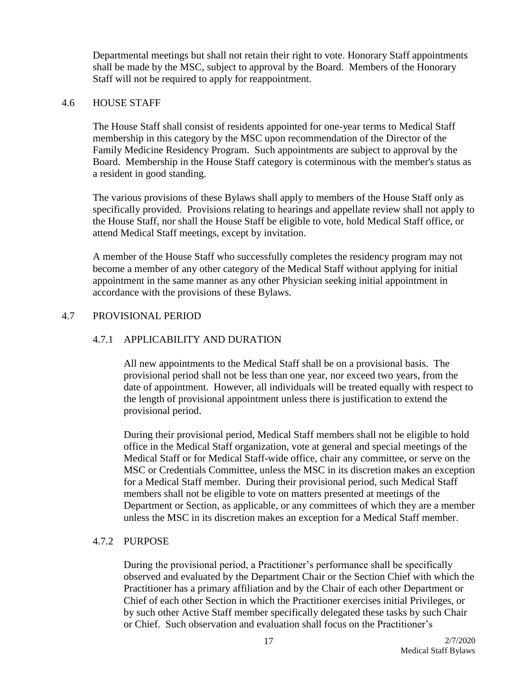Departmental meetings but shall not retain their right to vote. Honorary Staff appointments shall be made by the MSC, subject to approval by the Board. Members of the Honorary Staff will not be required to apply for reappointment.

#### 4.6 HOUSE STAFF

The House Staff shall consist of residents appointed for one-year terms to Medical Staff membership in this category by the MSC upon recommendation of the Director of the Family Medicine Residency Program. Such appointments are subject to approval by the Board. Membership in the House Staff category is coterminous with the member's status as a resident in good standing.

The various provisions of these Bylaws shall apply to members of the House Staff only as specifically provided. Provisions relating to hearings and appellate review shall not apply to the House Staff, nor shall the House Staff be eligible to vote, hold Medical Staff office, or attend Medical Staff meetings, except by invitation.

A member of the House Staff who successfully completes the residency program may not become a member of any other category of the Medical Staff without applying for initial appointment in the same manner as any other Physician seeking initial appointment in accordance with the provisions of these Bylaws.

#### 4.7 PROVISIONAL PERIOD

# 4.7.1 APPLICABILITY AND DURATION

All new appointments to the Medical Staff shall be on a provisional basis. The provisional period shall not be less than one year, nor exceed two years, from the date of appointment. However, all individuals will be treated equally with respect to the length of provisional appointment unless there is justification to extend the provisional period.

During their provisional period, Medical Staff members shall not be eligible to hold office in the Medical Staff organization, vote at general and special meetings of the Medical Staff or for Medical Staff-wide office, chair any committee, or serve on the MSC or Credentials Committee, unless the MSC in its discretion makes an exception for a Medical Staff member. During their provisional period, such Medical Staff members shall not be eligible to vote on matters presented at meetings of the Department or Section, as applicable, or any committees of which they are a member unless the MSC in its discretion makes an exception for a Medical Staff member.

#### 4.7.2 PURPOSE

During the provisional period, a Practitioner's performance shall be specifically observed and evaluated by the Department Chair or the Section Chief with which the Practitioner has a primary affiliation and by the Chair of each other Department or Chief of each other Section in which the Practitioner exercises initial Privileges, or by such other Active Staff member specifically delegated these tasks by such Chair or Chief. Such observation and evaluation shall focus on the Practitioner's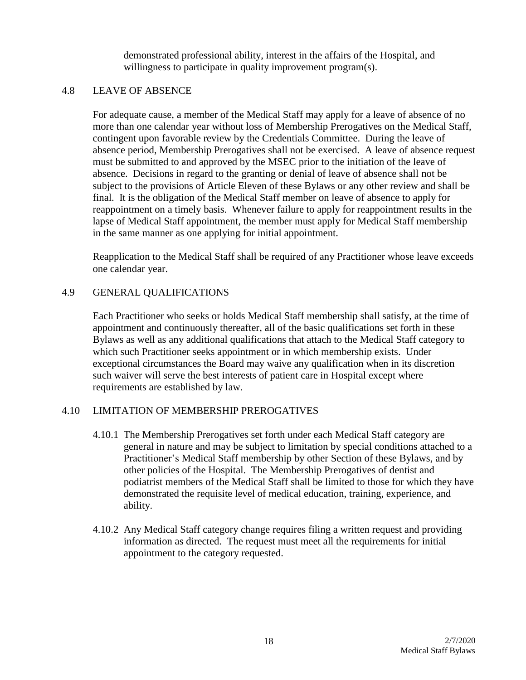demonstrated professional ability, interest in the affairs of the Hospital, and willingness to participate in quality improvement program(s).

#### 4.8 LEAVE OF ABSENCE

For adequate cause, a member of the Medical Staff may apply for a leave of absence of no more than one calendar year without loss of Membership Prerogatives on the Medical Staff, contingent upon favorable review by the Credentials Committee. During the leave of absence period, Membership Prerogatives shall not be exercised. A leave of absence request must be submitted to and approved by the MSEC prior to the initiation of the leave of absence. Decisions in regard to the granting or denial of leave of absence shall not be subject to the provisions of Article Eleven of these Bylaws or any other review and shall be final. It is the obligation of the Medical Staff member on leave of absence to apply for reappointment on a timely basis. Whenever failure to apply for reappointment results in the lapse of Medical Staff appointment, the member must apply for Medical Staff membership in the same manner as one applying for initial appointment.

Reapplication to the Medical Staff shall be required of any Practitioner whose leave exceeds one calendar year.

# 4.9 GENERAL QUALIFICATIONS

Each Practitioner who seeks or holds Medical Staff membership shall satisfy, at the time of appointment and continuously thereafter, all of the basic qualifications set forth in these Bylaws as well as any additional qualifications that attach to the Medical Staff category to which such Practitioner seeks appointment or in which membership exists. Under exceptional circumstances the Board may waive any qualification when in its discretion such waiver will serve the best interests of patient care in Hospital except where requirements are established by law.

# 4.10 LIMITATION OF MEMBERSHIP PREROGATIVES

- 4.10.1 The Membership Prerogatives set forth under each Medical Staff category are general in nature and may be subject to limitation by special conditions attached to a Practitioner's Medical Staff membership by other Section of these Bylaws, and by other policies of the Hospital. The Membership Prerogatives of dentist and podiatrist members of the Medical Staff shall be limited to those for which they have demonstrated the requisite level of medical education, training, experience, and ability.
- 4.10.2 Any Medical Staff category change requires filing a written request and providing information as directed. The request must meet all the requirements for initial appointment to the category requested.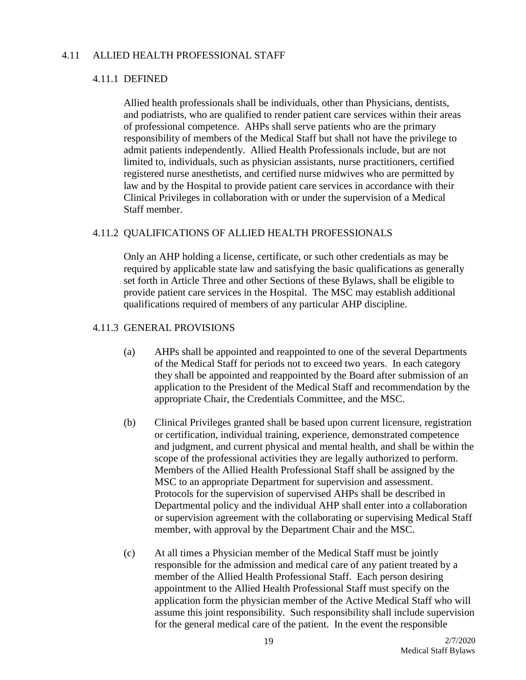#### 4.11 ALLIED HEALTH PROFESSIONAL STAFF

#### 4.11.1 DEFINED

Allied health professionals shall be individuals, other than Physicians, dentists, and podiatrists, who are qualified to render patient care services within their areas of professional competence. AHPs shall serve patients who are the primary responsibility of members of the Medical Staff but shall not have the privilege to admit patients independently. Allied Health Professionals include, but are not limited to, individuals, such as physician assistants, nurse practitioners, certified registered nurse anesthetists, and certified nurse midwives who are permitted by law and by the Hospital to provide patient care services in accordance with their Clinical Privileges in collaboration with or under the supervision of a Medical Staff member.

#### 4.11.2 QUALIFICATIONS OF ALLIED HEALTH PROFESSIONALS

Only an AHP holding a license, certificate, or such other credentials as may be required by applicable state law and satisfying the basic qualifications as generally set forth in Article Three and other Sections of these Bylaws, shall be eligible to provide patient care services in the Hospital. The MSC may establish additional qualifications required of members of any particular AHP discipline.

#### 4.11.3 GENERAL PROVISIONS

- (a) AHPs shall be appointed and reappointed to one of the several Departments of the Medical Staff for periods not to exceed two years. In each category they shall be appointed and reappointed by the Board after submission of an application to the President of the Medical Staff and recommendation by the appropriate Chair, the Credentials Committee, and the MSC.
- (b) Clinical Privileges granted shall be based upon current licensure, registration or certification, individual training, experience, demonstrated competence and judgment, and current physical and mental health, and shall be within the scope of the professional activities they are legally authorized to perform. Members of the Allied Health Professional Staff shall be assigned by the MSC to an appropriate Department for supervision and assessment. Protocols for the supervision of supervised AHPs shall be described in Departmental policy and the individual AHP shall enter into a collaboration or supervision agreement with the collaborating or supervising Medical Staff member, with approval by the Department Chair and the MSC.
- (c) At all times a Physician member of the Medical Staff must be jointly responsible for the admission and medical care of any patient treated by a member of the Allied Health Professional Staff. Each person desiring appointment to the Allied Health Professional Staff must specify on the application form the physician member of the Active Medical Staff who will assume this joint responsibility. Such responsibility shall include supervision for the general medical care of the patient. In the event the responsible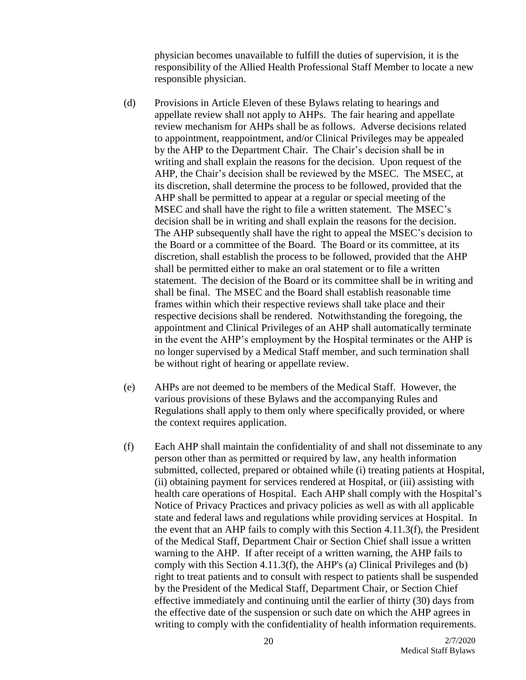physician becomes unavailable to fulfill the duties of supervision, it is the responsibility of the Allied Health Professional Staff Member to locate a new responsible physician.

- (d) Provisions in Article Eleven of these Bylaws relating to hearings and appellate review shall not apply to AHPs. The fair hearing and appellate review mechanism for AHPs shall be as follows. Adverse decisions related to appointment, reappointment, and/or Clinical Privileges may be appealed by the AHP to the Department Chair. The Chair's decision shall be in writing and shall explain the reasons for the decision. Upon request of the AHP, the Chair's decision shall be reviewed by the MSEC. The MSEC, at its discretion, shall determine the process to be followed, provided that the AHP shall be permitted to appear at a regular or special meeting of the MSEC and shall have the right to file a written statement. The MSEC's decision shall be in writing and shall explain the reasons for the decision. The AHP subsequently shall have the right to appeal the MSEC's decision to the Board or a committee of the Board. The Board or its committee, at its discretion, shall establish the process to be followed, provided that the AHP shall be permitted either to make an oral statement or to file a written statement. The decision of the Board or its committee shall be in writing and shall be final. The MSEC and the Board shall establish reasonable time frames within which their respective reviews shall take place and their respective decisions shall be rendered. Notwithstanding the foregoing, the appointment and Clinical Privileges of an AHP shall automatically terminate in the event the AHP's employment by the Hospital terminates or the AHP is no longer supervised by a Medical Staff member, and such termination shall be without right of hearing or appellate review.
- (e) AHPs are not deemed to be members of the Medical Staff. However, the various provisions of these Bylaws and the accompanying Rules and Regulations shall apply to them only where specifically provided, or where the context requires application.
- (f) Each AHP shall maintain the confidentiality of and shall not disseminate to any person other than as permitted or required by law, any health information submitted, collected, prepared or obtained while (i) treating patients at Hospital, (ii) obtaining payment for services rendered at Hospital, or (iii) assisting with health care operations of Hospital. Each AHP shall comply with the Hospital's Notice of Privacy Practices and privacy policies as well as with all applicable state and federal laws and regulations while providing services at Hospital. In the event that an AHP fails to comply with this Section 4.11.3(f), the President of the Medical Staff, Department Chair or Section Chief shall issue a written warning to the AHP. If after receipt of a written warning, the AHP fails to comply with this Section 4.11.3(f), the AHP's (a) Clinical Privileges and (b) right to treat patients and to consult with respect to patients shall be suspended by the President of the Medical Staff, Department Chair, or Section Chief effective immediately and continuing until the earlier of thirty (30) days from the effective date of the suspension or such date on which the AHP agrees in writing to comply with the confidentiality of health information requirements.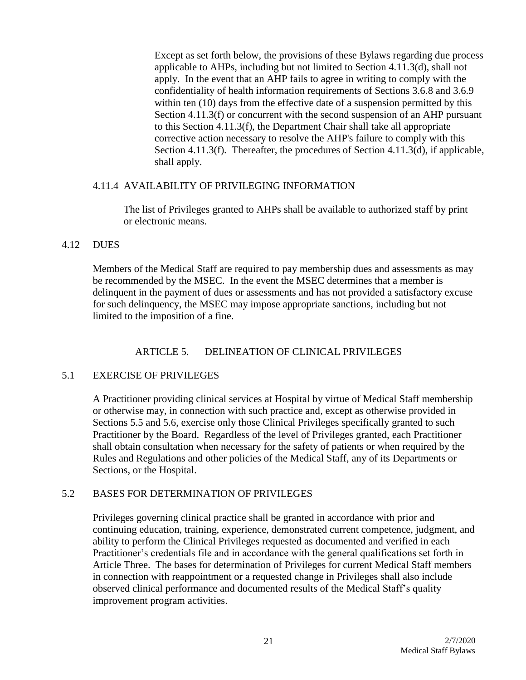Except as set forth below, the provisions of these Bylaws regarding due process applicable to AHPs, including but not limited to Section 4.11.3(d), shall not apply. In the event that an AHP fails to agree in writing to comply with the confidentiality of health information requirements of Sections 3.6.8 and 3.6.9 within ten (10) days from the effective date of a suspension permitted by this Section 4.11.3(f) or concurrent with the second suspension of an AHP pursuant to this Section 4.11.3(f), the Department Chair shall take all appropriate corrective action necessary to resolve the AHP's failure to comply with this Section 4.11.3(f). Thereafter, the procedures of Section 4.11.3(d), if applicable, shall apply.

#### 4.11.4 AVAILABILITY OF PRIVILEGING INFORMATION

The list of Privileges granted to AHPs shall be available to authorized staff by print or electronic means.

# 4.12 DUES

Members of the Medical Staff are required to pay membership dues and assessments as may be recommended by the MSEC. In the event the MSEC determines that a member is delinquent in the payment of dues or assessments and has not provided a satisfactory excuse for such delinquency, the MSEC may impose appropriate sanctions, including but not limited to the imposition of a fine.

# ARTICLE 5. DELINEATION OF CLINICAL PRIVILEGES

# 5.1 EXERCISE OF PRIVILEGES

A Practitioner providing clinical services at Hospital by virtue of Medical Staff membership or otherwise may, in connection with such practice and, except as otherwise provided in Sections 5.5 and 5.6, exercise only those Clinical Privileges specifically granted to such Practitioner by the Board. Regardless of the level of Privileges granted, each Practitioner shall obtain consultation when necessary for the safety of patients or when required by the Rules and Regulations and other policies of the Medical Staff, any of its Departments or Sections, or the Hospital.

# 5.2 BASES FOR DETERMINATION OF PRIVILEGES

Privileges governing clinical practice shall be granted in accordance with prior and continuing education, training, experience, demonstrated current competence, judgment, and ability to perform the Clinical Privileges requested as documented and verified in each Practitioner's credentials file and in accordance with the general qualifications set forth in Article Three. The bases for determination of Privileges for current Medical Staff members in connection with reappointment or a requested change in Privileges shall also include observed clinical performance and documented results of the Medical Staff's quality improvement program activities.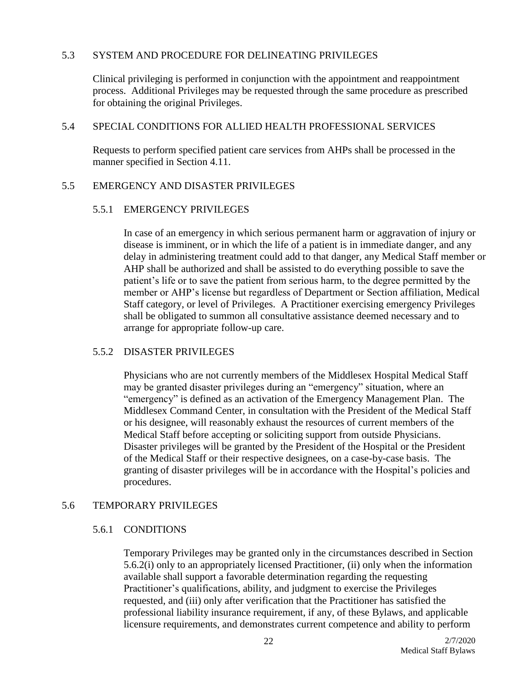#### 5.3 SYSTEM AND PROCEDURE FOR DELINEATING PRIVILEGES

Clinical privileging is performed in conjunction with the appointment and reappointment process. Additional Privileges may be requested through the same procedure as prescribed for obtaining the original Privileges.

#### 5.4 SPECIAL CONDITIONS FOR ALLIED HEALTH PROFESSIONAL SERVICES

Requests to perform specified patient care services from AHPs shall be processed in the manner specified in Section 4.11.

#### 5.5 EMERGENCY AND DISASTER PRIVILEGES

#### 5.5.1 EMERGENCY PRIVILEGES

In case of an emergency in which serious permanent harm or aggravation of injury or disease is imminent, or in which the life of a patient is in immediate danger, and any delay in administering treatment could add to that danger, any Medical Staff member or AHP shall be authorized and shall be assisted to do everything possible to save the patient's life or to save the patient from serious harm, to the degree permitted by the member or AHP's license but regardless of Department or Section affiliation, Medical Staff category, or level of Privileges. A Practitioner exercising emergency Privileges shall be obligated to summon all consultative assistance deemed necessary and to arrange for appropriate follow-up care.

# 5.5.2 DISASTER PRIVILEGES

Physicians who are not currently members of the Middlesex Hospital Medical Staff may be granted disaster privileges during an "emergency" situation, where an "emergency" is defined as an activation of the Emergency Management Plan. The Middlesex Command Center, in consultation with the President of the Medical Staff or his designee, will reasonably exhaust the resources of current members of the Medical Staff before accepting or soliciting support from outside Physicians. Disaster privileges will be granted by the President of the Hospital or the President of the Medical Staff or their respective designees, on a case-by-case basis. The granting of disaster privileges will be in accordance with the Hospital's policies and procedures.

# 5.6 TEMPORARY PRIVILEGES

# 5.6.1 CONDITIONS

Temporary Privileges may be granted only in the circumstances described in Section 5.6.2(i) only to an appropriately licensed Practitioner, (ii) only when the information available shall support a favorable determination regarding the requesting Practitioner's qualifications, ability, and judgment to exercise the Privileges requested, and (iii) only after verification that the Practitioner has satisfied the professional liability insurance requirement, if any, of these Bylaws, and applicable licensure requirements, and demonstrates current competence and ability to perform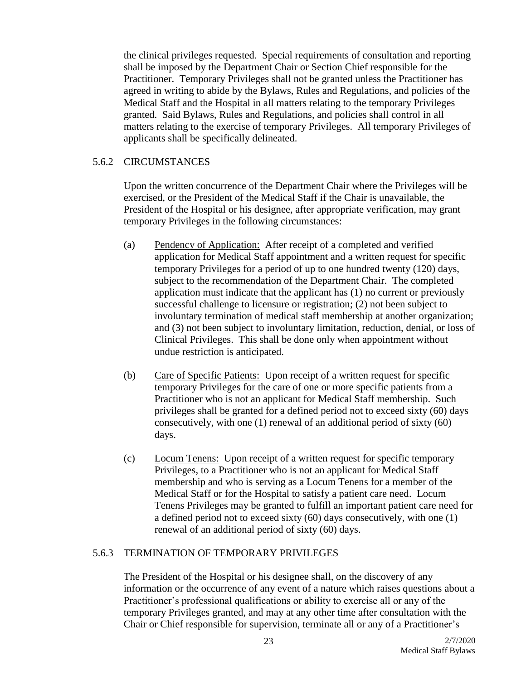the clinical privileges requested. Special requirements of consultation and reporting shall be imposed by the Department Chair or Section Chief responsible for the Practitioner. Temporary Privileges shall not be granted unless the Practitioner has agreed in writing to abide by the Bylaws, Rules and Regulations, and policies of the Medical Staff and the Hospital in all matters relating to the temporary Privileges granted. Said Bylaws, Rules and Regulations, and policies shall control in all matters relating to the exercise of temporary Privileges. All temporary Privileges of applicants shall be specifically delineated.

#### 5.6.2 CIRCUMSTANCES

Upon the written concurrence of the Department Chair where the Privileges will be exercised, or the President of the Medical Staff if the Chair is unavailable, the President of the Hospital or his designee, after appropriate verification, may grant temporary Privileges in the following circumstances:

- (a) Pendency of Application: After receipt of a completed and verified application for Medical Staff appointment and a written request for specific temporary Privileges for a period of up to one hundred twenty (120) days, subject to the recommendation of the Department Chair. The completed application must indicate that the applicant has (1) no current or previously successful challenge to licensure or registration; (2) not been subject to involuntary termination of medical staff membership at another organization; and (3) not been subject to involuntary limitation, reduction, denial, or loss of Clinical Privileges. This shall be done only when appointment without undue restriction is anticipated.
- (b) Care of Specific Patients: Upon receipt of a written request for specific temporary Privileges for the care of one or more specific patients from a Practitioner who is not an applicant for Medical Staff membership. Such privileges shall be granted for a defined period not to exceed sixty (60) days consecutively, with one (1) renewal of an additional period of sixty (60) days.
- (c) Locum Tenens: Upon receipt of a written request for specific temporary Privileges, to a Practitioner who is not an applicant for Medical Staff membership and who is serving as a Locum Tenens for a member of the Medical Staff or for the Hospital to satisfy a patient care need. Locum Tenens Privileges may be granted to fulfill an important patient care need for a defined period not to exceed sixty (60) days consecutively, with one (1) renewal of an additional period of sixty (60) days.

#### 5.6.3 TERMINATION OF TEMPORARY PRIVILEGES

The President of the Hospital or his designee shall, on the discovery of any information or the occurrence of any event of a nature which raises questions about a Practitioner's professional qualifications or ability to exercise all or any of the temporary Privileges granted, and may at any other time after consultation with the Chair or Chief responsible for supervision, terminate all or any of a Practitioner's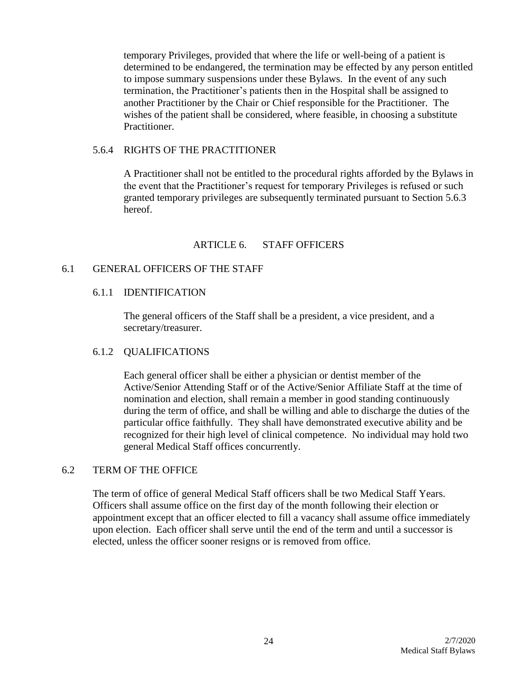temporary Privileges, provided that where the life or well-being of a patient is determined to be endangered, the termination may be effected by any person entitled to impose summary suspensions under these Bylaws. In the event of any such termination, the Practitioner's patients then in the Hospital shall be assigned to another Practitioner by the Chair or Chief responsible for the Practitioner. The wishes of the patient shall be considered, where feasible, in choosing a substitute Practitioner.

#### 5.6.4 RIGHTS OF THE PRACTITIONER

A Practitioner shall not be entitled to the procedural rights afforded by the Bylaws in the event that the Practitioner's request for temporary Privileges is refused or such granted temporary privileges are subsequently terminated pursuant to Section 5.6.3 hereof.

# ARTICLE 6. STAFF OFFICERS

# 6.1 GENERAL OFFICERS OF THE STAFF

#### 6.1.1 IDENTIFICATION

The general officers of the Staff shall be a president, a vice president, and a secretary/treasurer.

# 6.1.2 QUALIFICATIONS

Each general officer shall be either a physician or dentist member of the Active/Senior Attending Staff or of the Active/Senior Affiliate Staff at the time of nomination and election, shall remain a member in good standing continuously during the term of office, and shall be willing and able to discharge the duties of the particular office faithfully. They shall have demonstrated executive ability and be recognized for their high level of clinical competence. No individual may hold two general Medical Staff offices concurrently.

# 6.2 TERM OF THE OFFICE

The term of office of general Medical Staff officers shall be two Medical Staff Years. Officers shall assume office on the first day of the month following their election or appointment except that an officer elected to fill a vacancy shall assume office immediately upon election. Each officer shall serve until the end of the term and until a successor is elected, unless the officer sooner resigns or is removed from office.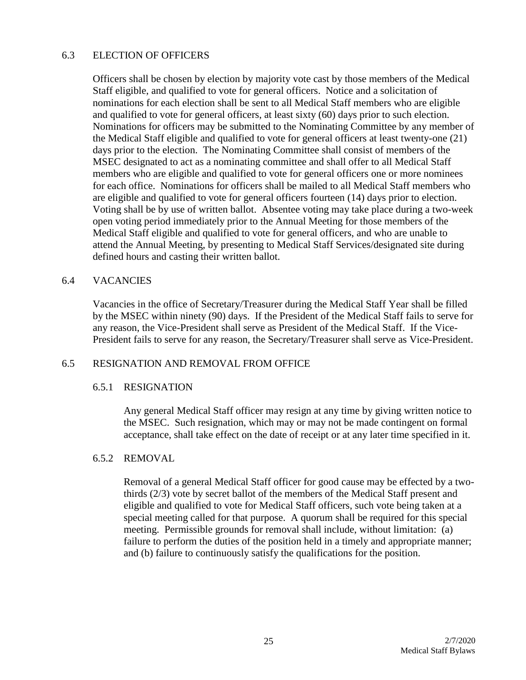#### 6.3 ELECTION OF OFFICERS

Officers shall be chosen by election by majority vote cast by those members of the Medical Staff eligible, and qualified to vote for general officers. Notice and a solicitation of nominations for each election shall be sent to all Medical Staff members who are eligible and qualified to vote for general officers, at least sixty (60) days prior to such election. Nominations for officers may be submitted to the Nominating Committee by any member of the Medical Staff eligible and qualified to vote for general officers at least twenty-one (21) days prior to the election. The Nominating Committee shall consist of members of the MSEC designated to act as a nominating committee and shall offer to all Medical Staff members who are eligible and qualified to vote for general officers one or more nominees for each office. Nominations for officers shall be mailed to all Medical Staff members who are eligible and qualified to vote for general officers fourteen (14) days prior to election. Voting shall be by use of written ballot. Absentee voting may take place during a two-week open voting period immediately prior to the Annual Meeting for those members of the Medical Staff eligible and qualified to vote for general officers, and who are unable to attend the Annual Meeting, by presenting to Medical Staff Services/designated site during defined hours and casting their written ballot.

#### 6.4 VACANCIES

Vacancies in the office of Secretary/Treasurer during the Medical Staff Year shall be filled by the MSEC within ninety (90) days. If the President of the Medical Staff fails to serve for any reason, the Vice-President shall serve as President of the Medical Staff. If the Vice-President fails to serve for any reason, the Secretary/Treasurer shall serve as Vice-President.

#### 6.5 RESIGNATION AND REMOVAL FROM OFFICE

#### 6.5.1 RESIGNATION

Any general Medical Staff officer may resign at any time by giving written notice to the MSEC. Such resignation, which may or may not be made contingent on formal acceptance, shall take effect on the date of receipt or at any later time specified in it.

#### 6.5.2 REMOVAL

Removal of a general Medical Staff officer for good cause may be effected by a twothirds (2/3) vote by secret ballot of the members of the Medical Staff present and eligible and qualified to vote for Medical Staff officers, such vote being taken at a special meeting called for that purpose. A quorum shall be required for this special meeting. Permissible grounds for removal shall include, without limitation: (a) failure to perform the duties of the position held in a timely and appropriate manner; and (b) failure to continuously satisfy the qualifications for the position.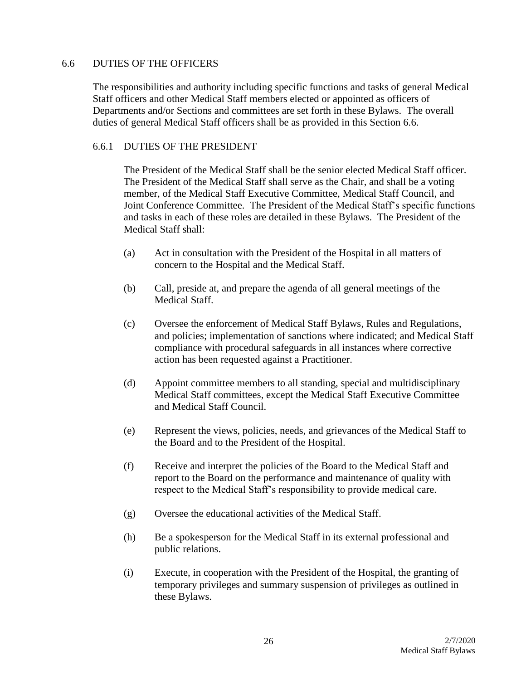## 6.6 DUTIES OF THE OFFICERS

The responsibilities and authority including specific functions and tasks of general Medical Staff officers and other Medical Staff members elected or appointed as officers of Departments and/or Sections and committees are set forth in these Bylaws. The overall duties of general Medical Staff officers shall be as provided in this Section 6.6.

## 6.6.1 DUTIES OF THE PRESIDENT

The President of the Medical Staff shall be the senior elected Medical Staff officer. The President of the Medical Staff shall serve as the Chair, and shall be a voting member, of the Medical Staff Executive Committee, Medical Staff Council, and Joint Conference Committee. The President of the Medical Staff's specific functions and tasks in each of these roles are detailed in these Bylaws. The President of the Medical Staff shall:

- (a) Act in consultation with the President of the Hospital in all matters of concern to the Hospital and the Medical Staff.
- (b) Call, preside at, and prepare the agenda of all general meetings of the Medical Staff.
- (c) Oversee the enforcement of Medical Staff Bylaws, Rules and Regulations, and policies; implementation of sanctions where indicated; and Medical Staff compliance with procedural safeguards in all instances where corrective action has been requested against a Practitioner.
- (d) Appoint committee members to all standing, special and multidisciplinary Medical Staff committees, except the Medical Staff Executive Committee and Medical Staff Council.
- (e) Represent the views, policies, needs, and grievances of the Medical Staff to the Board and to the President of the Hospital.
- (f) Receive and interpret the policies of the Board to the Medical Staff and report to the Board on the performance and maintenance of quality with respect to the Medical Staff's responsibility to provide medical care.
- (g) Oversee the educational activities of the Medical Staff.
- (h) Be a spokesperson for the Medical Staff in its external professional and public relations.
- (i) Execute, in cooperation with the President of the Hospital, the granting of temporary privileges and summary suspension of privileges as outlined in these Bylaws.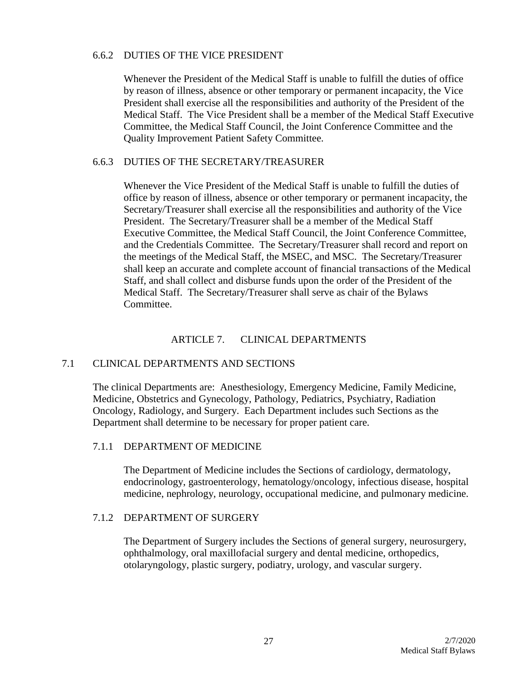### 6.6.2 DUTIES OF THE VICE PRESIDENT

Whenever the President of the Medical Staff is unable to fulfill the duties of office by reason of illness, absence or other temporary or permanent incapacity, the Vice President shall exercise all the responsibilities and authority of the President of the Medical Staff. The Vice President shall be a member of the Medical Staff Executive Committee, the Medical Staff Council, the Joint Conference Committee and the Quality Improvement Patient Safety Committee.

## 6.6.3 DUTIES OF THE SECRETARY/TREASURER

Whenever the Vice President of the Medical Staff is unable to fulfill the duties of office by reason of illness, absence or other temporary or permanent incapacity, the Secretary/Treasurer shall exercise all the responsibilities and authority of the Vice President. The Secretary/Treasurer shall be a member of the Medical Staff Executive Committee, the Medical Staff Council, the Joint Conference Committee, and the Credentials Committee. The Secretary/Treasurer shall record and report on the meetings of the Medical Staff, the MSEC, and MSC. The Secretary/Treasurer shall keep an accurate and complete account of financial transactions of the Medical Staff, and shall collect and disburse funds upon the order of the President of the Medical Staff. The Secretary/Treasurer shall serve as chair of the Bylaws Committee.

# ARTICLE 7. CLINICAL DEPARTMENTS

# 7.1 CLINICAL DEPARTMENTS AND SECTIONS

The clinical Departments are: Anesthesiology, Emergency Medicine, Family Medicine, Medicine, Obstetrics and Gynecology, Pathology, Pediatrics, Psychiatry, Radiation Oncology, Radiology, and Surgery. Each Department includes such Sections as the Department shall determine to be necessary for proper patient care.

# 7.1.1 DEPARTMENT OF MEDICINE

The Department of Medicine includes the Sections of cardiology, dermatology, endocrinology, gastroenterology, hematology/oncology, infectious disease, hospital medicine, nephrology, neurology, occupational medicine, and pulmonary medicine.

# 7.1.2 DEPARTMENT OF SURGERY

The Department of Surgery includes the Sections of general surgery, neurosurgery, ophthalmology, oral maxillofacial surgery and dental medicine, orthopedics, otolaryngology, plastic surgery, podiatry, urology, and vascular surgery.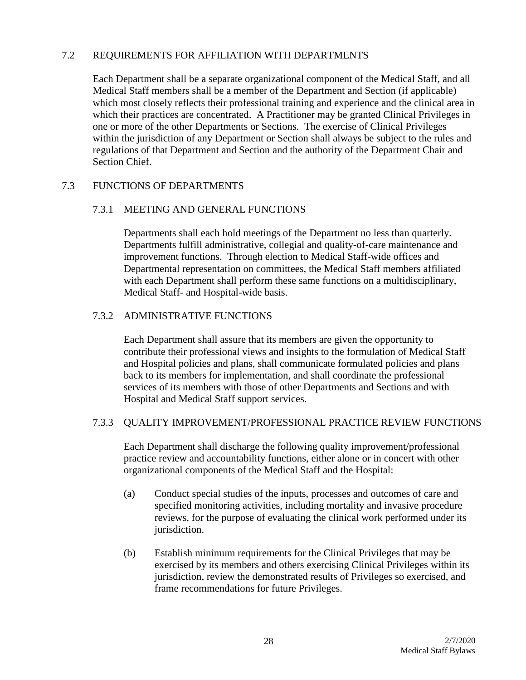### 7.2 REQUIREMENTS FOR AFFILIATION WITH DEPARTMENTS

Each Department shall be a separate organizational component of the Medical Staff, and all Medical Staff members shall be a member of the Department and Section (if applicable) which most closely reflects their professional training and experience and the clinical area in which their practices are concentrated. A Practitioner may be granted Clinical Privileges in one or more of the other Departments or Sections. The exercise of Clinical Privileges within the jurisdiction of any Department or Section shall always be subject to the rules and regulations of that Department and Section and the authority of the Department Chair and Section Chief.

# 7.3 FUNCTIONS OF DEPARTMENTS

### 7.3.1 MEETING AND GENERAL FUNCTIONS

Departments shall each hold meetings of the Department no less than quarterly. Departments fulfill administrative, collegial and quality-of-care maintenance and improvement functions. Through election to Medical Staff-wide offices and Departmental representation on committees, the Medical Staff members affiliated with each Department shall perform these same functions on a multidisciplinary, Medical Staff- and Hospital-wide basis.

## 7.3.2 ADMINISTRATIVE FUNCTIONS

Each Department shall assure that its members are given the opportunity to contribute their professional views and insights to the formulation of Medical Staff and Hospital policies and plans, shall communicate formulated policies and plans back to its members for implementation, and shall coordinate the professional services of its members with those of other Departments and Sections and with Hospital and Medical Staff support services.

### 7.3.3 QUALITY IMPROVEMENT/PROFESSIONAL PRACTICE REVIEW FUNCTIONS

Each Department shall discharge the following quality improvement/professional practice review and accountability functions, either alone or in concert with other organizational components of the Medical Staff and the Hospital:

- (a) Conduct special studies of the inputs, processes and outcomes of care and specified monitoring activities, including mortality and invasive procedure reviews, for the purpose of evaluating the clinical work performed under its jurisdiction.
- (b) Establish minimum requirements for the Clinical Privileges that may be exercised by its members and others exercising Clinical Privileges within its jurisdiction, review the demonstrated results of Privileges so exercised, and frame recommendations for future Privileges.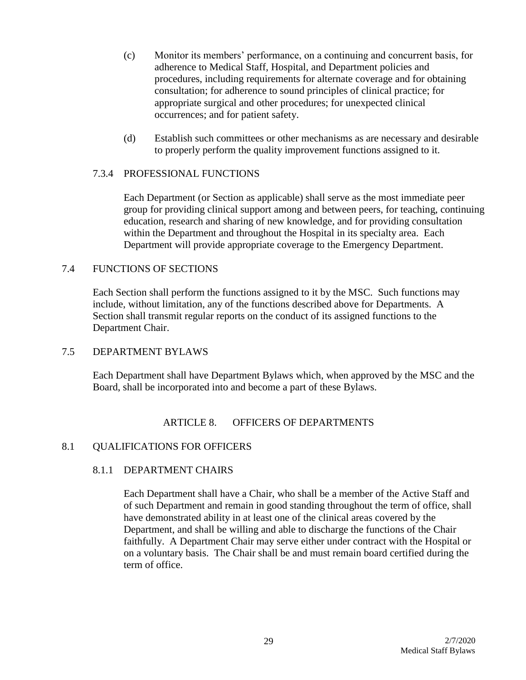- (c) Monitor its members' performance, on a continuing and concurrent basis, for adherence to Medical Staff, Hospital, and Department policies and procedures, including requirements for alternate coverage and for obtaining consultation; for adherence to sound principles of clinical practice; for appropriate surgical and other procedures; for unexpected clinical occurrences; and for patient safety.
- (d) Establish such committees or other mechanisms as are necessary and desirable to properly perform the quality improvement functions assigned to it.

## 7.3.4 PROFESSIONAL FUNCTIONS

Each Department (or Section as applicable) shall serve as the most immediate peer group for providing clinical support among and between peers, for teaching, continuing education, research and sharing of new knowledge, and for providing consultation within the Department and throughout the Hospital in its specialty area. Each Department will provide appropriate coverage to the Emergency Department.

## 7.4 FUNCTIONS OF SECTIONS

Each Section shall perform the functions assigned to it by the MSC. Such functions may include, without limitation, any of the functions described above for Departments. A Section shall transmit regular reports on the conduct of its assigned functions to the Department Chair.

### 7.5 DEPARTMENT BYLAWS

Each Department shall have Department Bylaws which, when approved by the MSC and the Board, shall be incorporated into and become a part of these Bylaws.

### ARTICLE 8. OFFICERS OF DEPARTMENTS

### 8.1 QUALIFICATIONS FOR OFFICERS

### 8.1.1 DEPARTMENT CHAIRS

Each Department shall have a Chair, who shall be a member of the Active Staff and of such Department and remain in good standing throughout the term of office, shall have demonstrated ability in at least one of the clinical areas covered by the Department, and shall be willing and able to discharge the functions of the Chair faithfully. A Department Chair may serve either under contract with the Hospital or on a voluntary basis. The Chair shall be and must remain board certified during the term of office.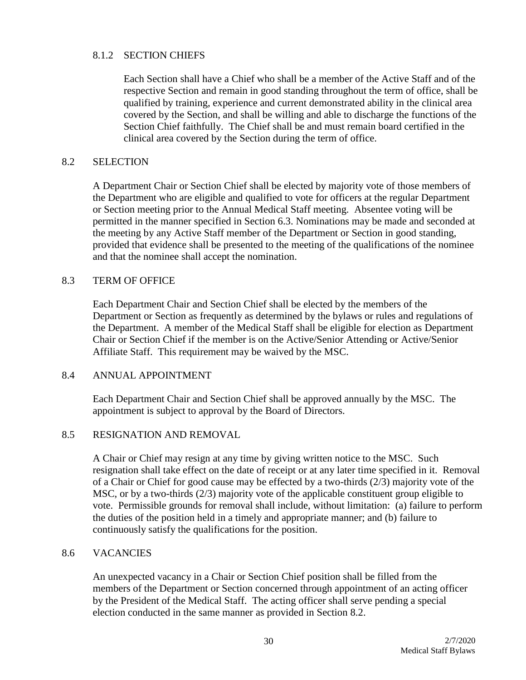### 8.1.2 SECTION CHIEFS

Each Section shall have a Chief who shall be a member of the Active Staff and of the respective Section and remain in good standing throughout the term of office, shall be qualified by training, experience and current demonstrated ability in the clinical area covered by the Section, and shall be willing and able to discharge the functions of the Section Chief faithfully. The Chief shall be and must remain board certified in the clinical area covered by the Section during the term of office.

### 8.2 SELECTION

A Department Chair or Section Chief shall be elected by majority vote of those members of the Department who are eligible and qualified to vote for officers at the regular Department or Section meeting prior to the Annual Medical Staff meeting. Absentee voting will be permitted in the manner specified in Section 6.3. Nominations may be made and seconded at the meeting by any Active Staff member of the Department or Section in good standing, provided that evidence shall be presented to the meeting of the qualifications of the nominee and that the nominee shall accept the nomination.

# 8.3 TERM OF OFFICE

Each Department Chair and Section Chief shall be elected by the members of the Department or Section as frequently as determined by the bylaws or rules and regulations of the Department. A member of the Medical Staff shall be eligible for election as Department Chair or Section Chief if the member is on the Active/Senior Attending or Active/Senior Affiliate Staff. This requirement may be waived by the MSC.

### 8.4 ANNUAL APPOINTMENT

Each Department Chair and Section Chief shall be approved annually by the MSC. The appointment is subject to approval by the Board of Directors.

### 8.5 RESIGNATION AND REMOVAL

A Chair or Chief may resign at any time by giving written notice to the MSC. Such resignation shall take effect on the date of receipt or at any later time specified in it. Removal of a Chair or Chief for good cause may be effected by a two-thirds (2/3) majority vote of the MSC, or by a two-thirds (2/3) majority vote of the applicable constituent group eligible to vote. Permissible grounds for removal shall include, without limitation: (a) failure to perform the duties of the position held in a timely and appropriate manner; and (b) failure to continuously satisfy the qualifications for the position.

#### 8.6 VACANCIES

An unexpected vacancy in a Chair or Section Chief position shall be filled from the members of the Department or Section concerned through appointment of an acting officer by the President of the Medical Staff. The acting officer shall serve pending a special election conducted in the same manner as provided in Section 8.2.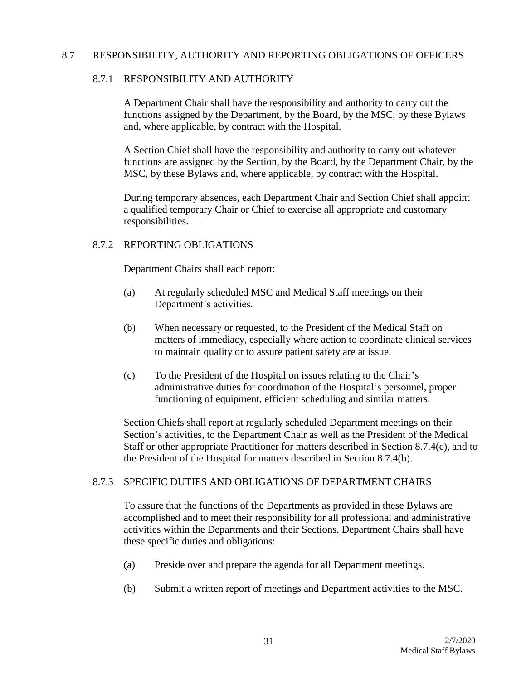#### 8.7 RESPONSIBILITY, AUTHORITY AND REPORTING OBLIGATIONS OF OFFICERS

### 8.7.1 RESPONSIBILITY AND AUTHORITY

A Department Chair shall have the responsibility and authority to carry out the functions assigned by the Department, by the Board, by the MSC, by these Bylaws and, where applicable, by contract with the Hospital.

A Section Chief shall have the responsibility and authority to carry out whatever functions are assigned by the Section, by the Board, by the Department Chair, by the MSC, by these Bylaws and, where applicable, by contract with the Hospital.

During temporary absences, each Department Chair and Section Chief shall appoint a qualified temporary Chair or Chief to exercise all appropriate and customary responsibilities.

#### 8.7.2 REPORTING OBLIGATIONS

Department Chairs shall each report:

- (a) At regularly scheduled MSC and Medical Staff meetings on their Department's activities.
- (b) When necessary or requested, to the President of the Medical Staff on matters of immediacy, especially where action to coordinate clinical services to maintain quality or to assure patient safety are at issue.
- (c) To the President of the Hospital on issues relating to the Chair's administrative duties for coordination of the Hospital's personnel, proper functioning of equipment, efficient scheduling and similar matters.

Section Chiefs shall report at regularly scheduled Department meetings on their Section's activities, to the Department Chair as well as the President of the Medical Staff or other appropriate Practitioner for matters described in Section 8.7.4(c), and to the President of the Hospital for matters described in Section 8.7.4(b).

# 8.7.3 SPECIFIC DUTIES AND OBLIGATIONS OF DEPARTMENT CHAIRS

To assure that the functions of the Departments as provided in these Bylaws are accomplished and to meet their responsibility for all professional and administrative activities within the Departments and their Sections, Department Chairs shall have these specific duties and obligations:

- (a) Preside over and prepare the agenda for all Department meetings.
- (b) Submit a written report of meetings and Department activities to the MSC.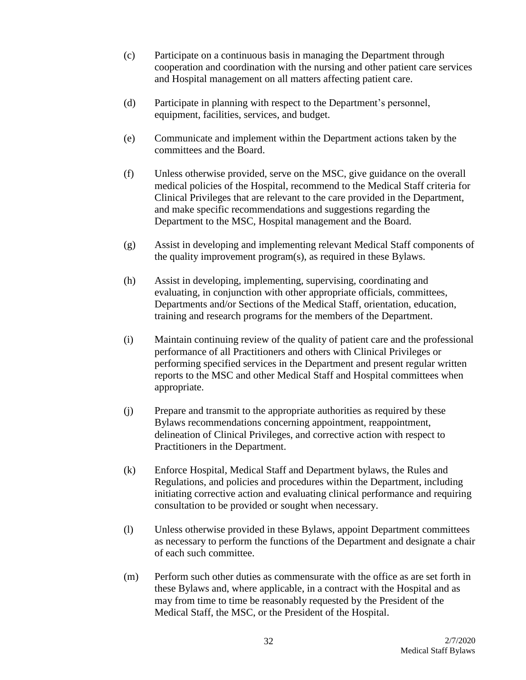- (c) Participate on a continuous basis in managing the Department through cooperation and coordination with the nursing and other patient care services and Hospital management on all matters affecting patient care.
- (d) Participate in planning with respect to the Department's personnel, equipment, facilities, services, and budget.
- (e) Communicate and implement within the Department actions taken by the committees and the Board.
- (f) Unless otherwise provided, serve on the MSC, give guidance on the overall medical policies of the Hospital, recommend to the Medical Staff criteria for Clinical Privileges that are relevant to the care provided in the Department, and make specific recommendations and suggestions regarding the Department to the MSC, Hospital management and the Board.
- (g) Assist in developing and implementing relevant Medical Staff components of the quality improvement program(s), as required in these Bylaws.
- (h) Assist in developing, implementing, supervising, coordinating and evaluating, in conjunction with other appropriate officials, committees, Departments and/or Sections of the Medical Staff, orientation, education, training and research programs for the members of the Department.
- (i) Maintain continuing review of the quality of patient care and the professional performance of all Practitioners and others with Clinical Privileges or performing specified services in the Department and present regular written reports to the MSC and other Medical Staff and Hospital committees when appropriate.
- (j) Prepare and transmit to the appropriate authorities as required by these Bylaws recommendations concerning appointment, reappointment, delineation of Clinical Privileges, and corrective action with respect to Practitioners in the Department.
- (k) Enforce Hospital, Medical Staff and Department bylaws, the Rules and Regulations, and policies and procedures within the Department, including initiating corrective action and evaluating clinical performance and requiring consultation to be provided or sought when necessary.
- (l) Unless otherwise provided in these Bylaws, appoint Department committees as necessary to perform the functions of the Department and designate a chair of each such committee.
- (m) Perform such other duties as commensurate with the office as are set forth in these Bylaws and, where applicable, in a contract with the Hospital and as may from time to time be reasonably requested by the President of the Medical Staff, the MSC, or the President of the Hospital.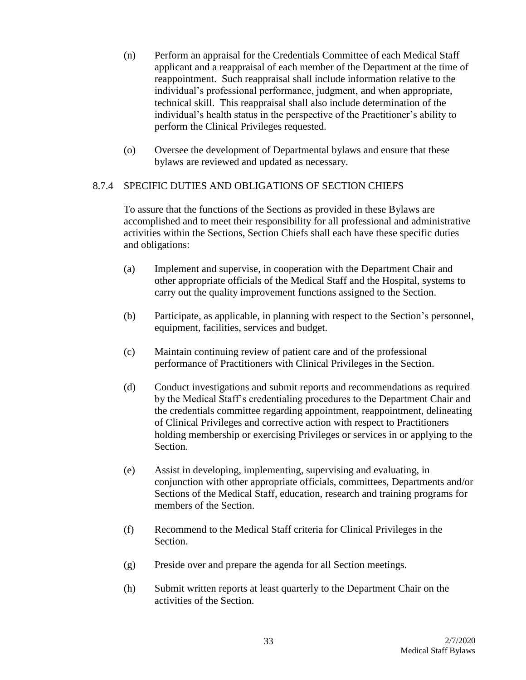- (n) Perform an appraisal for the Credentials Committee of each Medical Staff applicant and a reappraisal of each member of the Department at the time of reappointment. Such reappraisal shall include information relative to the individual's professional performance, judgment, and when appropriate, technical skill. This reappraisal shall also include determination of the individual's health status in the perspective of the Practitioner's ability to perform the Clinical Privileges requested.
- (o) Oversee the development of Departmental bylaws and ensure that these bylaws are reviewed and updated as necessary.

# 8.7.4 SPECIFIC DUTIES AND OBLIGATIONS OF SECTION CHIEFS

To assure that the functions of the Sections as provided in these Bylaws are accomplished and to meet their responsibility for all professional and administrative activities within the Sections, Section Chiefs shall each have these specific duties and obligations:

- (a) Implement and supervise, in cooperation with the Department Chair and other appropriate officials of the Medical Staff and the Hospital, systems to carry out the quality improvement functions assigned to the Section.
- (b) Participate, as applicable, in planning with respect to the Section's personnel, equipment, facilities, services and budget.
- (c) Maintain continuing review of patient care and of the professional performance of Practitioners with Clinical Privileges in the Section.
- (d) Conduct investigations and submit reports and recommendations as required by the Medical Staff's credentialing procedures to the Department Chair and the credentials committee regarding appointment, reappointment, delineating of Clinical Privileges and corrective action with respect to Practitioners holding membership or exercising Privileges or services in or applying to the Section.
- (e) Assist in developing, implementing, supervising and evaluating, in conjunction with other appropriate officials, committees, Departments and/or Sections of the Medical Staff, education, research and training programs for members of the Section.
- (f) Recommend to the Medical Staff criteria for Clinical Privileges in the Section.
- (g) Preside over and prepare the agenda for all Section meetings.
- (h) Submit written reports at least quarterly to the Department Chair on the activities of the Section.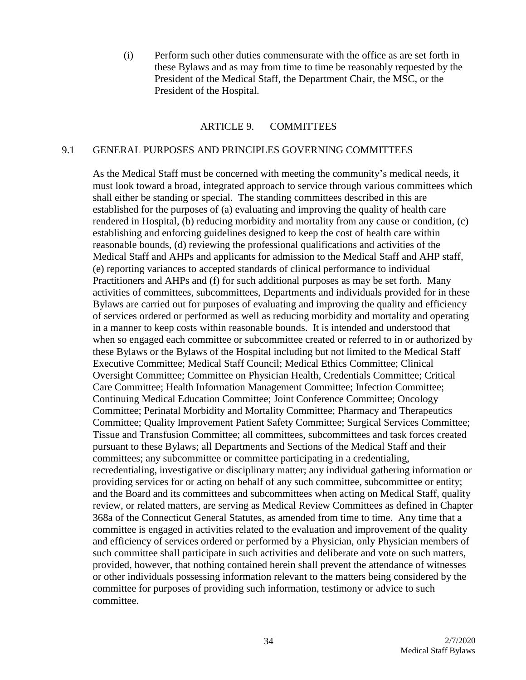(i) Perform such other duties commensurate with the office as are set forth in these Bylaws and as may from time to time be reasonably requested by the President of the Medical Staff, the Department Chair, the MSC, or the President of the Hospital.

#### ARTICLE 9. COMMITTEES

#### 9.1 GENERAL PURPOSES AND PRINCIPLES GOVERNING COMMITTEES

As the Medical Staff must be concerned with meeting the community's medical needs, it must look toward a broad, integrated approach to service through various committees which shall either be standing or special. The standing committees described in this are established for the purposes of (a) evaluating and improving the quality of health care rendered in Hospital, (b) reducing morbidity and mortality from any cause or condition, (c) establishing and enforcing guidelines designed to keep the cost of health care within reasonable bounds, (d) reviewing the professional qualifications and activities of the Medical Staff and AHPs and applicants for admission to the Medical Staff and AHP staff, (e) reporting variances to accepted standards of clinical performance to individual Practitioners and AHPs and (f) for such additional purposes as may be set forth. Many activities of committees, subcommittees, Departments and individuals provided for in these Bylaws are carried out for purposes of evaluating and improving the quality and efficiency of services ordered or performed as well as reducing morbidity and mortality and operating in a manner to keep costs within reasonable bounds. It is intended and understood that when so engaged each committee or subcommittee created or referred to in or authorized by these Bylaws or the Bylaws of the Hospital including but not limited to the Medical Staff Executive Committee; Medical Staff Council; Medical Ethics Committee; Clinical Oversight Committee; Committee on Physician Health, Credentials Committee; Critical Care Committee; Health Information Management Committee; Infection Committee; Continuing Medical Education Committee; Joint Conference Committee; Oncology Committee; Perinatal Morbidity and Mortality Committee; Pharmacy and Therapeutics Committee; Quality Improvement Patient Safety Committee; Surgical Services Committee; Tissue and Transfusion Committee; all committees, subcommittees and task forces created pursuant to these Bylaws; all Departments and Sections of the Medical Staff and their committees; any subcommittee or committee participating in a credentialing, recredentialing, investigative or disciplinary matter; any individual gathering information or providing services for or acting on behalf of any such committee, subcommittee or entity; and the Board and its committees and subcommittees when acting on Medical Staff, quality review, or related matters, are serving as Medical Review Committees as defined in Chapter 368a of the Connecticut General Statutes, as amended from time to time. Any time that a committee is engaged in activities related to the evaluation and improvement of the quality and efficiency of services ordered or performed by a Physician, only Physician members of such committee shall participate in such activities and deliberate and vote on such matters, provided, however, that nothing contained herein shall prevent the attendance of witnesses or other individuals possessing information relevant to the matters being considered by the committee for purposes of providing such information, testimony or advice to such committee.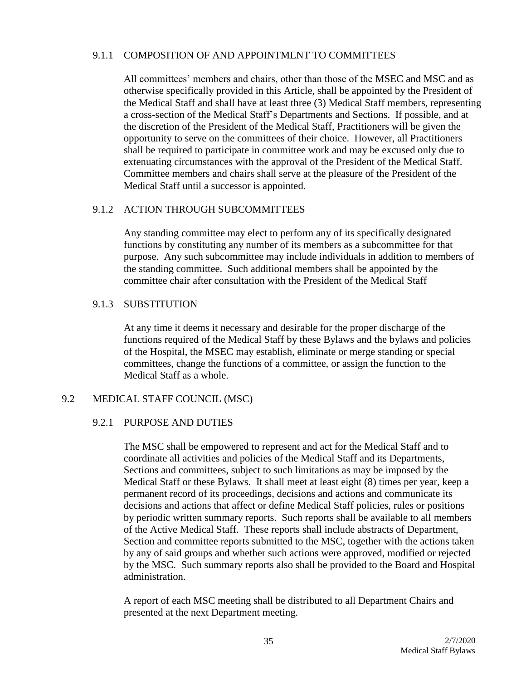### 9.1.1 COMPOSITION OF AND APPOINTMENT TO COMMITTEES

All committees' members and chairs, other than those of the MSEC and MSC and as otherwise specifically provided in this Article, shall be appointed by the President of the Medical Staff and shall have at least three (3) Medical Staff members, representing a cross-section of the Medical Staff's Departments and Sections. If possible, and at the discretion of the President of the Medical Staff, Practitioners will be given the opportunity to serve on the committees of their choice. However, all Practitioners shall be required to participate in committee work and may be excused only due to extenuating circumstances with the approval of the President of the Medical Staff. Committee members and chairs shall serve at the pleasure of the President of the Medical Staff until a successor is appointed.

## 9.1.2 ACTION THROUGH SUBCOMMITTEES

Any standing committee may elect to perform any of its specifically designated functions by constituting any number of its members as a subcommittee for that purpose. Any such subcommittee may include individuals in addition to members of the standing committee. Such additional members shall be appointed by the committee chair after consultation with the President of the Medical Staff

## 9.1.3 SUBSTITUTION

At any time it deems it necessary and desirable for the proper discharge of the functions required of the Medical Staff by these Bylaws and the bylaws and policies of the Hospital, the MSEC may establish, eliminate or merge standing or special committees, change the functions of a committee, or assign the function to the Medical Staff as a whole.

# 9.2 MEDICAL STAFF COUNCIL (MSC)

# 9.2.1 PURPOSE AND DUTIES

The MSC shall be empowered to represent and act for the Medical Staff and to coordinate all activities and policies of the Medical Staff and its Departments, Sections and committees, subject to such limitations as may be imposed by the Medical Staff or these Bylaws. It shall meet at least eight (8) times per year, keep a permanent record of its proceedings, decisions and actions and communicate its decisions and actions that affect or define Medical Staff policies, rules or positions by periodic written summary reports. Such reports shall be available to all members of the Active Medical Staff. These reports shall include abstracts of Department, Section and committee reports submitted to the MSC, together with the actions taken by any of said groups and whether such actions were approved, modified or rejected by the MSC. Such summary reports also shall be provided to the Board and Hospital administration.

A report of each MSC meeting shall be distributed to all Department Chairs and presented at the next Department meeting.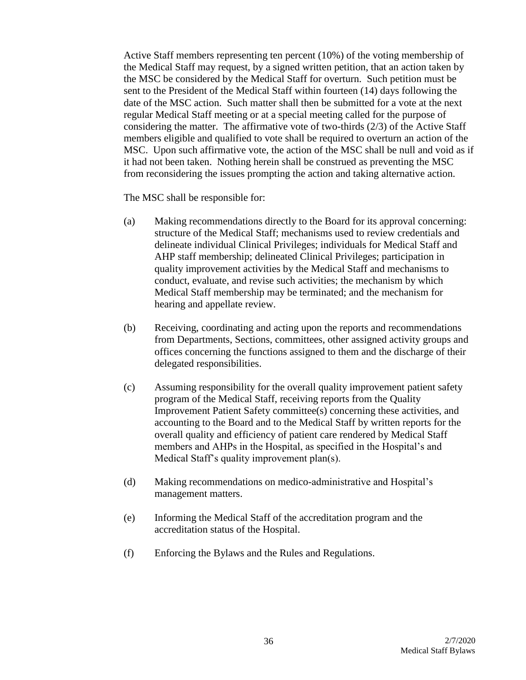Active Staff members representing ten percent (10%) of the voting membership of the Medical Staff may request, by a signed written petition, that an action taken by the MSC be considered by the Medical Staff for overturn. Such petition must be sent to the President of the Medical Staff within fourteen (14) days following the date of the MSC action. Such matter shall then be submitted for a vote at the next regular Medical Staff meeting or at a special meeting called for the purpose of considering the matter. The affirmative vote of two-thirds (2/3) of the Active Staff members eligible and qualified to vote shall be required to overturn an action of the MSC. Upon such affirmative vote, the action of the MSC shall be null and void as if it had not been taken. Nothing herein shall be construed as preventing the MSC from reconsidering the issues prompting the action and taking alternative action.

The MSC shall be responsible for:

- (a) Making recommendations directly to the Board for its approval concerning: structure of the Medical Staff; mechanisms used to review credentials and delineate individual Clinical Privileges; individuals for Medical Staff and AHP staff membership; delineated Clinical Privileges; participation in quality improvement activities by the Medical Staff and mechanisms to conduct, evaluate, and revise such activities; the mechanism by which Medical Staff membership may be terminated; and the mechanism for hearing and appellate review.
- (b) Receiving, coordinating and acting upon the reports and recommendations from Departments, Sections, committees, other assigned activity groups and offices concerning the functions assigned to them and the discharge of their delegated responsibilities.
- (c) Assuming responsibility for the overall quality improvement patient safety program of the Medical Staff, receiving reports from the Quality Improvement Patient Safety committee(s) concerning these activities, and accounting to the Board and to the Medical Staff by written reports for the overall quality and efficiency of patient care rendered by Medical Staff members and AHPs in the Hospital, as specified in the Hospital's and Medical Staff's quality improvement plan(s).
- (d) Making recommendations on medico-administrative and Hospital's management matters.
- (e) Informing the Medical Staff of the accreditation program and the accreditation status of the Hospital.
- (f) Enforcing the Bylaws and the Rules and Regulations.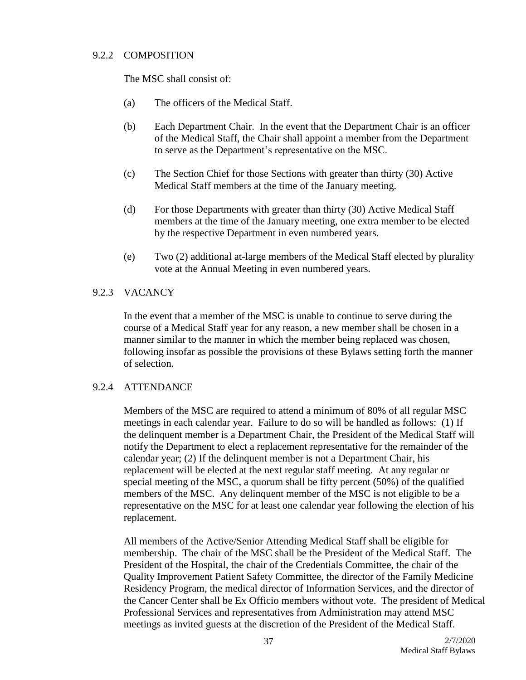### 9.2.2 COMPOSITION

The MSC shall consist of:

- (a) The officers of the Medical Staff.
- (b) Each Department Chair. In the event that the Department Chair is an officer of the Medical Staff, the Chair shall appoint a member from the Department to serve as the Department's representative on the MSC.
- (c) The Section Chief for those Sections with greater than thirty (30) Active Medical Staff members at the time of the January meeting.
- (d) For those Departments with greater than thirty (30) Active Medical Staff members at the time of the January meeting, one extra member to be elected by the respective Department in even numbered years.
- (e) Two (2) additional at-large members of the Medical Staff elected by plurality vote at the Annual Meeting in even numbered years.

# 9.2.3 VACANCY

In the event that a member of the MSC is unable to continue to serve during the course of a Medical Staff year for any reason, a new member shall be chosen in a manner similar to the manner in which the member being replaced was chosen, following insofar as possible the provisions of these Bylaws setting forth the manner of selection.

# 9.2.4 ATTENDANCE

Members of the MSC are required to attend a minimum of 80% of all regular MSC meetings in each calendar year. Failure to do so will be handled as follows: (1) If the delinquent member is a Department Chair, the President of the Medical Staff will notify the Department to elect a replacement representative for the remainder of the calendar year; (2) If the delinquent member is not a Department Chair, his replacement will be elected at the next regular staff meeting. At any regular or special meeting of the MSC, a quorum shall be fifty percent (50%) of the qualified members of the MSC. Any delinquent member of the MSC is not eligible to be a representative on the MSC for at least one calendar year following the election of his replacement.

All members of the Active/Senior Attending Medical Staff shall be eligible for membership. The chair of the MSC shall be the President of the Medical Staff. The President of the Hospital, the chair of the Credentials Committee, the chair of the Quality Improvement Patient Safety Committee, the director of the Family Medicine Residency Program, the medical director of Information Services, and the director of the Cancer Center shall be Ex Officio members without vote. The president of Medical Professional Services and representatives from Administration may attend MSC meetings as invited guests at the discretion of the President of the Medical Staff.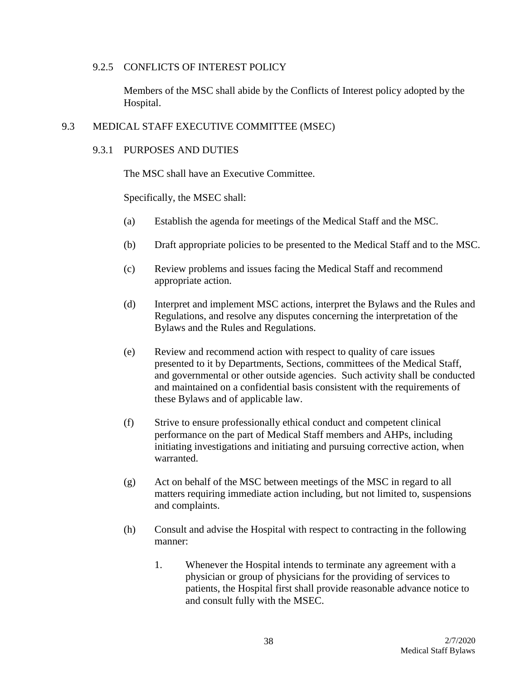### 9.2.5 CONFLICTS OF INTEREST POLICY

Members of the MSC shall abide by the Conflicts of Interest policy adopted by the Hospital.

### 9.3 MEDICAL STAFF EXECUTIVE COMMITTEE (MSEC)

## 9.3.1 PURPOSES AND DUTIES

The MSC shall have an Executive Committee.

Specifically, the MSEC shall:

- (a) Establish the agenda for meetings of the Medical Staff and the MSC.
- (b) Draft appropriate policies to be presented to the Medical Staff and to the MSC.
- (c) Review problems and issues facing the Medical Staff and recommend appropriate action.
- (d) Interpret and implement MSC actions, interpret the Bylaws and the Rules and Regulations, and resolve any disputes concerning the interpretation of the Bylaws and the Rules and Regulations.
- (e) Review and recommend action with respect to quality of care issues presented to it by Departments, Sections, committees of the Medical Staff, and governmental or other outside agencies. Such activity shall be conducted and maintained on a confidential basis consistent with the requirements of these Bylaws and of applicable law.
- (f) Strive to ensure professionally ethical conduct and competent clinical performance on the part of Medical Staff members and AHPs, including initiating investigations and initiating and pursuing corrective action, when warranted.
- (g) Act on behalf of the MSC between meetings of the MSC in regard to all matters requiring immediate action including, but not limited to, suspensions and complaints.
- (h) Consult and advise the Hospital with respect to contracting in the following manner:
	- 1. Whenever the Hospital intends to terminate any agreement with a physician or group of physicians for the providing of services to patients, the Hospital first shall provide reasonable advance notice to and consult fully with the MSEC.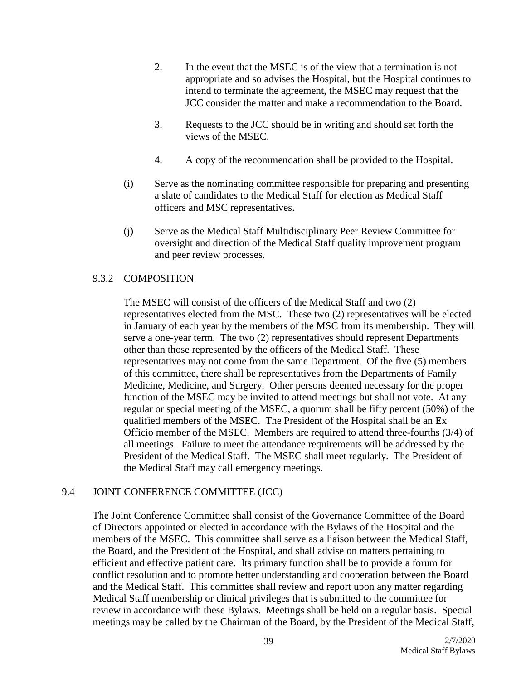- 2. In the event that the MSEC is of the view that a termination is not appropriate and so advises the Hospital, but the Hospital continues to intend to terminate the agreement, the MSEC may request that the JCC consider the matter and make a recommendation to the Board.
- 3. Requests to the JCC should be in writing and should set forth the views of the MSEC.
- 4. A copy of the recommendation shall be provided to the Hospital.
- (i) Serve as the nominating committee responsible for preparing and presenting a slate of candidates to the Medical Staff for election as Medical Staff officers and MSC representatives.
- (j) Serve as the Medical Staff Multidisciplinary Peer Review Committee for oversight and direction of the Medical Staff quality improvement program and peer review processes.

# 9.3.2 COMPOSITION

The MSEC will consist of the officers of the Medical Staff and two (2) representatives elected from the MSC. These two (2) representatives will be elected in January of each year by the members of the MSC from its membership. They will serve a one-year term. The two (2) representatives should represent Departments other than those represented by the officers of the Medical Staff. These representatives may not come from the same Department. Of the five (5) members of this committee, there shall be representatives from the Departments of Family Medicine, Medicine, and Surgery. Other persons deemed necessary for the proper function of the MSEC may be invited to attend meetings but shall not vote. At any regular or special meeting of the MSEC, a quorum shall be fifty percent (50%) of the qualified members of the MSEC. The President of the Hospital shall be an Ex Officio member of the MSEC. Members are required to attend three-fourths (3/4) of all meetings. Failure to meet the attendance requirements will be addressed by the President of the Medical Staff. The MSEC shall meet regularly. The President of the Medical Staff may call emergency meetings.

# 9.4 JOINT CONFERENCE COMMITTEE (JCC)

The Joint Conference Committee shall consist of the Governance Committee of the Board of Directors appointed or elected in accordance with the Bylaws of the Hospital and the members of the MSEC. This committee shall serve as a liaison between the Medical Staff, the Board, and the President of the Hospital, and shall advise on matters pertaining to efficient and effective patient care. Its primary function shall be to provide a forum for conflict resolution and to promote better understanding and cooperation between the Board and the Medical Staff. This committee shall review and report upon any matter regarding Medical Staff membership or clinical privileges that is submitted to the committee for review in accordance with these Bylaws. Meetings shall be held on a regular basis. Special meetings may be called by the Chairman of the Board, by the President of the Medical Staff,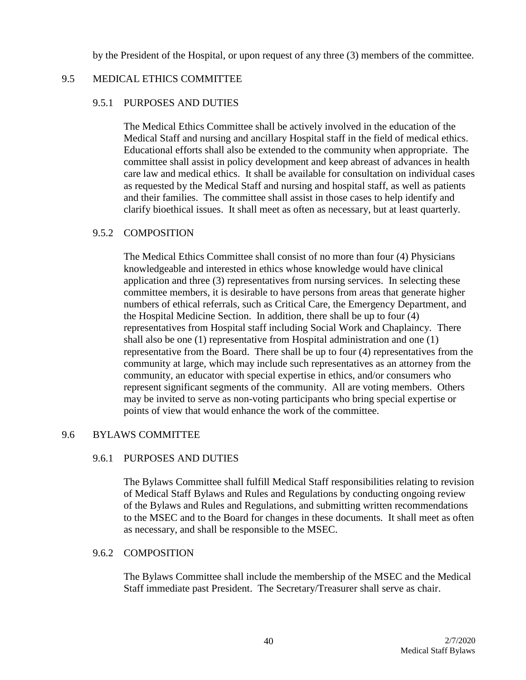by the President of the Hospital, or upon request of any three (3) members of the committee.

## 9.5 MEDICAL ETHICS COMMITTEE

#### 9.5.1 PURPOSES AND DUTIES

The Medical Ethics Committee shall be actively involved in the education of the Medical Staff and nursing and ancillary Hospital staff in the field of medical ethics. Educational efforts shall also be extended to the community when appropriate. The committee shall assist in policy development and keep abreast of advances in health care law and medical ethics. It shall be available for consultation on individual cases as requested by the Medical Staff and nursing and hospital staff, as well as patients and their families. The committee shall assist in those cases to help identify and clarify bioethical issues. It shall meet as often as necessary, but at least quarterly.

## 9.5.2 COMPOSITION

The Medical Ethics Committee shall consist of no more than four (4) Physicians knowledgeable and interested in ethics whose knowledge would have clinical application and three (3) representatives from nursing services. In selecting these committee members, it is desirable to have persons from areas that generate higher numbers of ethical referrals, such as Critical Care, the Emergency Department, and the Hospital Medicine Section. In addition, there shall be up to four (4) representatives from Hospital staff including Social Work and Chaplaincy. There shall also be one (1) representative from Hospital administration and one (1) representative from the Board. There shall be up to four (4) representatives from the community at large, which may include such representatives as an attorney from the community, an educator with special expertise in ethics, and/or consumers who represent significant segments of the community. All are voting members. Others may be invited to serve as non-voting participants who bring special expertise or points of view that would enhance the work of the committee.

# 9.6 BYLAWS COMMITTEE

### 9.6.1 PURPOSES AND DUTIES

The Bylaws Committee shall fulfill Medical Staff responsibilities relating to revision of Medical Staff Bylaws and Rules and Regulations by conducting ongoing review of the Bylaws and Rules and Regulations, and submitting written recommendations to the MSEC and to the Board for changes in these documents. It shall meet as often as necessary, and shall be responsible to the MSEC.

### 9.6.2 COMPOSITION

The Bylaws Committee shall include the membership of the MSEC and the Medical Staff immediate past President. The Secretary/Treasurer shall serve as chair.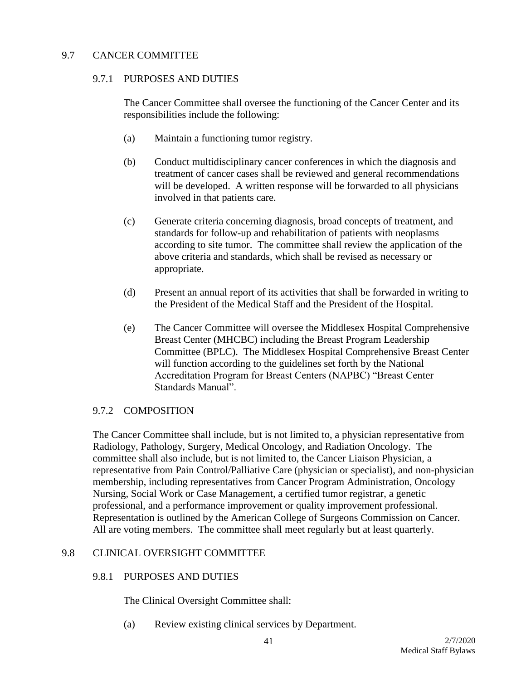# 9.7 CANCER COMMITTEE

## 9.7.1 PURPOSES AND DUTIES

The Cancer Committee shall oversee the functioning of the Cancer Center and its responsibilities include the following:

- (a) Maintain a functioning tumor registry.
- (b) Conduct multidisciplinary cancer conferences in which the diagnosis and treatment of cancer cases shall be reviewed and general recommendations will be developed. A written response will be forwarded to all physicians involved in that patients care.
- (c) Generate criteria concerning diagnosis, broad concepts of treatment, and standards for follow-up and rehabilitation of patients with neoplasms according to site tumor. The committee shall review the application of the above criteria and standards, which shall be revised as necessary or appropriate.
- (d) Present an annual report of its activities that shall be forwarded in writing to the President of the Medical Staff and the President of the Hospital.
- (e) The Cancer Committee will oversee the Middlesex Hospital Comprehensive Breast Center (MHCBC) including the Breast Program Leadership Committee (BPLC). The Middlesex Hospital Comprehensive Breast Center will function according to the guidelines set forth by the National Accreditation Program for Breast Centers (NAPBC) "Breast Center Standards Manual".

# 9.7.2 COMPOSITION

The Cancer Committee shall include, but is not limited to, a physician representative from Radiology, Pathology, Surgery, Medical Oncology, and Radiation Oncology. The committee shall also include, but is not limited to, the Cancer Liaison Physician, a representative from Pain Control/Palliative Care (physician or specialist), and non-physician membership, including representatives from Cancer Program Administration, Oncology Nursing, Social Work or Case Management, a certified tumor registrar, a genetic professional, and a performance improvement or quality improvement professional. Representation is outlined by the American College of Surgeons Commission on Cancer. All are voting members. The committee shall meet regularly but at least quarterly.

# 9.8 CLINICAL OVERSIGHT COMMITTEE

### 9.8.1 PURPOSES AND DUTIES

The Clinical Oversight Committee shall:

(a) Review existing clinical services by Department.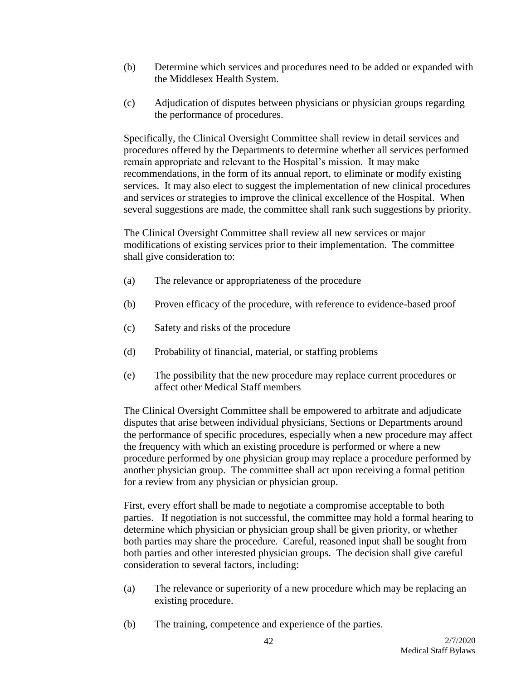- (b) Determine which services and procedures need to be added or expanded with the Middlesex Health System.
- (c) Adjudication of disputes between physicians or physician groups regarding the performance of procedures.

Specifically, the Clinical Oversight Committee shall review in detail services and procedures offered by the Departments to determine whether all services performed remain appropriate and relevant to the Hospital's mission. It may make recommendations, in the form of its annual report, to eliminate or modify existing services. It may also elect to suggest the implementation of new clinical procedures and services or strategies to improve the clinical excellence of the Hospital. When several suggestions are made, the committee shall rank such suggestions by priority.

The Clinical Oversight Committee shall review all new services or major modifications of existing services prior to their implementation. The committee shall give consideration to:

- (a) The relevance or appropriateness of the procedure
- (b) Proven efficacy of the procedure, with reference to evidence-based proof
- (c) Safety and risks of the procedure
- (d) Probability of financial, material, or staffing problems
- (e) The possibility that the new procedure may replace current procedures or affect other Medical Staff members

The Clinical Oversight Committee shall be empowered to arbitrate and adjudicate disputes that arise between individual physicians, Sections or Departments around the performance of specific procedures, especially when a new procedure may affect the frequency with which an existing procedure is performed or where a new procedure performed by one physician group may replace a procedure performed by another physician group. The committee shall act upon receiving a formal petition for a review from any physician or physician group.

First, every effort shall be made to negotiate a compromise acceptable to both parties. If negotiation is not successful, the committee may hold a formal hearing to determine which physician or physician group shall be given priority, or whether both parties may share the procedure. Careful, reasoned input shall be sought from both parties and other interested physician groups. The decision shall give careful consideration to several factors, including:

- (a) The relevance or superiority of a new procedure which may be replacing an existing procedure.
- (b) The training, competence and experience of the parties.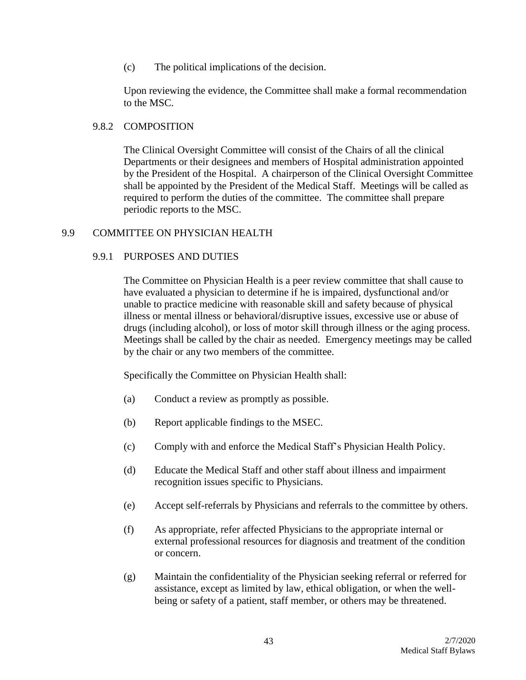(c) The political implications of the decision.

Upon reviewing the evidence, the Committee shall make a formal recommendation to the MSC.

### 9.8.2 COMPOSITION

The Clinical Oversight Committee will consist of the Chairs of all the clinical Departments or their designees and members of Hospital administration appointed by the President of the Hospital. A chairperson of the Clinical Oversight Committee shall be appointed by the President of the Medical Staff. Meetings will be called as required to perform the duties of the committee. The committee shall prepare periodic reports to the MSC.

## 9.9 COMMITTEE ON PHYSICIAN HEALTH

## 9.9.1 PURPOSES AND DUTIES

The Committee on Physician Health is a peer review committee that shall cause to have evaluated a physician to determine if he is impaired, dysfunctional and/or unable to practice medicine with reasonable skill and safety because of physical illness or mental illness or behavioral/disruptive issues, excessive use or abuse of drugs (including alcohol), or loss of motor skill through illness or the aging process. Meetings shall be called by the chair as needed. Emergency meetings may be called by the chair or any two members of the committee.

Specifically the Committee on Physician Health shall:

- (a) Conduct a review as promptly as possible.
- (b) Report applicable findings to the MSEC.
- (c) Comply with and enforce the Medical Staff's Physician Health Policy.
- (d) Educate the Medical Staff and other staff about illness and impairment recognition issues specific to Physicians.
- (e) Accept self-referrals by Physicians and referrals to the committee by others.
- (f) As appropriate, refer affected Physicians to the appropriate internal or external professional resources for diagnosis and treatment of the condition or concern.
- (g) Maintain the confidentiality of the Physician seeking referral or referred for assistance, except as limited by law, ethical obligation, or when the wellbeing or safety of a patient, staff member, or others may be threatened.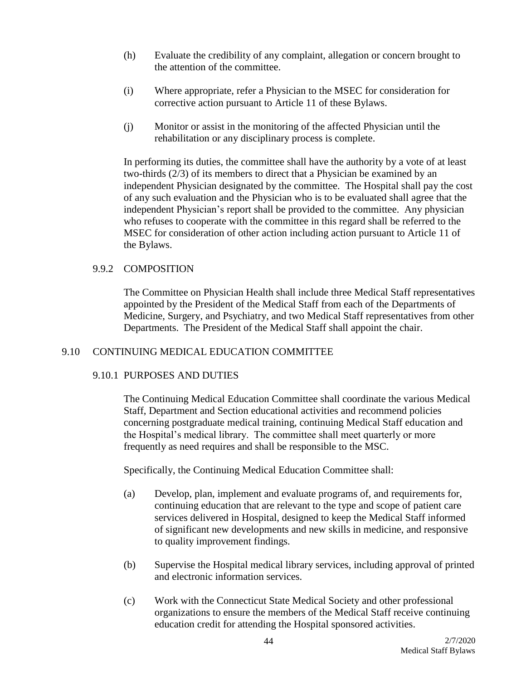- (h) Evaluate the credibility of any complaint, allegation or concern brought to the attention of the committee.
- (i) Where appropriate, refer a Physician to the MSEC for consideration for corrective action pursuant to Article 11 of these Bylaws.
- (j) Monitor or assist in the monitoring of the affected Physician until the rehabilitation or any disciplinary process is complete.

In performing its duties, the committee shall have the authority by a vote of at least two-thirds (2/3) of its members to direct that a Physician be examined by an independent Physician designated by the committee. The Hospital shall pay the cost of any such evaluation and the Physician who is to be evaluated shall agree that the independent Physician's report shall be provided to the committee. Any physician who refuses to cooperate with the committee in this regard shall be referred to the MSEC for consideration of other action including action pursuant to Article 11 of the Bylaws.

## 9.9.2 COMPOSITION

The Committee on Physician Health shall include three Medical Staff representatives appointed by the President of the Medical Staff from each of the Departments of Medicine, Surgery, and Psychiatry, and two Medical Staff representatives from other Departments. The President of the Medical Staff shall appoint the chair.

# 9.10 CONTINUING MEDICAL EDUCATION COMMITTEE

# 9.10.1 PURPOSES AND DUTIES

The Continuing Medical Education Committee shall coordinate the various Medical Staff, Department and Section educational activities and recommend policies concerning postgraduate medical training, continuing Medical Staff education and the Hospital's medical library. The committee shall meet quarterly or more frequently as need requires and shall be responsible to the MSC.

Specifically, the Continuing Medical Education Committee shall:

- (a) Develop, plan, implement and evaluate programs of, and requirements for, continuing education that are relevant to the type and scope of patient care services delivered in Hospital, designed to keep the Medical Staff informed of significant new developments and new skills in medicine, and responsive to quality improvement findings.
- (b) Supervise the Hospital medical library services, including approval of printed and electronic information services.
- (c) Work with the Connecticut State Medical Society and other professional organizations to ensure the members of the Medical Staff receive continuing education credit for attending the Hospital sponsored activities.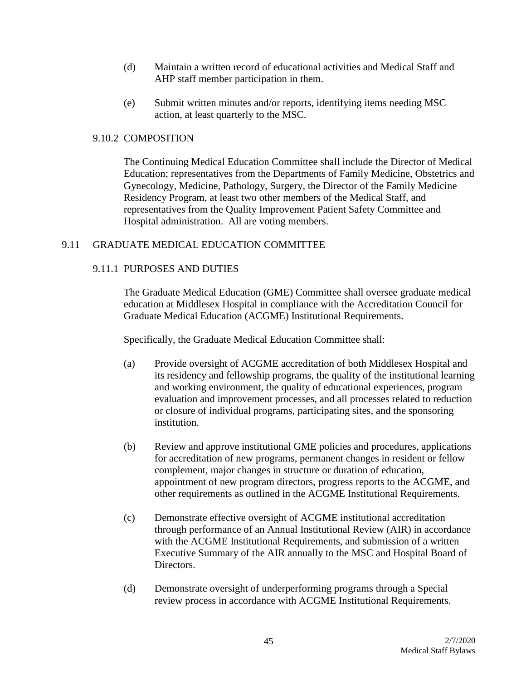- (d) Maintain a written record of educational activities and Medical Staff and AHP staff member participation in them.
- (e) Submit written minutes and/or reports, identifying items needing MSC action, at least quarterly to the MSC.

## 9.10.2 COMPOSITION

The Continuing Medical Education Committee shall include the Director of Medical Education; representatives from the Departments of Family Medicine, Obstetrics and Gynecology, Medicine, Pathology, Surgery, the Director of the Family Medicine Residency Program, at least two other members of the Medical Staff, and representatives from the Quality Improvement Patient Safety Committee and Hospital administration. All are voting members.

# 9.11 GRADUATE MEDICAL EDUCATION COMMITTEE

## 9.11.1 PURPOSES AND DUTIES

The Graduate Medical Education (GME) Committee shall oversee graduate medical education at Middlesex Hospital in compliance with the Accreditation Council for Graduate Medical Education (ACGME) Institutional Requirements.

Specifically, the Graduate Medical Education Committee shall:

- (a) Provide oversight of ACGME accreditation of both Middlesex Hospital and its residency and fellowship programs, the quality of the institutional learning and working environment, the quality of educational experiences, program evaluation and improvement processes, and all processes related to reduction or closure of individual programs, participating sites, and the sponsoring institution.
- (b) Review and approve institutional GME policies and procedures, applications for accreditation of new programs, permanent changes in resident or fellow complement, major changes in structure or duration of education, appointment of new program directors, progress reports to the ACGME, and other requirements as outlined in the ACGME Institutional Requirements.
- (c) Demonstrate effective oversight of ACGME institutional accreditation through performance of an Annual Institutional Review (AIR) in accordance with the ACGME Institutional Requirements, and submission of a written Executive Summary of the AIR annually to the MSC and Hospital Board of Directors.
- (d) Demonstrate oversight of underperforming programs through a Special review process in accordance with ACGME Institutional Requirements.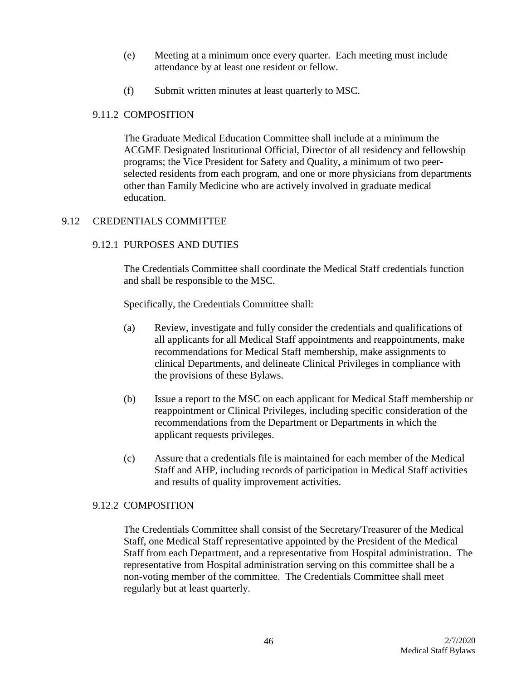- (e) Meeting at a minimum once every quarter. Each meeting must include attendance by at least one resident or fellow.
- (f) Submit written minutes at least quarterly to MSC.

## 9.11.2 COMPOSITION

The Graduate Medical Education Committee shall include at a minimum the ACGME Designated Institutional Official, Director of all residency and fellowship programs; the Vice President for Safety and Quality, a minimum of two peerselected residents from each program, and one or more physicians from departments other than Family Medicine who are actively involved in graduate medical education.

# 9.12 CREDENTIALS COMMITTEE

## 9.12.1 PURPOSES AND DUTIES

The Credentials Committee shall coordinate the Medical Staff credentials function and shall be responsible to the MSC.

Specifically, the Credentials Committee shall:

- (a) Review, investigate and fully consider the credentials and qualifications of all applicants for all Medical Staff appointments and reappointments, make recommendations for Medical Staff membership, make assignments to clinical Departments, and delineate Clinical Privileges in compliance with the provisions of these Bylaws.
- (b) Issue a report to the MSC on each applicant for Medical Staff membership or reappointment or Clinical Privileges, including specific consideration of the recommendations from the Department or Departments in which the applicant requests privileges.
- (c) Assure that a credentials file is maintained for each member of the Medical Staff and AHP, including records of participation in Medical Staff activities and results of quality improvement activities.

### 9.12.2 COMPOSITION

The Credentials Committee shall consist of the Secretary/Treasurer of the Medical Staff, one Medical Staff representative appointed by the President of the Medical Staff from each Department, and a representative from Hospital administration. The representative from Hospital administration serving on this committee shall be a non-voting member of the committee. The Credentials Committee shall meet regularly but at least quarterly.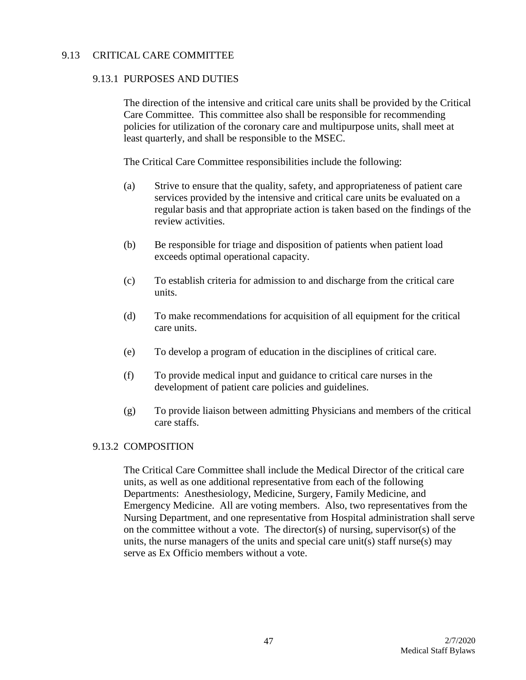## 9.13 CRITICAL CARE COMMITTEE

### 9.13.1 PURPOSES AND DUTIES

The direction of the intensive and critical care units shall be provided by the Critical Care Committee. This committee also shall be responsible for recommending policies for utilization of the coronary care and multipurpose units, shall meet at least quarterly, and shall be responsible to the MSEC.

The Critical Care Committee responsibilities include the following:

- (a) Strive to ensure that the quality, safety, and appropriateness of patient care services provided by the intensive and critical care units be evaluated on a regular basis and that appropriate action is taken based on the findings of the review activities.
- (b) Be responsible for triage and disposition of patients when patient load exceeds optimal operational capacity.
- (c) To establish criteria for admission to and discharge from the critical care units.
- (d) To make recommendations for acquisition of all equipment for the critical care units.
- (e) To develop a program of education in the disciplines of critical care.
- (f) To provide medical input and guidance to critical care nurses in the development of patient care policies and guidelines.
- (g) To provide liaison between admitting Physicians and members of the critical care staffs.

### 9.13.2 COMPOSITION

The Critical Care Committee shall include the Medical Director of the critical care units, as well as one additional representative from each of the following Departments: Anesthesiology, Medicine, Surgery, Family Medicine, and Emergency Medicine. All are voting members. Also, two representatives from the Nursing Department, and one representative from Hospital administration shall serve on the committee without a vote. The director(s) of nursing, supervisor(s) of the units, the nurse managers of the units and special care unit(s) staff nurse(s) may serve as Ex Officio members without a vote.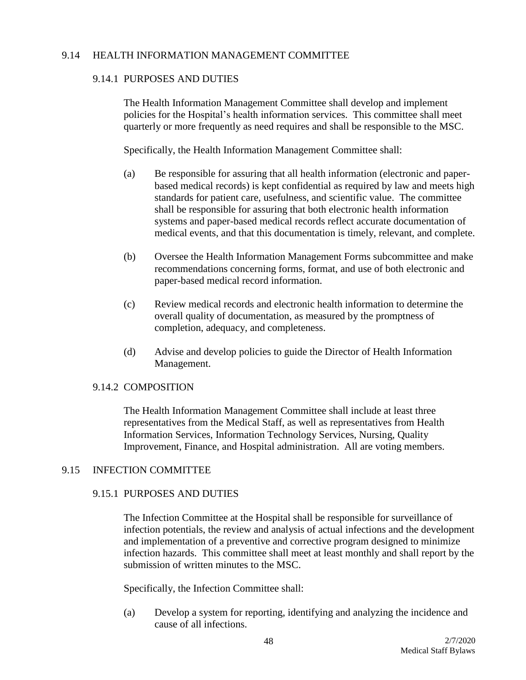## 9.14 HEALTH INFORMATION MANAGEMENT COMMITTEE

## 9.14.1 PURPOSES AND DUTIES

The Health Information Management Committee shall develop and implement policies for the Hospital's health information services. This committee shall meet quarterly or more frequently as need requires and shall be responsible to the MSC.

Specifically, the Health Information Management Committee shall:

- (a) Be responsible for assuring that all health information (electronic and paperbased medical records) is kept confidential as required by law and meets high standards for patient care, usefulness, and scientific value. The committee shall be responsible for assuring that both electronic health information systems and paper-based medical records reflect accurate documentation of medical events, and that this documentation is timely, relevant, and complete.
- (b) Oversee the Health Information Management Forms subcommittee and make recommendations concerning forms, format, and use of both electronic and paper-based medical record information.
- (c) Review medical records and electronic health information to determine the overall quality of documentation, as measured by the promptness of completion, adequacy, and completeness.
- (d) Advise and develop policies to guide the Director of Health Information Management.

### 9.14.2 COMPOSITION

The Health Information Management Committee shall include at least three representatives from the Medical Staff, as well as representatives from Health Information Services, Information Technology Services, Nursing, Quality Improvement, Finance, and Hospital administration. All are voting members.

# 9.15 INFECTION COMMITTEE

### 9.15.1 PURPOSES AND DUTIES

The Infection Committee at the Hospital shall be responsible for surveillance of infection potentials, the review and analysis of actual infections and the development and implementation of a preventive and corrective program designed to minimize infection hazards. This committee shall meet at least monthly and shall report by the submission of written minutes to the MSC.

Specifically, the Infection Committee shall:

(a) Develop a system for reporting, identifying and analyzing the incidence and cause of all infections.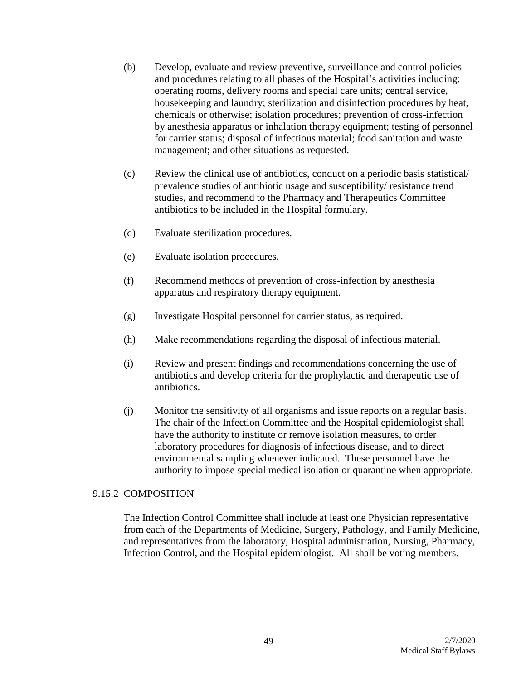- (b) Develop, evaluate and review preventive, surveillance and control policies and procedures relating to all phases of the Hospital's activities including: operating rooms, delivery rooms and special care units; central service, housekeeping and laundry; sterilization and disinfection procedures by heat, chemicals or otherwise; isolation procedures; prevention of cross-infection by anesthesia apparatus or inhalation therapy equipment; testing of personnel for carrier status; disposal of infectious material; food sanitation and waste management; and other situations as requested.
- (c) Review the clinical use of antibiotics, conduct on a periodic basis statistical/ prevalence studies of antibiotic usage and susceptibility/ resistance trend studies, and recommend to the Pharmacy and Therapeutics Committee antibiotics to be included in the Hospital formulary.
- (d) Evaluate sterilization procedures.
- (e) Evaluate isolation procedures.
- (f) Recommend methods of prevention of cross-infection by anesthesia apparatus and respiratory therapy equipment.
- (g) Investigate Hospital personnel for carrier status, as required.
- (h) Make recommendations regarding the disposal of infectious material.
- (i) Review and present findings and recommendations concerning the use of antibiotics and develop criteria for the prophylactic and therapeutic use of antibiotics.
- (j) Monitor the sensitivity of all organisms and issue reports on a regular basis. The chair of the Infection Committee and the Hospital epidemiologist shall have the authority to institute or remove isolation measures, to order laboratory procedures for diagnosis of infectious disease, and to direct environmental sampling whenever indicated. These personnel have the authority to impose special medical isolation or quarantine when appropriate.

# 9.15.2 COMPOSITION

The Infection Control Committee shall include at least one Physician representative from each of the Departments of Medicine, Surgery, Pathology, and Family Medicine, and representatives from the laboratory, Hospital administration, Nursing, Pharmacy, Infection Control, and the Hospital epidemiologist. All shall be voting members.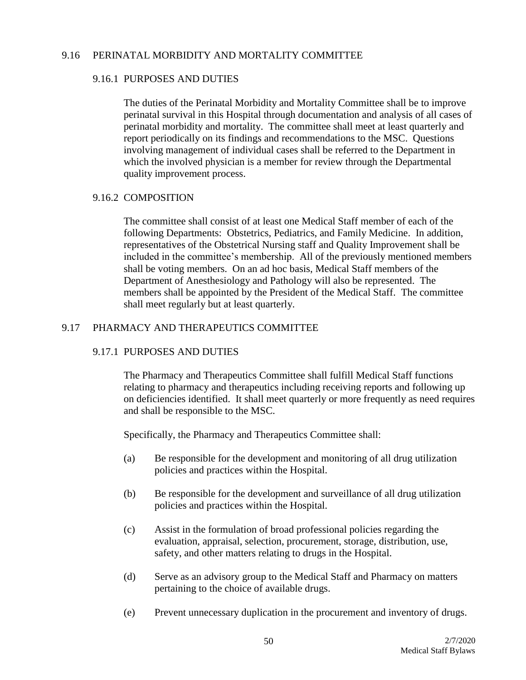### 9.16 PERINATAL MORBIDITY AND MORTALITY COMMITTEE

### 9.16.1 PURPOSES AND DUTIES

The duties of the Perinatal Morbidity and Mortality Committee shall be to improve perinatal survival in this Hospital through documentation and analysis of all cases of perinatal morbidity and mortality. The committee shall meet at least quarterly and report periodically on its findings and recommendations to the MSC. Questions involving management of individual cases shall be referred to the Department in which the involved physician is a member for review through the Departmental quality improvement process.

## 9.16.2 COMPOSITION

The committee shall consist of at least one Medical Staff member of each of the following Departments: Obstetrics, Pediatrics, and Family Medicine. In addition, representatives of the Obstetrical Nursing staff and Quality Improvement shall be included in the committee's membership. All of the previously mentioned members shall be voting members. On an ad hoc basis, Medical Staff members of the Department of Anesthesiology and Pathology will also be represented. The members shall be appointed by the President of the Medical Staff. The committee shall meet regularly but at least quarterly.

# 9.17 PHARMACY AND THERAPEUTICS COMMITTEE

# 9.17.1 PURPOSES AND DUTIES

The Pharmacy and Therapeutics Committee shall fulfill Medical Staff functions relating to pharmacy and therapeutics including receiving reports and following up on deficiencies identified. It shall meet quarterly or more frequently as need requires and shall be responsible to the MSC.

Specifically, the Pharmacy and Therapeutics Committee shall:

- (a) Be responsible for the development and monitoring of all drug utilization policies and practices within the Hospital.
- (b) Be responsible for the development and surveillance of all drug utilization policies and practices within the Hospital.
- (c) Assist in the formulation of broad professional policies regarding the evaluation, appraisal, selection, procurement, storage, distribution, use, safety, and other matters relating to drugs in the Hospital.
- (d) Serve as an advisory group to the Medical Staff and Pharmacy on matters pertaining to the choice of available drugs.
- (e) Prevent unnecessary duplication in the procurement and inventory of drugs.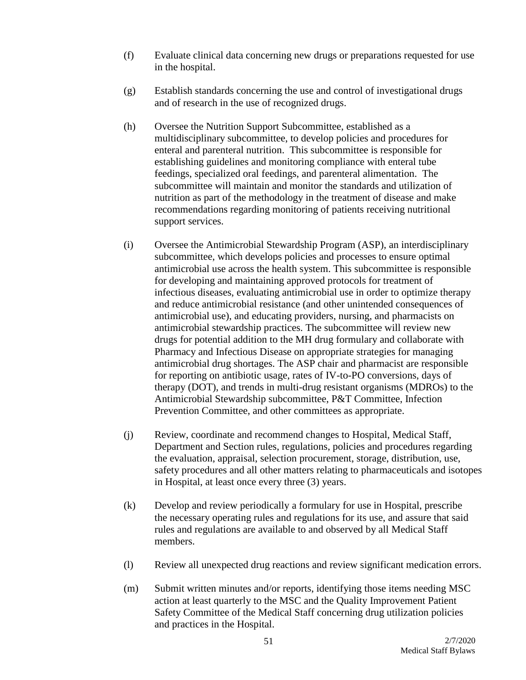- (f) Evaluate clinical data concerning new drugs or preparations requested for use in the hospital.
- (g) Establish standards concerning the use and control of investigational drugs and of research in the use of recognized drugs.
- (h) Oversee the Nutrition Support Subcommittee, established as a multidisciplinary subcommittee, to develop policies and procedures for enteral and parenteral nutrition. This subcommittee is responsible for establishing guidelines and monitoring compliance with enteral tube feedings, specialized oral feedings, and parenteral alimentation. The subcommittee will maintain and monitor the standards and utilization of nutrition as part of the methodology in the treatment of disease and make recommendations regarding monitoring of patients receiving nutritional support services.
- (i) Oversee the Antimicrobial Stewardship Program (ASP), an interdisciplinary subcommittee, which develops policies and processes to ensure optimal antimicrobial use across the health system. This subcommittee is responsible for developing and maintaining approved protocols for treatment of infectious diseases, evaluating antimicrobial use in order to optimize therapy and reduce antimicrobial resistance (and other unintended consequences of antimicrobial use), and educating providers, nursing, and pharmacists on antimicrobial stewardship practices. The subcommittee will review new drugs for potential addition to the MH drug formulary and collaborate with Pharmacy and Infectious Disease on appropriate strategies for managing antimicrobial drug shortages. The ASP chair and pharmacist are responsible for reporting on antibiotic usage, rates of IV-to-PO conversions, days of therapy (DOT), and trends in multi-drug resistant organisms (MDROs) to the Antimicrobial Stewardship subcommittee, P&T Committee, Infection Prevention Committee, and other committees as appropriate.
- (j) Review, coordinate and recommend changes to Hospital, Medical Staff, Department and Section rules, regulations, policies and procedures regarding the evaluation, appraisal, selection procurement, storage, distribution, use, safety procedures and all other matters relating to pharmaceuticals and isotopes in Hospital, at least once every three (3) years.
- (k) Develop and review periodically a formulary for use in Hospital, prescribe the necessary operating rules and regulations for its use, and assure that said rules and regulations are available to and observed by all Medical Staff members.
- (l) Review all unexpected drug reactions and review significant medication errors.
- (m) Submit written minutes and/or reports, identifying those items needing MSC action at least quarterly to the MSC and the Quality Improvement Patient Safety Committee of the Medical Staff concerning drug utilization policies and practices in the Hospital.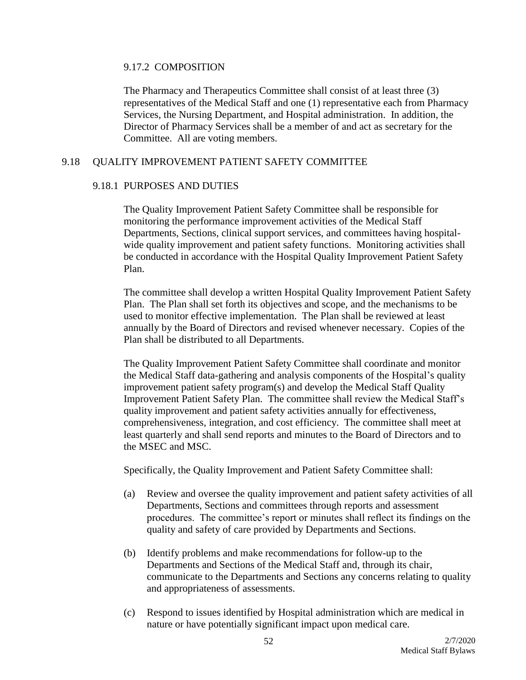#### 9.17.2 COMPOSITION

The Pharmacy and Therapeutics Committee shall consist of at least three (3) representatives of the Medical Staff and one (1) representative each from Pharmacy Services, the Nursing Department, and Hospital administration. In addition, the Director of Pharmacy Services shall be a member of and act as secretary for the Committee. All are voting members.

### 9.18 QUALITY IMPROVEMENT PATIENT SAFETY COMMITTEE

### 9.18.1 PURPOSES AND DUTIES

The Quality Improvement Patient Safety Committee shall be responsible for monitoring the performance improvement activities of the Medical Staff Departments, Sections, clinical support services, and committees having hospitalwide quality improvement and patient safety functions. Monitoring activities shall be conducted in accordance with the Hospital Quality Improvement Patient Safety Plan.

The committee shall develop a written Hospital Quality Improvement Patient Safety Plan. The Plan shall set forth its objectives and scope, and the mechanisms to be used to monitor effective implementation. The Plan shall be reviewed at least annually by the Board of Directors and revised whenever necessary. Copies of the Plan shall be distributed to all Departments.

The Quality Improvement Patient Safety Committee shall coordinate and monitor the Medical Staff data-gathering and analysis components of the Hospital's quality improvement patient safety program(s) and develop the Medical Staff Quality Improvement Patient Safety Plan. The committee shall review the Medical Staff's quality improvement and patient safety activities annually for effectiveness, comprehensiveness, integration, and cost efficiency. The committee shall meet at least quarterly and shall send reports and minutes to the Board of Directors and to the MSEC and MSC.

Specifically, the Quality Improvement and Patient Safety Committee shall:

- (a) Review and oversee the quality improvement and patient safety activities of all Departments, Sections and committees through reports and assessment procedures. The committee's report or minutes shall reflect its findings on the quality and safety of care provided by Departments and Sections.
- (b) Identify problems and make recommendations for follow-up to the Departments and Sections of the Medical Staff and, through its chair, communicate to the Departments and Sections any concerns relating to quality and appropriateness of assessments.
- (c) Respond to issues identified by Hospital administration which are medical in nature or have potentially significant impact upon medical care.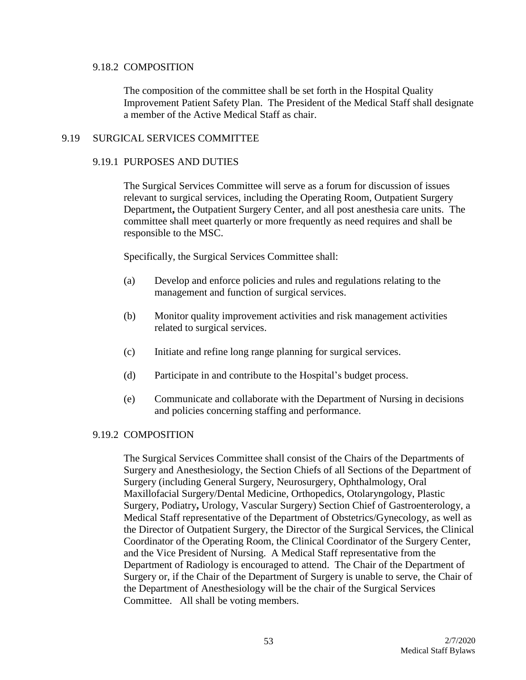#### 9.18.2 COMPOSITION

The composition of the committee shall be set forth in the Hospital Quality Improvement Patient Safety Plan. The President of the Medical Staff shall designate a member of the Active Medical Staff as chair.

### 9.19 SURGICAL SERVICES COMMITTEE

### 9.19.1 PURPOSES AND DUTIES

The Surgical Services Committee will serve as a forum for discussion of issues relevant to surgical services, including the Operating Room, Outpatient Surgery Department**,** the Outpatient Surgery Center, and all post anesthesia care units. The committee shall meet quarterly or more frequently as need requires and shall be responsible to the MSC.

Specifically, the Surgical Services Committee shall:

- (a) Develop and enforce policies and rules and regulations relating to the management and function of surgical services.
- (b) Monitor quality improvement activities and risk management activities related to surgical services.
- (c) Initiate and refine long range planning for surgical services.
- (d) Participate in and contribute to the Hospital's budget process.
- (e) Communicate and collaborate with the Department of Nursing in decisions and policies concerning staffing and performance.

### 9.19.2 COMPOSITION

The Surgical Services Committee shall consist of the Chairs of the Departments of Surgery and Anesthesiology, the Section Chiefs of all Sections of the Department of Surgery (including General Surgery, Neurosurgery, Ophthalmology, Oral Maxillofacial Surgery/Dental Medicine, Orthopedics, Otolaryngology, Plastic Surgery, Podiatry**,** Urology, Vascular Surgery) Section Chief of Gastroenterology, a Medical Staff representative of the Department of Obstetrics/Gynecology, as well as the Director of Outpatient Surgery, the Director of the Surgical Services, the Clinical Coordinator of the Operating Room, the Clinical Coordinator of the Surgery Center, and the Vice President of Nursing. A Medical Staff representative from the Department of Radiology is encouraged to attend. The Chair of the Department of Surgery or, if the Chair of the Department of Surgery is unable to serve, the Chair of the Department of Anesthesiology will be the chair of the Surgical Services Committee. All shall be voting members.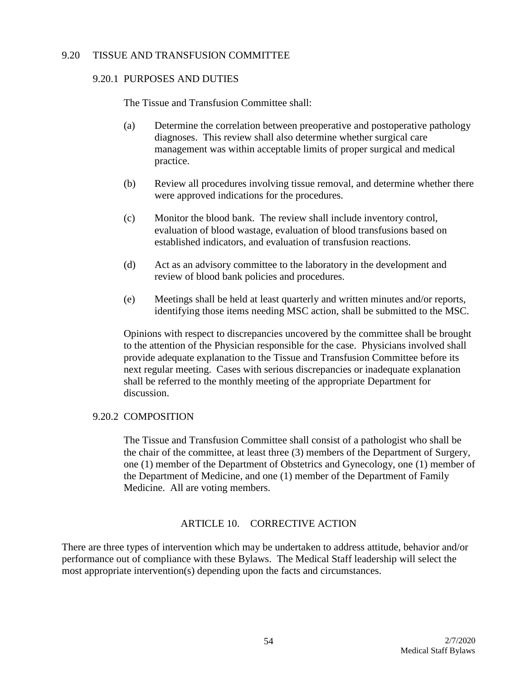### 9.20 TISSUE AND TRANSFUSION COMMITTEE

### 9.20.1 PURPOSES AND DUTIES

The Tissue and Transfusion Committee shall:

- (a) Determine the correlation between preoperative and postoperative pathology diagnoses. This review shall also determine whether surgical care management was within acceptable limits of proper surgical and medical practice.
- (b) Review all procedures involving tissue removal, and determine whether there were approved indications for the procedures.
- (c) Monitor the blood bank. The review shall include inventory control, evaluation of blood wastage, evaluation of blood transfusions based on established indicators, and evaluation of transfusion reactions.
- (d) Act as an advisory committee to the laboratory in the development and review of blood bank policies and procedures.
- (e) Meetings shall be held at least quarterly and written minutes and/or reports, identifying those items needing MSC action, shall be submitted to the MSC.

Opinions with respect to discrepancies uncovered by the committee shall be brought to the attention of the Physician responsible for the case. Physicians involved shall provide adequate explanation to the Tissue and Transfusion Committee before its next regular meeting. Cases with serious discrepancies or inadequate explanation shall be referred to the monthly meeting of the appropriate Department for discussion.

### 9.20.2 COMPOSITION

The Tissue and Transfusion Committee shall consist of a pathologist who shall be the chair of the committee, at least three (3) members of the Department of Surgery, one (1) member of the Department of Obstetrics and Gynecology, one (1) member of the Department of Medicine, and one (1) member of the Department of Family Medicine. All are voting members.

### ARTICLE 10. CORRECTIVE ACTION

There are three types of intervention which may be undertaken to address attitude, behavior and/or performance out of compliance with these Bylaws. The Medical Staff leadership will select the most appropriate intervention(s) depending upon the facts and circumstances.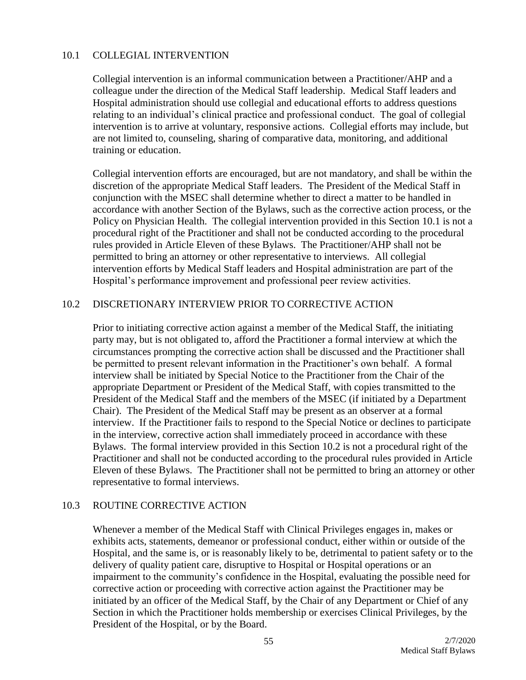### 10.1 COLLEGIAL INTERVENTION

Collegial intervention is an informal communication between a Practitioner/AHP and a colleague under the direction of the Medical Staff leadership. Medical Staff leaders and Hospital administration should use collegial and educational efforts to address questions relating to an individual's clinical practice and professional conduct. The goal of collegial intervention is to arrive at voluntary, responsive actions. Collegial efforts may include, but are not limited to, counseling, sharing of comparative data, monitoring, and additional training or education.

Collegial intervention efforts are encouraged, but are not mandatory, and shall be within the discretion of the appropriate Medical Staff leaders. The President of the Medical Staff in conjunction with the MSEC shall determine whether to direct a matter to be handled in accordance with another Section of the Bylaws, such as the corrective action process, or the Policy on Physician Health. The collegial intervention provided in this Section 10.1 is not a procedural right of the Practitioner and shall not be conducted according to the procedural rules provided in Article Eleven of these Bylaws. The Practitioner/AHP shall not be permitted to bring an attorney or other representative to interviews. All collegial intervention efforts by Medical Staff leaders and Hospital administration are part of the Hospital's performance improvement and professional peer review activities.

## 10.2 DISCRETIONARY INTERVIEW PRIOR TO CORRECTIVE ACTION

Prior to initiating corrective action against a member of the Medical Staff, the initiating party may, but is not obligated to, afford the Practitioner a formal interview at which the circumstances prompting the corrective action shall be discussed and the Practitioner shall be permitted to present relevant information in the Practitioner's own behalf. A formal interview shall be initiated by Special Notice to the Practitioner from the Chair of the appropriate Department or President of the Medical Staff, with copies transmitted to the President of the Medical Staff and the members of the MSEC (if initiated by a Department Chair). The President of the Medical Staff may be present as an observer at a formal interview. If the Practitioner fails to respond to the Special Notice or declines to participate in the interview, corrective action shall immediately proceed in accordance with these Bylaws. The formal interview provided in this Section 10.2 is not a procedural right of the Practitioner and shall not be conducted according to the procedural rules provided in Article Eleven of these Bylaws. The Practitioner shall not be permitted to bring an attorney or other representative to formal interviews.

# 10.3 ROUTINE CORRECTIVE ACTION

Whenever a member of the Medical Staff with Clinical Privileges engages in, makes or exhibits acts, statements, demeanor or professional conduct, either within or outside of the Hospital, and the same is, or is reasonably likely to be, detrimental to patient safety or to the delivery of quality patient care, disruptive to Hospital or Hospital operations or an impairment to the community's confidence in the Hospital, evaluating the possible need for corrective action or proceeding with corrective action against the Practitioner may be initiated by an officer of the Medical Staff, by the Chair of any Department or Chief of any Section in which the Practitioner holds membership or exercises Clinical Privileges, by the President of the Hospital, or by the Board.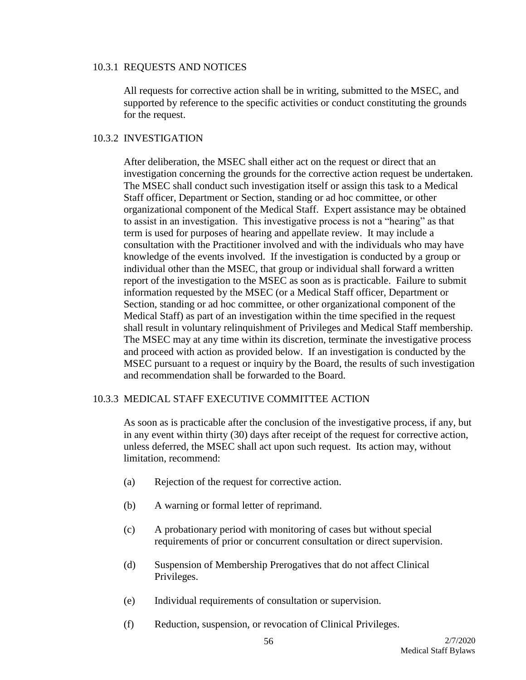#### 10.3.1 REQUESTS AND NOTICES

All requests for corrective action shall be in writing, submitted to the MSEC, and supported by reference to the specific activities or conduct constituting the grounds for the request.

### 10.3.2 INVESTIGATION

After deliberation, the MSEC shall either act on the request or direct that an investigation concerning the grounds for the corrective action request be undertaken. The MSEC shall conduct such investigation itself or assign this task to a Medical Staff officer, Department or Section, standing or ad hoc committee, or other organizational component of the Medical Staff. Expert assistance may be obtained to assist in an investigation. This investigative process is not a "hearing" as that term is used for purposes of hearing and appellate review. It may include a consultation with the Practitioner involved and with the individuals who may have knowledge of the events involved. If the investigation is conducted by a group or individual other than the MSEC, that group or individual shall forward a written report of the investigation to the MSEC as soon as is practicable. Failure to submit information requested by the MSEC (or a Medical Staff officer, Department or Section, standing or ad hoc committee, or other organizational component of the Medical Staff) as part of an investigation within the time specified in the request shall result in voluntary relinquishment of Privileges and Medical Staff membership. The MSEC may at any time within its discretion, terminate the investigative process and proceed with action as provided below. If an investigation is conducted by the MSEC pursuant to a request or inquiry by the Board, the results of such investigation and recommendation shall be forwarded to the Board.

### 10.3.3 MEDICAL STAFF EXECUTIVE COMMITTEE ACTION

As soon as is practicable after the conclusion of the investigative process, if any, but in any event within thirty (30) days after receipt of the request for corrective action, unless deferred, the MSEC shall act upon such request. Its action may, without limitation, recommend:

- (a) Rejection of the request for corrective action.
- (b) A warning or formal letter of reprimand.
- (c) A probationary period with monitoring of cases but without special requirements of prior or concurrent consultation or direct supervision.
- (d) Suspension of Membership Prerogatives that do not affect Clinical Privileges.
- (e) Individual requirements of consultation or supervision.
- (f) Reduction, suspension, or revocation of Clinical Privileges.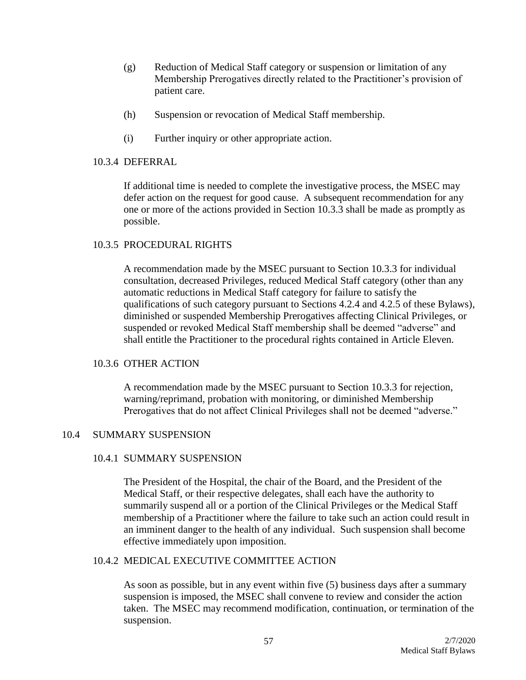- (g) Reduction of Medical Staff category or suspension or limitation of any Membership Prerogatives directly related to the Practitioner's provision of patient care.
- (h) Suspension or revocation of Medical Staff membership.
- (i) Further inquiry or other appropriate action.

### 10.3.4 DEFERRAL

If additional time is needed to complete the investigative process, the MSEC may defer action on the request for good cause. A subsequent recommendation for any one or more of the actions provided in Section 10.3.3 shall be made as promptly as possible.

### 10.3.5 PROCEDURAL RIGHTS

A recommendation made by the MSEC pursuant to Section 10.3.3 for individual consultation, decreased Privileges, reduced Medical Staff category (other than any automatic reductions in Medical Staff category for failure to satisfy the qualifications of such category pursuant to Sections 4.2.4 and 4.2.5 of these Bylaws), diminished or suspended Membership Prerogatives affecting Clinical Privileges, or suspended or revoked Medical Staff membership shall be deemed "adverse" and shall entitle the Practitioner to the procedural rights contained in Article Eleven.

### 10.3.6 OTHER ACTION

A recommendation made by the MSEC pursuant to Section 10.3.3 for rejection, warning/reprimand, probation with monitoring, or diminished Membership Prerogatives that do not affect Clinical Privileges shall not be deemed "adverse."

### 10.4 SUMMARY SUSPENSION

### 10.4.1 SUMMARY SUSPENSION

The President of the Hospital, the chair of the Board, and the President of the Medical Staff, or their respective delegates, shall each have the authority to summarily suspend all or a portion of the Clinical Privileges or the Medical Staff membership of a Practitioner where the failure to take such an action could result in an imminent danger to the health of any individual. Such suspension shall become effective immediately upon imposition.

### 10.4.2 MEDICAL EXECUTIVE COMMITTEE ACTION

As soon as possible, but in any event within five (5) business days after a summary suspension is imposed, the MSEC shall convene to review and consider the action taken. The MSEC may recommend modification, continuation, or termination of the suspension.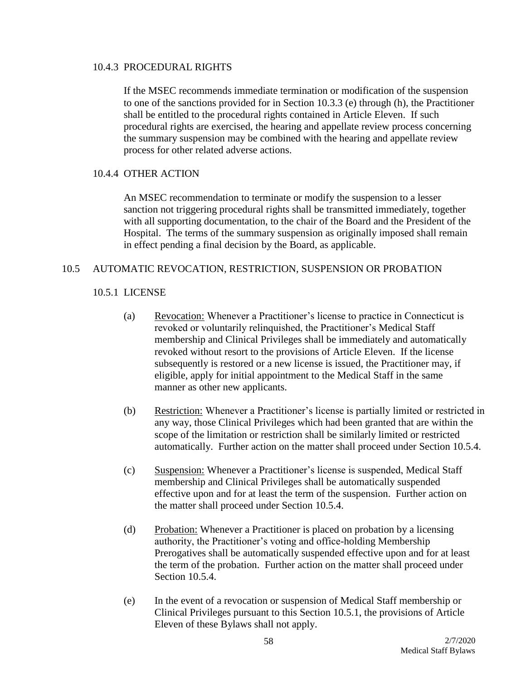#### 10.4.3 PROCEDURAL RIGHTS

If the MSEC recommends immediate termination or modification of the suspension to one of the sanctions provided for in Section 10.3.3 (e) through (h), the Practitioner shall be entitled to the procedural rights contained in Article Eleven. If such procedural rights are exercised, the hearing and appellate review process concerning the summary suspension may be combined with the hearing and appellate review process for other related adverse actions.

### 10.4.4 OTHER ACTION

An MSEC recommendation to terminate or modify the suspension to a lesser sanction not triggering procedural rights shall be transmitted immediately, together with all supporting documentation, to the chair of the Board and the President of the Hospital. The terms of the summary suspension as originally imposed shall remain in effect pending a final decision by the Board, as applicable.

## 10.5 AUTOMATIC REVOCATION, RESTRICTION, SUSPENSION OR PROBATION

## 10.5.1 LICENSE

- (a) Revocation: Whenever a Practitioner's license to practice in Connecticut is revoked or voluntarily relinquished, the Practitioner's Medical Staff membership and Clinical Privileges shall be immediately and automatically revoked without resort to the provisions of Article Eleven. If the license subsequently is restored or a new license is issued, the Practitioner may, if eligible, apply for initial appointment to the Medical Staff in the same manner as other new applicants.
- (b) Restriction: Whenever a Practitioner's license is partially limited or restricted in any way, those Clinical Privileges which had been granted that are within the scope of the limitation or restriction shall be similarly limited or restricted automatically. Further action on the matter shall proceed under Section 10.5.4.
- (c) Suspension: Whenever a Practitioner's license is suspended, Medical Staff membership and Clinical Privileges shall be automatically suspended effective upon and for at least the term of the suspension. Further action on the matter shall proceed under Section 10.5.4.
- (d) Probation: Whenever a Practitioner is placed on probation by a licensing authority, the Practitioner's voting and office-holding Membership Prerogatives shall be automatically suspended effective upon and for at least the term of the probation. Further action on the matter shall proceed under Section 10.5.4.
- (e) In the event of a revocation or suspension of Medical Staff membership or Clinical Privileges pursuant to this Section 10.5.1, the provisions of Article Eleven of these Bylaws shall not apply.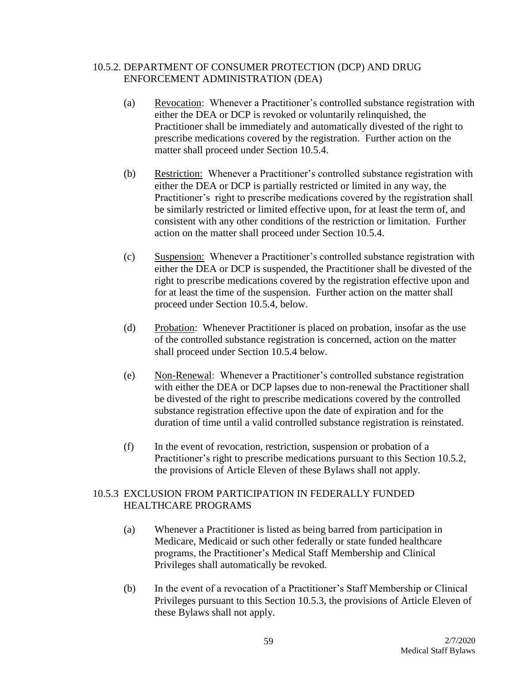## 10.5.2. DEPARTMENT OF CONSUMER PROTECTION (DCP) AND DRUG ENFORCEMENT ADMINISTRATION (DEA)

- (a) Revocation: Whenever a Practitioner's controlled substance registration with either the DEA or DCP is revoked or voluntarily relinquished, the Practitioner shall be immediately and automatically divested of the right to prescribe medications covered by the registration. Further action on the matter shall proceed under Section 10.5.4.
- (b) Restriction: Whenever a Practitioner's controlled substance registration with either the DEA or DCP is partially restricted or limited in any way, the Practitioner's right to prescribe medications covered by the registration shall be similarly restricted or limited effective upon, for at least the term of, and consistent with any other conditions of the restriction or limitation. Further action on the matter shall proceed under Section 10.5.4.
- (c) Suspension: Whenever a Practitioner's controlled substance registration with either the DEA or DCP is suspended, the Practitioner shall be divested of the right to prescribe medications covered by the registration effective upon and for at least the time of the suspension. Further action on the matter shall proceed under Section 10.5.4, below.
- (d) Probation: Whenever Practitioner is placed on probation, insofar as the use of the controlled substance registration is concerned, action on the matter shall proceed under Section 10.5.4 below.
- (e) Non-Renewal: Whenever a Practitioner's controlled substance registration with either the DEA or DCP lapses due to non-renewal the Practitioner shall be divested of the right to prescribe medications covered by the controlled substance registration effective upon the date of expiration and for the duration of time until a valid controlled substance registration is reinstated.
- (f) In the event of revocation, restriction, suspension or probation of a Practitioner's right to prescribe medications pursuant to this Section 10.5.2, the provisions of Article Eleven of these Bylaws shall not apply.

# 10.5.3 EXCLUSION FROM PARTICIPATION IN FEDERALLY FUNDED HEALTHCARE PROGRAMS

- (a) Whenever a Practitioner is listed as being barred from participation in Medicare, Medicaid or such other federally or state funded healthcare programs, the Practitioner's Medical Staff Membership and Clinical Privileges shall automatically be revoked.
- (b) In the event of a revocation of a Practitioner's Staff Membership or Clinical Privileges pursuant to this Section 10.5.3, the provisions of Article Eleven of these Bylaws shall not apply.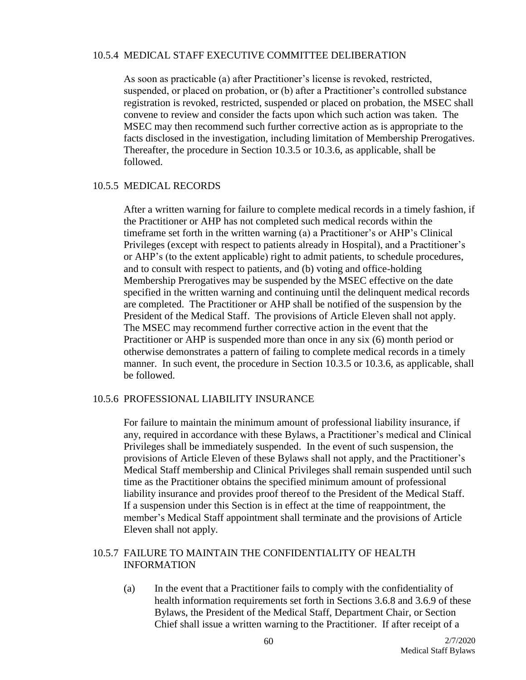#### 10.5.4 MEDICAL STAFF EXECUTIVE COMMITTEE DELIBERATION

As soon as practicable (a) after Practitioner's license is revoked, restricted, suspended, or placed on probation, or (b) after a Practitioner's controlled substance registration is revoked, restricted, suspended or placed on probation, the MSEC shall convene to review and consider the facts upon which such action was taken. The MSEC may then recommend such further corrective action as is appropriate to the facts disclosed in the investigation, including limitation of Membership Prerogatives. Thereafter, the procedure in Section 10.3.5 or 10.3.6, as applicable, shall be followed.

## 10.5.5 MEDICAL RECORDS

After a written warning for failure to complete medical records in a timely fashion, if the Practitioner or AHP has not completed such medical records within the timeframe set forth in the written warning (a) a Practitioner's or AHP's Clinical Privileges (except with respect to patients already in Hospital), and a Practitioner's or AHP's (to the extent applicable) right to admit patients, to schedule procedures, and to consult with respect to patients, and (b) voting and office-holding Membership Prerogatives may be suspended by the MSEC effective on the date specified in the written warning and continuing until the delinquent medical records are completed. The Practitioner or AHP shall be notified of the suspension by the President of the Medical Staff. The provisions of Article Eleven shall not apply. The MSEC may recommend further corrective action in the event that the Practitioner or AHP is suspended more than once in any six (6) month period or otherwise demonstrates a pattern of failing to complete medical records in a timely manner. In such event, the procedure in Section 10.3.5 or 10.3.6, as applicable, shall be followed.

### 10.5.6 PROFESSIONAL LIABILITY INSURANCE

For failure to maintain the minimum amount of professional liability insurance, if any, required in accordance with these Bylaws, a Practitioner's medical and Clinical Privileges shall be immediately suspended. In the event of such suspension, the provisions of Article Eleven of these Bylaws shall not apply, and the Practitioner's Medical Staff membership and Clinical Privileges shall remain suspended until such time as the Practitioner obtains the specified minimum amount of professional liability insurance and provides proof thereof to the President of the Medical Staff. If a suspension under this Section is in effect at the time of reappointment, the member's Medical Staff appointment shall terminate and the provisions of Article Eleven shall not apply.

## 10.5.7 FAILURE TO MAINTAIN THE CONFIDENTIALITY OF HEALTH INFORMATION

(a) In the event that a Practitioner fails to comply with the confidentiality of health information requirements set forth in Sections 3.6.8 and 3.6.9 of these Bylaws, the President of the Medical Staff, Department Chair, or Section Chief shall issue a written warning to the Practitioner. If after receipt of a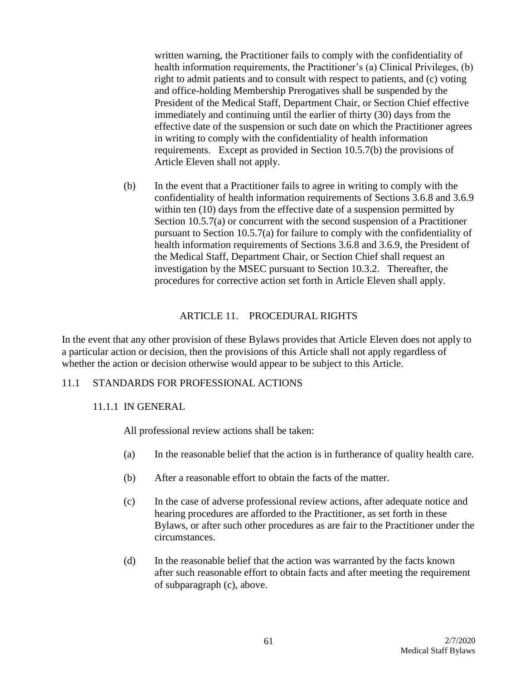written warning, the Practitioner fails to comply with the confidentiality of health information requirements, the Practitioner's (a) Clinical Privileges, (b) right to admit patients and to consult with respect to patients, and (c) voting and office-holding Membership Prerogatives shall be suspended by the President of the Medical Staff, Department Chair, or Section Chief effective immediately and continuing until the earlier of thirty (30) days from the effective date of the suspension or such date on which the Practitioner agrees in writing to comply with the confidentiality of health information requirements. Except as provided in Section 10.5.7(b) the provisions of Article Eleven shall not apply.

(b) In the event that a Practitioner fails to agree in writing to comply with the confidentiality of health information requirements of Sections 3.6.8 and 3.6.9 within ten (10) days from the effective date of a suspension permitted by Section 10.5.7(a) or concurrent with the second suspension of a Practitioner pursuant to Section 10.5.7(a) for failure to comply with the confidentiality of health information requirements of Sections 3.6.8 and 3.6.9, the President of the Medical Staff, Department Chair, or Section Chief shall request an investigation by the MSEC pursuant to Section 10.3.2. Thereafter, the procedures for corrective action set forth in Article Eleven shall apply.

## ARTICLE 11. PROCEDURAL RIGHTS

In the event that any other provision of these Bylaws provides that Article Eleven does not apply to a particular action or decision, then the provisions of this Article shall not apply regardless of whether the action or decision otherwise would appear to be subject to this Article.

### 11.1 STANDARDS FOR PROFESSIONAL ACTIONS

### 11.1.1 IN GENERAL

All professional review actions shall be taken:

- (a) In the reasonable belief that the action is in furtherance of quality health care.
- (b) After a reasonable effort to obtain the facts of the matter.
- (c) In the case of adverse professional review actions, after adequate notice and hearing procedures are afforded to the Practitioner, as set forth in these Bylaws, or after such other procedures as are fair to the Practitioner under the circumstances.
- (d) In the reasonable belief that the action was warranted by the facts known after such reasonable effort to obtain facts and after meeting the requirement of subparagraph (c), above.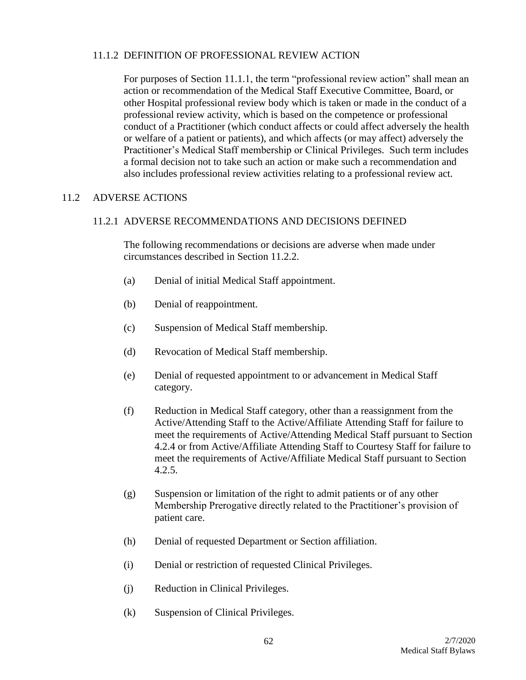## 11.1.2 DEFINITION OF PROFESSIONAL REVIEW ACTION

For purposes of Section 11.1.1, the term "professional review action" shall mean an action or recommendation of the Medical Staff Executive Committee, Board, or other Hospital professional review body which is taken or made in the conduct of a professional review activity, which is based on the competence or professional conduct of a Practitioner (which conduct affects or could affect adversely the health or welfare of a patient or patients), and which affects (or may affect) adversely the Practitioner's Medical Staff membership or Clinical Privileges. Such term includes a formal decision not to take such an action or make such a recommendation and also includes professional review activities relating to a professional review act.

## 11.2 ADVERSE ACTIONS

### 11.2.1 ADVERSE RECOMMENDATIONS AND DECISIONS DEFINED

The following recommendations or decisions are adverse when made under circumstances described in Section 11.2.2.

- (a) Denial of initial Medical Staff appointment.
- (b) Denial of reappointment.
- (c) Suspension of Medical Staff membership.
- (d) Revocation of Medical Staff membership.
- (e) Denial of requested appointment to or advancement in Medical Staff category.
- (f) Reduction in Medical Staff category, other than a reassignment from the Active/Attending Staff to the Active/Affiliate Attending Staff for failure to meet the requirements of Active/Attending Medical Staff pursuant to Section 4.2.4 or from Active/Affiliate Attending Staff to Courtesy Staff for failure to meet the requirements of Active/Affiliate Medical Staff pursuant to Section 4.2.5.
- (g) Suspension or limitation of the right to admit patients or of any other Membership Prerogative directly related to the Practitioner's provision of patient care.
- (h) Denial of requested Department or Section affiliation.
- (i) Denial or restriction of requested Clinical Privileges.
- (j) Reduction in Clinical Privileges.
- (k) Suspension of Clinical Privileges.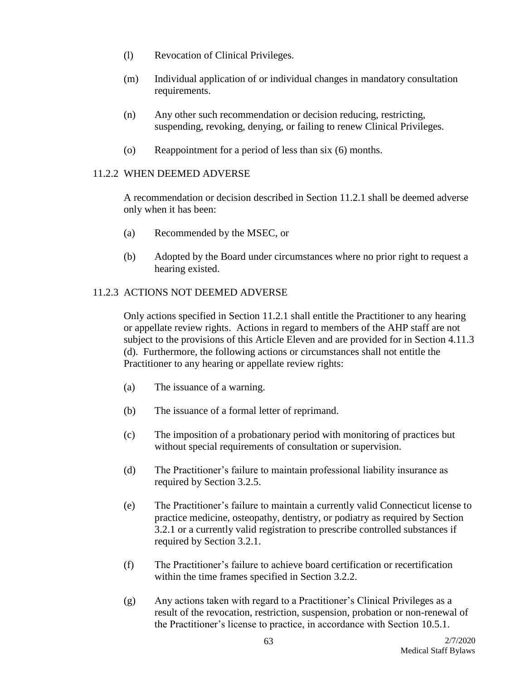- (l) Revocation of Clinical Privileges.
- (m) Individual application of or individual changes in mandatory consultation requirements.
- (n) Any other such recommendation or decision reducing, restricting, suspending, revoking, denying, or failing to renew Clinical Privileges.
- (o) Reappointment for a period of less than six (6) months.

## 11.2.2 WHEN DEEMED ADVERSE

A recommendation or decision described in Section 11.2.1 shall be deemed adverse only when it has been:

- (a) Recommended by the MSEC, or
- (b) Adopted by the Board under circumstances where no prior right to request a hearing existed.

# 11.2.3 ACTIONS NOT DEEMED ADVERSE

Only actions specified in Section 11.2.1 shall entitle the Practitioner to any hearing or appellate review rights. Actions in regard to members of the AHP staff are not subject to the provisions of this Article Eleven and are provided for in Section 4.11.3 (d). Furthermore, the following actions or circumstances shall not entitle the Practitioner to any hearing or appellate review rights:

- (a) The issuance of a warning.
- (b) The issuance of a formal letter of reprimand.
- (c) The imposition of a probationary period with monitoring of practices but without special requirements of consultation or supervision.
- (d) The Practitioner's failure to maintain professional liability insurance as required by Section 3.2.5.
- (e) The Practitioner's failure to maintain a currently valid Connecticut license to practice medicine, osteopathy, dentistry, or podiatry as required by Section 3.2.1 or a currently valid registration to prescribe controlled substances if required by Section 3.2.1.
- (f) The Practitioner's failure to achieve board certification or recertification within the time frames specified in Section 3.2.2.
- (g) Any actions taken with regard to a Practitioner's Clinical Privileges as a result of the revocation, restriction, suspension, probation or non-renewal of the Practitioner's license to practice, in accordance with Section 10.5.1.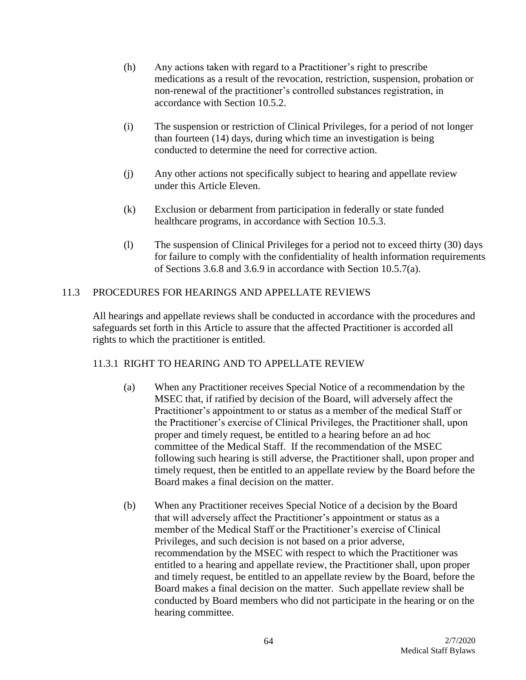- (h) Any actions taken with regard to a Practitioner's right to prescribe medications as a result of the revocation, restriction, suspension, probation or non-renewal of the practitioner's controlled substances registration, in accordance with Section 10.5.2.
- (i) The suspension or restriction of Clinical Privileges, for a period of not longer than fourteen (14) days, during which time an investigation is being conducted to determine the need for corrective action.
- (j) Any other actions not specifically subject to hearing and appellate review under this Article Eleven.
- (k) Exclusion or debarment from participation in federally or state funded healthcare programs, in accordance with Section 10.5.3.
- (l) The suspension of Clinical Privileges for a period not to exceed thirty (30) days for failure to comply with the confidentiality of health information requirements of Sections 3.6.8 and 3.6.9 in accordance with Section 10.5.7(a).

# 11.3 PROCEDURES FOR HEARINGS AND APPELLATE REVIEWS

All hearings and appellate reviews shall be conducted in accordance with the procedures and safeguards set forth in this Article to assure that the affected Practitioner is accorded all rights to which the practitioner is entitled.

# 11.3.1 RIGHT TO HEARING AND TO APPELLATE REVIEW

- (a) When any Practitioner receives Special Notice of a recommendation by the MSEC that, if ratified by decision of the Board, will adversely affect the Practitioner's appointment to or status as a member of the medical Staff or the Practitioner's exercise of Clinical Privileges, the Practitioner shall, upon proper and timely request, be entitled to a hearing before an ad hoc committee of the Medical Staff. If the recommendation of the MSEC following such hearing is still adverse, the Practitioner shall, upon proper and timely request, then be entitled to an appellate review by the Board before the Board makes a final decision on the matter.
- (b) When any Practitioner receives Special Notice of a decision by the Board that will adversely affect the Practitioner's appointment or status as a member of the Medical Staff or the Practitioner's exercise of Clinical Privileges, and such decision is not based on a prior adverse, recommendation by the MSEC with respect to which the Practitioner was entitled to a hearing and appellate review, the Practitioner shall, upon proper and timely request, be entitled to an appellate review by the Board, before the Board makes a final decision on the matter. Such appellate review shall be conducted by Board members who did not participate in the hearing or on the hearing committee.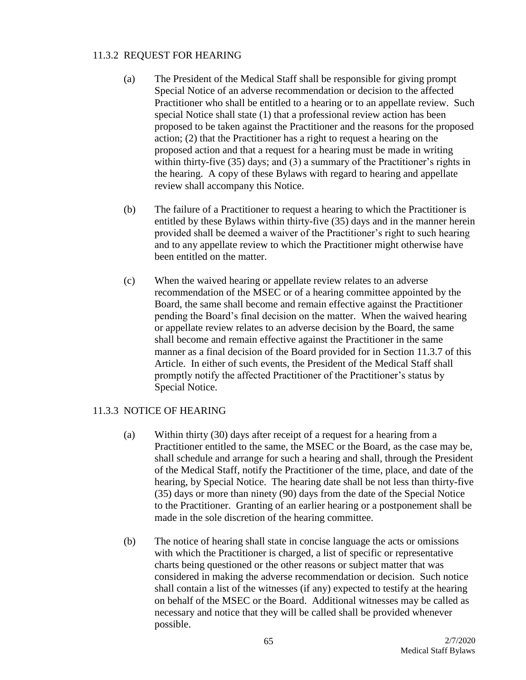## 11.3.2 REQUEST FOR HEARING

- (a) The President of the Medical Staff shall be responsible for giving prompt Special Notice of an adverse recommendation or decision to the affected Practitioner who shall be entitled to a hearing or to an appellate review. Such special Notice shall state (1) that a professional review action has been proposed to be taken against the Practitioner and the reasons for the proposed action; (2) that the Practitioner has a right to request a hearing on the proposed action and that a request for a hearing must be made in writing within thirty-five (35) days; and (3) a summary of the Practitioner's rights in the hearing. A copy of these Bylaws with regard to hearing and appellate review shall accompany this Notice.
- (b) The failure of a Practitioner to request a hearing to which the Practitioner is entitled by these Bylaws within thirty-five (35) days and in the manner herein provided shall be deemed a waiver of the Practitioner's right to such hearing and to any appellate review to which the Practitioner might otherwise have been entitled on the matter.
- (c) When the waived hearing or appellate review relates to an adverse recommendation of the MSEC or of a hearing committee appointed by the Board, the same shall become and remain effective against the Practitioner pending the Board's final decision on the matter. When the waived hearing or appellate review relates to an adverse decision by the Board, the same shall become and remain effective against the Practitioner in the same manner as a final decision of the Board provided for in Section 11.3.7 of this Article. In either of such events, the President of the Medical Staff shall promptly notify the affected Practitioner of the Practitioner's status by Special Notice.

### 11.3.3 NOTICE OF HEARING

- (a) Within thirty (30) days after receipt of a request for a hearing from a Practitioner entitled to the same, the MSEC or the Board, as the case may be, shall schedule and arrange for such a hearing and shall, through the President of the Medical Staff, notify the Practitioner of the time, place, and date of the hearing, by Special Notice. The hearing date shall be not less than thirty-five (35) days or more than ninety (90) days from the date of the Special Notice to the Practitioner. Granting of an earlier hearing or a postponement shall be made in the sole discretion of the hearing committee.
- (b) The notice of hearing shall state in concise language the acts or omissions with which the Practitioner is charged, a list of specific or representative charts being questioned or the other reasons or subject matter that was considered in making the adverse recommendation or decision. Such notice shall contain a list of the witnesses (if any) expected to testify at the hearing on behalf of the MSEC or the Board. Additional witnesses may be called as necessary and notice that they will be called shall be provided whenever possible.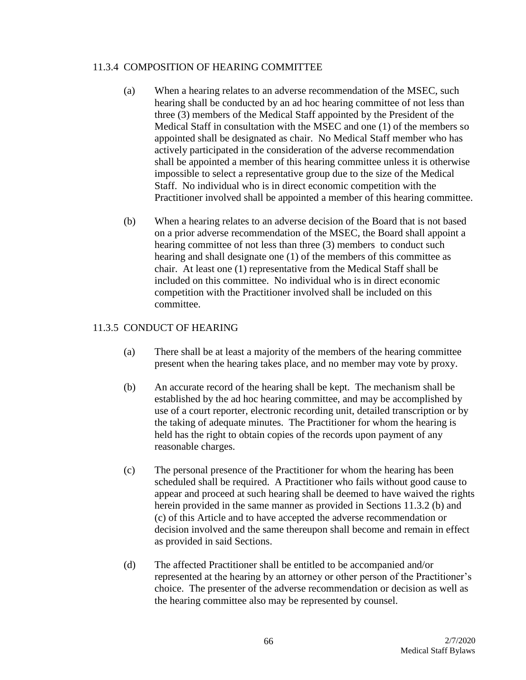### 11.3.4 COMPOSITION OF HEARING COMMITTEE

- (a) When a hearing relates to an adverse recommendation of the MSEC, such hearing shall be conducted by an ad hoc hearing committee of not less than three (3) members of the Medical Staff appointed by the President of the Medical Staff in consultation with the MSEC and one (1) of the members so appointed shall be designated as chair. No Medical Staff member who has actively participated in the consideration of the adverse recommendation shall be appointed a member of this hearing committee unless it is otherwise impossible to select a representative group due to the size of the Medical Staff. No individual who is in direct economic competition with the Practitioner involved shall be appointed a member of this hearing committee.
- (b) When a hearing relates to an adverse decision of the Board that is not based on a prior adverse recommendation of the MSEC, the Board shall appoint a hearing committee of not less than three (3) members to conduct such hearing and shall designate one (1) of the members of this committee as chair. At least one (1) representative from the Medical Staff shall be included on this committee. No individual who is in direct economic competition with the Practitioner involved shall be included on this committee.

## 11.3.5 CONDUCT OF HEARING

- (a) There shall be at least a majority of the members of the hearing committee present when the hearing takes place, and no member may vote by proxy.
- (b) An accurate record of the hearing shall be kept. The mechanism shall be established by the ad hoc hearing committee, and may be accomplished by use of a court reporter, electronic recording unit, detailed transcription or by the taking of adequate minutes. The Practitioner for whom the hearing is held has the right to obtain copies of the records upon payment of any reasonable charges.
- (c) The personal presence of the Practitioner for whom the hearing has been scheduled shall be required. A Practitioner who fails without good cause to appear and proceed at such hearing shall be deemed to have waived the rights herein provided in the same manner as provided in Sections 11.3.2 (b) and (c) of this Article and to have accepted the adverse recommendation or decision involved and the same thereupon shall become and remain in effect as provided in said Sections.
- (d) The affected Practitioner shall be entitled to be accompanied and/or represented at the hearing by an attorney or other person of the Practitioner's choice. The presenter of the adverse recommendation or decision as well as the hearing committee also may be represented by counsel.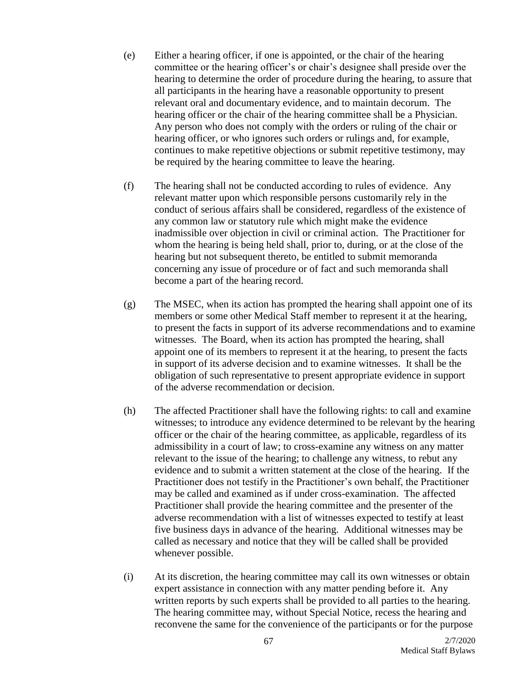- (e) Either a hearing officer, if one is appointed, or the chair of the hearing committee or the hearing officer's or chair's designee shall preside over the hearing to determine the order of procedure during the hearing, to assure that all participants in the hearing have a reasonable opportunity to present relevant oral and documentary evidence, and to maintain decorum. The hearing officer or the chair of the hearing committee shall be a Physician. Any person who does not comply with the orders or ruling of the chair or hearing officer, or who ignores such orders or rulings and, for example, continues to make repetitive objections or submit repetitive testimony, may be required by the hearing committee to leave the hearing.
- (f) The hearing shall not be conducted according to rules of evidence. Any relevant matter upon which responsible persons customarily rely in the conduct of serious affairs shall be considered, regardless of the existence of any common law or statutory rule which might make the evidence inadmissible over objection in civil or criminal action. The Practitioner for whom the hearing is being held shall, prior to, during, or at the close of the hearing but not subsequent thereto, be entitled to submit memoranda concerning any issue of procedure or of fact and such memoranda shall become a part of the hearing record.
- (g) The MSEC, when its action has prompted the hearing shall appoint one of its members or some other Medical Staff member to represent it at the hearing, to present the facts in support of its adverse recommendations and to examine witnesses. The Board, when its action has prompted the hearing, shall appoint one of its members to represent it at the hearing, to present the facts in support of its adverse decision and to examine witnesses. It shall be the obligation of such representative to present appropriate evidence in support of the adverse recommendation or decision.
- (h) The affected Practitioner shall have the following rights: to call and examine witnesses; to introduce any evidence determined to be relevant by the hearing officer or the chair of the hearing committee, as applicable, regardless of its admissibility in a court of law; to cross-examine any witness on any matter relevant to the issue of the hearing; to challenge any witness, to rebut any evidence and to submit a written statement at the close of the hearing. If the Practitioner does not testify in the Practitioner's own behalf, the Practitioner may be called and examined as if under cross-examination. The affected Practitioner shall provide the hearing committee and the presenter of the adverse recommendation with a list of witnesses expected to testify at least five business days in advance of the hearing. Additional witnesses may be called as necessary and notice that they will be called shall be provided whenever possible.
- (i) At its discretion, the hearing committee may call its own witnesses or obtain expert assistance in connection with any matter pending before it. Any written reports by such experts shall be provided to all parties to the hearing. The hearing committee may, without Special Notice, recess the hearing and reconvene the same for the convenience of the participants or for the purpose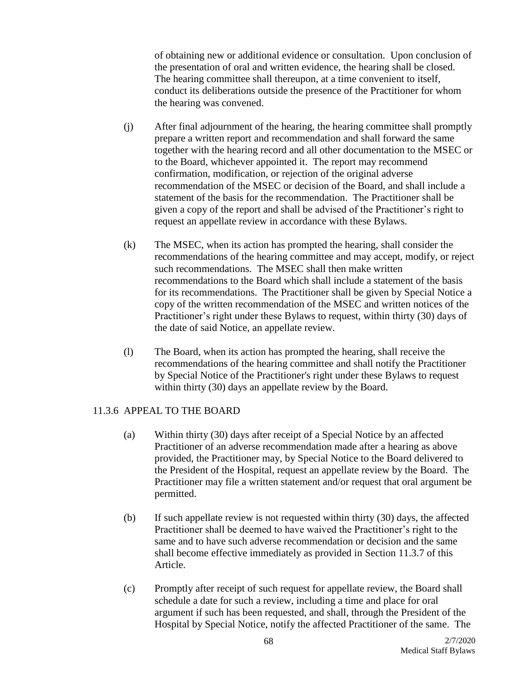of obtaining new or additional evidence or consultation. Upon conclusion of the presentation of oral and written evidence, the hearing shall be closed. The hearing committee shall thereupon, at a time convenient to itself, conduct its deliberations outside the presence of the Practitioner for whom the hearing was convened.

- (j) After final adjournment of the hearing, the hearing committee shall promptly prepare a written report and recommendation and shall forward the same together with the hearing record and all other documentation to the MSEC or to the Board, whichever appointed it. The report may recommend confirmation, modification, or rejection of the original adverse recommendation of the MSEC or decision of the Board, and shall include a statement of the basis for the recommendation. The Practitioner shall be given a copy of the report and shall be advised of the Practitioner's right to request an appellate review in accordance with these Bylaws.
- (k) The MSEC, when its action has prompted the hearing, shall consider the recommendations of the hearing committee and may accept, modify, or reject such recommendations. The MSEC shall then make written recommendations to the Board which shall include a statement of the basis for its recommendations. The Practitioner shall be given by Special Notice a copy of the written recommendation of the MSEC and written notices of the Practitioner's right under these Bylaws to request, within thirty (30) days of the date of said Notice, an appellate review.
- (l) The Board, when its action has prompted the hearing, shall receive the recommendations of the hearing committee and shall notify the Practitioner by Special Notice of the Practitioner's right under these Bylaws to request within thirty (30) days an appellate review by the Board.

# 11.3.6 APPEAL TO THE BOARD

- (a) Within thirty (30) days after receipt of a Special Notice by an affected Practitioner of an adverse recommendation made after a hearing as above provided, the Practitioner may, by Special Notice to the Board delivered to the President of the Hospital, request an appellate review by the Board. The Practitioner may file a written statement and/or request that oral argument be permitted.
- (b) If such appellate review is not requested within thirty (30) days, the affected Practitioner shall be deemed to have waived the Practitioner's right to the same and to have such adverse recommendation or decision and the same shall become effective immediately as provided in Section 11.3.7 of this Article.
- (c) Promptly after receipt of such request for appellate review, the Board shall schedule a date for such a review, including a time and place for oral argument if such has been requested, and shall, through the President of the Hospital by Special Notice, notify the affected Practitioner of the same. The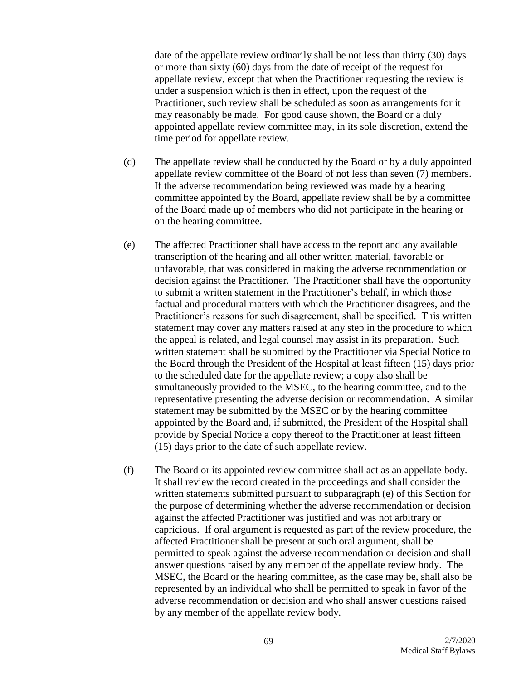date of the appellate review ordinarily shall be not less than thirty (30) days or more than sixty (60) days from the date of receipt of the request for appellate review, except that when the Practitioner requesting the review is under a suspension which is then in effect, upon the request of the Practitioner, such review shall be scheduled as soon as arrangements for it may reasonably be made. For good cause shown, the Board or a duly appointed appellate review committee may, in its sole discretion, extend the time period for appellate review.

- (d) The appellate review shall be conducted by the Board or by a duly appointed appellate review committee of the Board of not less than seven (7) members. If the adverse recommendation being reviewed was made by a hearing committee appointed by the Board, appellate review shall be by a committee of the Board made up of members who did not participate in the hearing or on the hearing committee.
- (e) The affected Practitioner shall have access to the report and any available transcription of the hearing and all other written material, favorable or unfavorable, that was considered in making the adverse recommendation or decision against the Practitioner. The Practitioner shall have the opportunity to submit a written statement in the Practitioner's behalf, in which those factual and procedural matters with which the Practitioner disagrees, and the Practitioner's reasons for such disagreement, shall be specified. This written statement may cover any matters raised at any step in the procedure to which the appeal is related, and legal counsel may assist in its preparation. Such written statement shall be submitted by the Practitioner via Special Notice to the Board through the President of the Hospital at least fifteen (15) days prior to the scheduled date for the appellate review; a copy also shall be simultaneously provided to the MSEC, to the hearing committee, and to the representative presenting the adverse decision or recommendation. A similar statement may be submitted by the MSEC or by the hearing committee appointed by the Board and, if submitted, the President of the Hospital shall provide by Special Notice a copy thereof to the Practitioner at least fifteen (15) days prior to the date of such appellate review.
- (f) The Board or its appointed review committee shall act as an appellate body. It shall review the record created in the proceedings and shall consider the written statements submitted pursuant to subparagraph (e) of this Section for the purpose of determining whether the adverse recommendation or decision against the affected Practitioner was justified and was not arbitrary or capricious. If oral argument is requested as part of the review procedure, the affected Practitioner shall be present at such oral argument, shall be permitted to speak against the adverse recommendation or decision and shall answer questions raised by any member of the appellate review body. The MSEC, the Board or the hearing committee, as the case may be, shall also be represented by an individual who shall be permitted to speak in favor of the adverse recommendation or decision and who shall answer questions raised by any member of the appellate review body.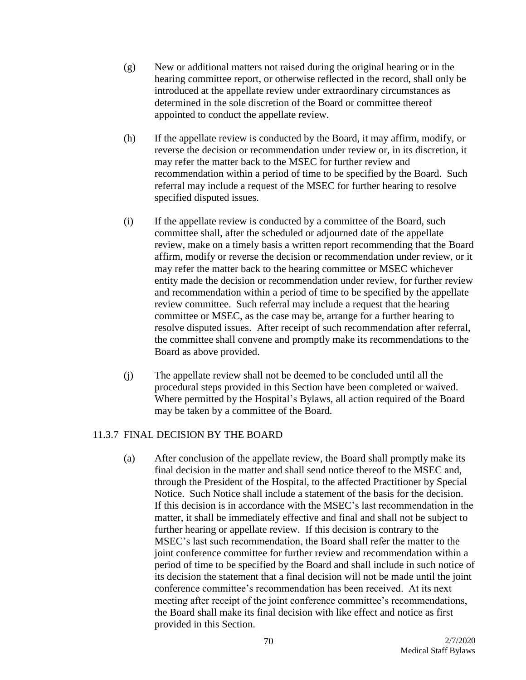- (g) New or additional matters not raised during the original hearing or in the hearing committee report, or otherwise reflected in the record, shall only be introduced at the appellate review under extraordinary circumstances as determined in the sole discretion of the Board or committee thereof appointed to conduct the appellate review.
- (h) If the appellate review is conducted by the Board, it may affirm, modify, or reverse the decision or recommendation under review or, in its discretion, it may refer the matter back to the MSEC for further review and recommendation within a period of time to be specified by the Board. Such referral may include a request of the MSEC for further hearing to resolve specified disputed issues.
- (i) If the appellate review is conducted by a committee of the Board, such committee shall, after the scheduled or adjourned date of the appellate review, make on a timely basis a written report recommending that the Board affirm, modify or reverse the decision or recommendation under review, or it may refer the matter back to the hearing committee or MSEC whichever entity made the decision or recommendation under review, for further review and recommendation within a period of time to be specified by the appellate review committee. Such referral may include a request that the hearing committee or MSEC, as the case may be, arrange for a further hearing to resolve disputed issues. After receipt of such recommendation after referral, the committee shall convene and promptly make its recommendations to the Board as above provided.
- (j) The appellate review shall not be deemed to be concluded until all the procedural steps provided in this Section have been completed or waived. Where permitted by the Hospital's Bylaws, all action required of the Board may be taken by a committee of the Board.

# 11.3.7 FINAL DECISION BY THE BOARD

(a) After conclusion of the appellate review, the Board shall promptly make its final decision in the matter and shall send notice thereof to the MSEC and, through the President of the Hospital, to the affected Practitioner by Special Notice. Such Notice shall include a statement of the basis for the decision. If this decision is in accordance with the MSEC's last recommendation in the matter, it shall be immediately effective and final and shall not be subject to further hearing or appellate review. If this decision is contrary to the MSEC's last such recommendation, the Board shall refer the matter to the joint conference committee for further review and recommendation within a period of time to be specified by the Board and shall include in such notice of its decision the statement that a final decision will not be made until the joint conference committee's recommendation has been received. At its next meeting after receipt of the joint conference committee's recommendations, the Board shall make its final decision with like effect and notice as first provided in this Section.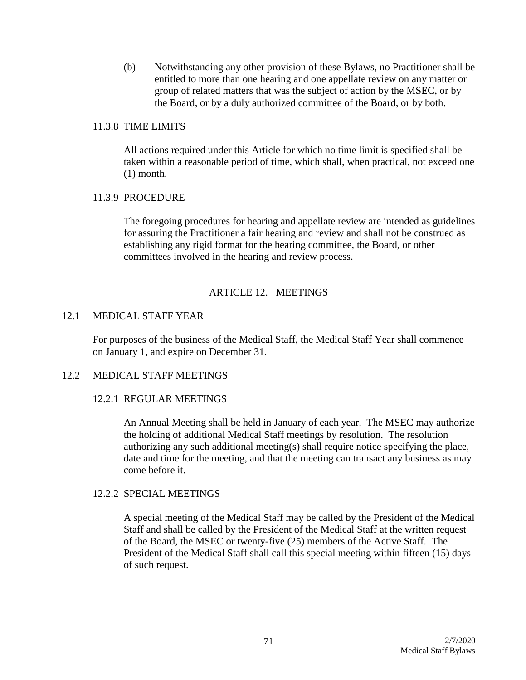(b) Notwithstanding any other provision of these Bylaws, no Practitioner shall be entitled to more than one hearing and one appellate review on any matter or group of related matters that was the subject of action by the MSEC, or by the Board, or by a duly authorized committee of the Board, or by both.

### 11.3.8 TIME LIMITS

All actions required under this Article for which no time limit is specified shall be taken within a reasonable period of time, which shall, when practical, not exceed one (1) month.

## 11.3.9 PROCEDURE

The foregoing procedures for hearing and appellate review are intended as guidelines for assuring the Practitioner a fair hearing and review and shall not be construed as establishing any rigid format for the hearing committee, the Board, or other committees involved in the hearing and review process.

# ARTICLE 12. MEETINGS

# 12.1 MEDICAL STAFF YEAR

For purposes of the business of the Medical Staff, the Medical Staff Year shall commence on January 1, and expire on December 31.

### 12.2 MEDICAL STAFF MEETINGS

### 12.2.1 REGULAR MEETINGS

An Annual Meeting shall be held in January of each year. The MSEC may authorize the holding of additional Medical Staff meetings by resolution. The resolution authorizing any such additional meeting(s) shall require notice specifying the place, date and time for the meeting, and that the meeting can transact any business as may come before it.

### 12.2.2 SPECIAL MEETINGS

A special meeting of the Medical Staff may be called by the President of the Medical Staff and shall be called by the President of the Medical Staff at the written request of the Board, the MSEC or twenty-five (25) members of the Active Staff. The President of the Medical Staff shall call this special meeting within fifteen (15) days of such request.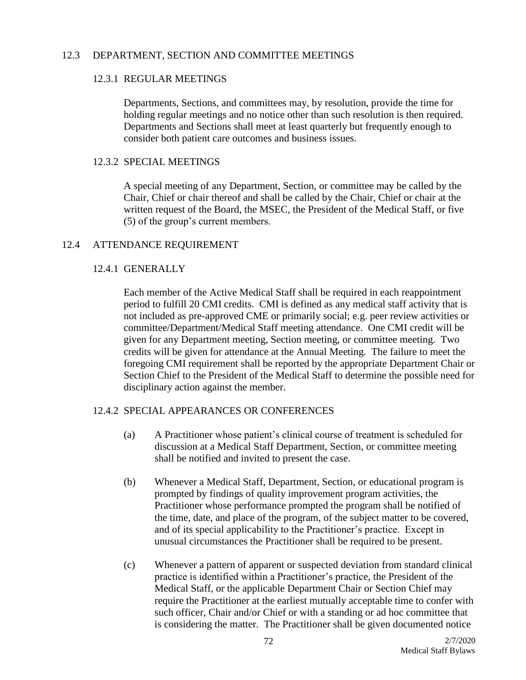### 12.3 DEPARTMENT, SECTION AND COMMITTEE MEETINGS

## 12.3.1 REGULAR MEETINGS

Departments, Sections, and committees may, by resolution, provide the time for holding regular meetings and no notice other than such resolution is then required. Departments and Sections shall meet at least quarterly but frequently enough to consider both patient care outcomes and business issues.

### 12.3.2 SPECIAL MEETINGS

A special meeting of any Department, Section, or committee may be called by the Chair, Chief or chair thereof and shall be called by the Chair, Chief or chair at the written request of the Board, the MSEC, the President of the Medical Staff, or five (5) of the group's current members.

## 12.4 ATTENDANCE REQUIREMENT

# 12.4.1 GENERALLY

Each member of the Active Medical Staff shall be required in each reappointment period to fulfill 20 CMI credits. CMI is defined as any medical staff activity that is not included as pre-approved CME or primarily social; e.g. peer review activities or committee/Department/Medical Staff meeting attendance. One CMI credit will be given for any Department meeting, Section meeting, or committee meeting. Two credits will be given for attendance at the Annual Meeting. The failure to meet the foregoing CMI requirement shall be reported by the appropriate Department Chair or Section Chief to the President of the Medical Staff to determine the possible need for disciplinary action against the member.

# 12.4.2 SPECIAL APPEARANCES OR CONFERENCES

- (a) A Practitioner whose patient's clinical course of treatment is scheduled for discussion at a Medical Staff Department, Section, or committee meeting shall be notified and invited to present the case.
- (b) Whenever a Medical Staff, Department, Section, or educational program is prompted by findings of quality improvement program activities, the Practitioner whose performance prompted the program shall be notified of the time, date, and place of the program, of the subject matter to be covered, and of its special applicability to the Practitioner's practice. Except in unusual circumstances the Practitioner shall be required to be present.
- (c) Whenever a pattern of apparent or suspected deviation from standard clinical practice is identified within a Practitioner's practice, the President of the Medical Staff, or the applicable Department Chair or Section Chief may require the Practitioner at the earliest mutually acceptable time to confer with such officer, Chair and/or Chief or with a standing or ad hoc committee that is considering the matter. The Practitioner shall be given documented notice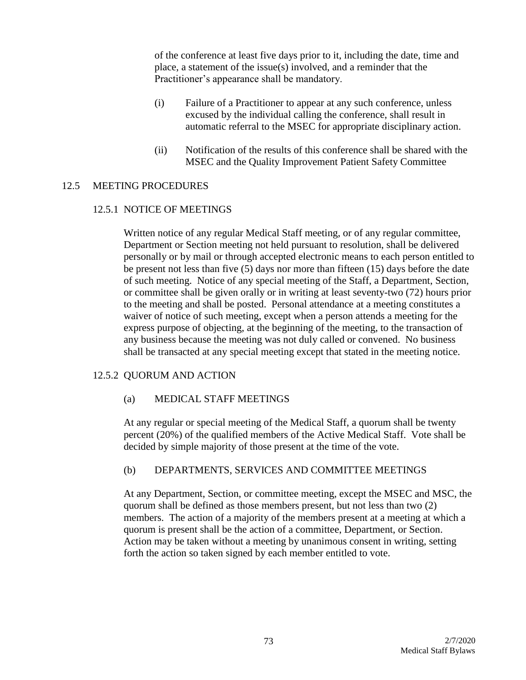of the conference at least five days prior to it, including the date, time and place, a statement of the issue(s) involved, and a reminder that the Practitioner's appearance shall be mandatory.

- (i) Failure of a Practitioner to appear at any such conference, unless excused by the individual calling the conference, shall result in automatic referral to the MSEC for appropriate disciplinary action.
- (ii) Notification of the results of this conference shall be shared with the MSEC and the Quality Improvement Patient Safety Committee

### 12.5 MEETING PROCEDURES

### 12.5.1 NOTICE OF MEETINGS

Written notice of any regular Medical Staff meeting, or of any regular committee, Department or Section meeting not held pursuant to resolution, shall be delivered personally or by mail or through accepted electronic means to each person entitled to be present not less than five (5) days nor more than fifteen (15) days before the date of such meeting. Notice of any special meeting of the Staff, a Department, Section, or committee shall be given orally or in writing at least seventy-two (72) hours prior to the meeting and shall be posted. Personal attendance at a meeting constitutes a waiver of notice of such meeting, except when a person attends a meeting for the express purpose of objecting, at the beginning of the meeting, to the transaction of any business because the meeting was not duly called or convened. No business shall be transacted at any special meeting except that stated in the meeting notice.

# 12.5.2 QUORUM AND ACTION

### (a) MEDICAL STAFF MEETINGS

At any regular or special meeting of the Medical Staff, a quorum shall be twenty percent (20%) of the qualified members of the Active Medical Staff. Vote shall be decided by simple majority of those present at the time of the vote.

### (b) DEPARTMENTS, SERVICES AND COMMITTEE MEETINGS

At any Department, Section, or committee meeting, except the MSEC and MSC, the quorum shall be defined as those members present, but not less than two (2) members. The action of a majority of the members present at a meeting at which a quorum is present shall be the action of a committee, Department, or Section. Action may be taken without a meeting by unanimous consent in writing, setting forth the action so taken signed by each member entitled to vote.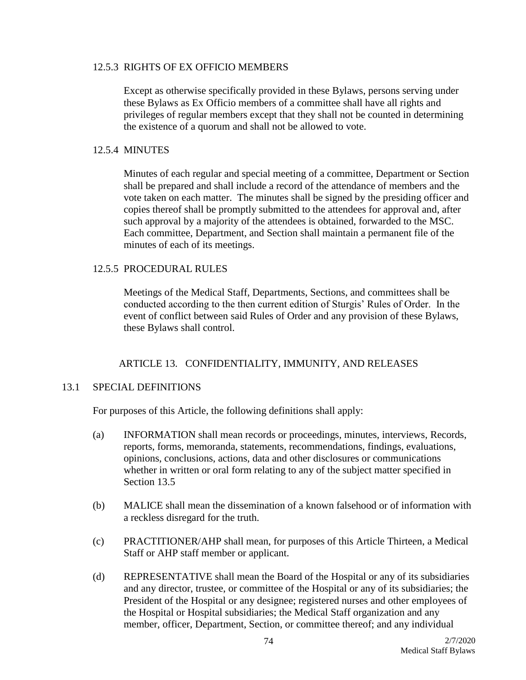#### 12.5.3 RIGHTS OF EX OFFICIO MEMBERS

Except as otherwise specifically provided in these Bylaws, persons serving under these Bylaws as Ex Officio members of a committee shall have all rights and privileges of regular members except that they shall not be counted in determining the existence of a quorum and shall not be allowed to vote.

### 12.5.4 MINUTES

Minutes of each regular and special meeting of a committee, Department or Section shall be prepared and shall include a record of the attendance of members and the vote taken on each matter. The minutes shall be signed by the presiding officer and copies thereof shall be promptly submitted to the attendees for approval and, after such approval by a majority of the attendees is obtained, forwarded to the MSC. Each committee, Department, and Section shall maintain a permanent file of the minutes of each of its meetings.

## 12.5.5 PROCEDURAL RULES

Meetings of the Medical Staff, Departments, Sections, and committees shall be conducted according to the then current edition of Sturgis' Rules of Order. In the event of conflict between said Rules of Order and any provision of these Bylaws, these Bylaws shall control.

# ARTICLE 13. CONFIDENTIALITY, IMMUNITY, AND RELEASES

### 13.1 SPECIAL DEFINITIONS

For purposes of this Article, the following definitions shall apply:

- (a) INFORMATION shall mean records or proceedings, minutes, interviews, Records, reports, forms, memoranda, statements, recommendations, findings, evaluations, opinions, conclusions, actions, data and other disclosures or communications whether in written or oral form relating to any of the subject matter specified in Section 13.5
- (b) MALICE shall mean the dissemination of a known falsehood or of information with a reckless disregard for the truth.
- (c) PRACTITIONER/AHP shall mean, for purposes of this Article Thirteen, a Medical Staff or AHP staff member or applicant.
- (d) REPRESENTATIVE shall mean the Board of the Hospital or any of its subsidiaries and any director, trustee, or committee of the Hospital or any of its subsidiaries; the President of the Hospital or any designee; registered nurses and other employees of the Hospital or Hospital subsidiaries; the Medical Staff organization and any member, officer, Department, Section, or committee thereof; and any individual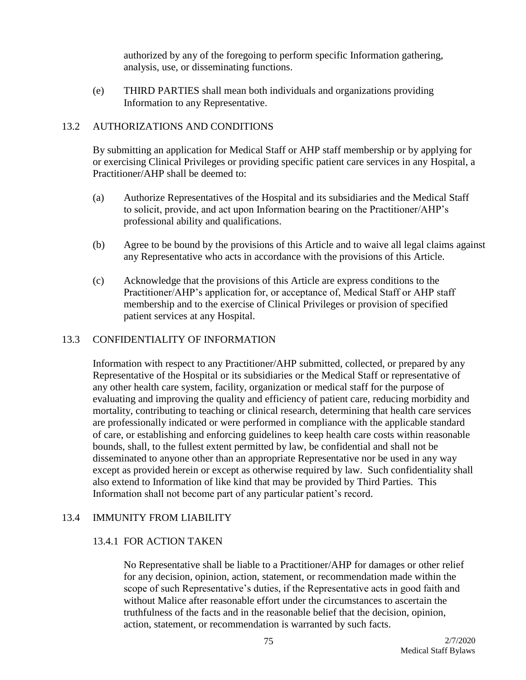authorized by any of the foregoing to perform specific Information gathering, analysis, use, or disseminating functions.

(e) THIRD PARTIES shall mean both individuals and organizations providing Information to any Representative.

## 13.2 AUTHORIZATIONS AND CONDITIONS

By submitting an application for Medical Staff or AHP staff membership or by applying for or exercising Clinical Privileges or providing specific patient care services in any Hospital, a Practitioner/AHP shall be deemed to:

- (a) Authorize Representatives of the Hospital and its subsidiaries and the Medical Staff to solicit, provide, and act upon Information bearing on the Practitioner/AHP's professional ability and qualifications.
- (b) Agree to be bound by the provisions of this Article and to waive all legal claims against any Representative who acts in accordance with the provisions of this Article.
- (c) Acknowledge that the provisions of this Article are express conditions to the Practitioner/AHP's application for, or acceptance of, Medical Staff or AHP staff membership and to the exercise of Clinical Privileges or provision of specified patient services at any Hospital.

## 13.3 CONFIDENTIALITY OF INFORMATION

Information with respect to any Practitioner/AHP submitted, collected, or prepared by any Representative of the Hospital or its subsidiaries or the Medical Staff or representative of any other health care system, facility, organization or medical staff for the purpose of evaluating and improving the quality and efficiency of patient care, reducing morbidity and mortality, contributing to teaching or clinical research, determining that health care services are professionally indicated or were performed in compliance with the applicable standard of care, or establishing and enforcing guidelines to keep health care costs within reasonable bounds, shall, to the fullest extent permitted by law, be confidential and shall not be disseminated to anyone other than an appropriate Representative nor be used in any way except as provided herein or except as otherwise required by law. Such confidentiality shall also extend to Information of like kind that may be provided by Third Parties. This Information shall not become part of any particular patient's record.

### 13.4 IMMUNITY FROM LIABILITY

### 13.4.1 FOR ACTION TAKEN

No Representative shall be liable to a Practitioner/AHP for damages or other relief for any decision, opinion, action, statement, or recommendation made within the scope of such Representative's duties, if the Representative acts in good faith and without Malice after reasonable effort under the circumstances to ascertain the truthfulness of the facts and in the reasonable belief that the decision, opinion, action, statement, or recommendation is warranted by such facts.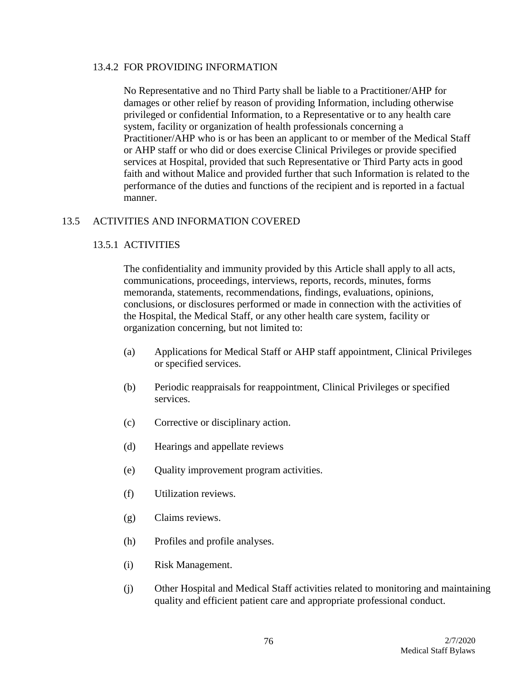### 13.4.2 FOR PROVIDING INFORMATION

No Representative and no Third Party shall be liable to a Practitioner/AHP for damages or other relief by reason of providing Information, including otherwise privileged or confidential Information, to a Representative or to any health care system, facility or organization of health professionals concerning a Practitioner/AHP who is or has been an applicant to or member of the Medical Staff or AHP staff or who did or does exercise Clinical Privileges or provide specified services at Hospital, provided that such Representative or Third Party acts in good faith and without Malice and provided further that such Information is related to the performance of the duties and functions of the recipient and is reported in a factual manner.

## 13.5 ACTIVITIES AND INFORMATION COVERED

### 13.5.1 ACTIVITIES

The confidentiality and immunity provided by this Article shall apply to all acts, communications, proceedings, interviews, reports, records, minutes, forms memoranda, statements, recommendations, findings, evaluations, opinions, conclusions, or disclosures performed or made in connection with the activities of the Hospital, the Medical Staff, or any other health care system, facility or organization concerning, but not limited to:

- (a) Applications for Medical Staff or AHP staff appointment, Clinical Privileges or specified services.
- (b) Periodic reappraisals for reappointment, Clinical Privileges or specified services.
- (c) Corrective or disciplinary action.
- (d) Hearings and appellate reviews
- (e) Quality improvement program activities.
- (f) Utilization reviews.
- (g) Claims reviews.
- (h) Profiles and profile analyses.
- (i) Risk Management.
- (j) Other Hospital and Medical Staff activities related to monitoring and maintaining quality and efficient patient care and appropriate professional conduct.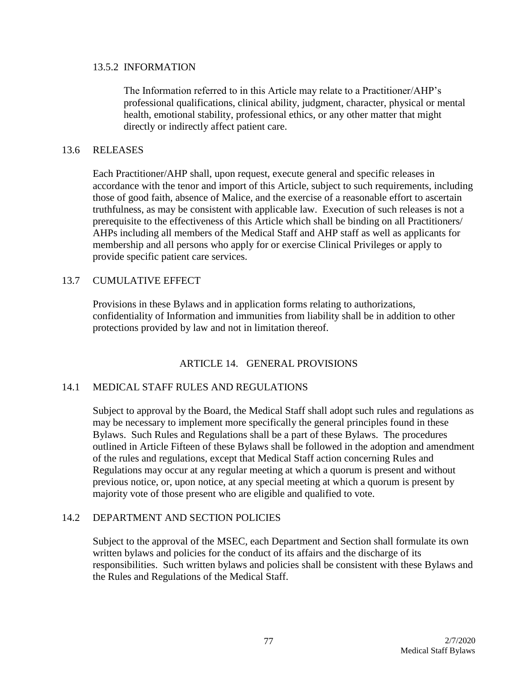#### 13.5.2 INFORMATION

The Information referred to in this Article may relate to a Practitioner/AHP's professional qualifications, clinical ability, judgment, character, physical or mental health, emotional stability, professional ethics, or any other matter that might directly or indirectly affect patient care.

### 13.6 RELEASES

Each Practitioner/AHP shall, upon request, execute general and specific releases in accordance with the tenor and import of this Article, subject to such requirements, including those of good faith, absence of Malice, and the exercise of a reasonable effort to ascertain truthfulness, as may be consistent with applicable law. Execution of such releases is not a prerequisite to the effectiveness of this Article which shall be binding on all Practitioners/ AHPs including all members of the Medical Staff and AHP staff as well as applicants for membership and all persons who apply for or exercise Clinical Privileges or apply to provide specific patient care services.

### 13.7 CUMULATIVE EFFECT

Provisions in these Bylaws and in application forms relating to authorizations, confidentiality of Information and immunities from liability shall be in addition to other protections provided by law and not in limitation thereof.

### ARTICLE 14. GENERAL PROVISIONS

### 14.1 MEDICAL STAFF RULES AND REGULATIONS

Subject to approval by the Board, the Medical Staff shall adopt such rules and regulations as may be necessary to implement more specifically the general principles found in these Bylaws. Such Rules and Regulations shall be a part of these Bylaws. The procedures outlined in Article Fifteen of these Bylaws shall be followed in the adoption and amendment of the rules and regulations, except that Medical Staff action concerning Rules and Regulations may occur at any regular meeting at which a quorum is present and without previous notice, or, upon notice, at any special meeting at which a quorum is present by majority vote of those present who are eligible and qualified to vote.

### 14.2 DEPARTMENT AND SECTION POLICIES

Subject to the approval of the MSEC, each Department and Section shall formulate its own written bylaws and policies for the conduct of its affairs and the discharge of its responsibilities. Such written bylaws and policies shall be consistent with these Bylaws and the Rules and Regulations of the Medical Staff.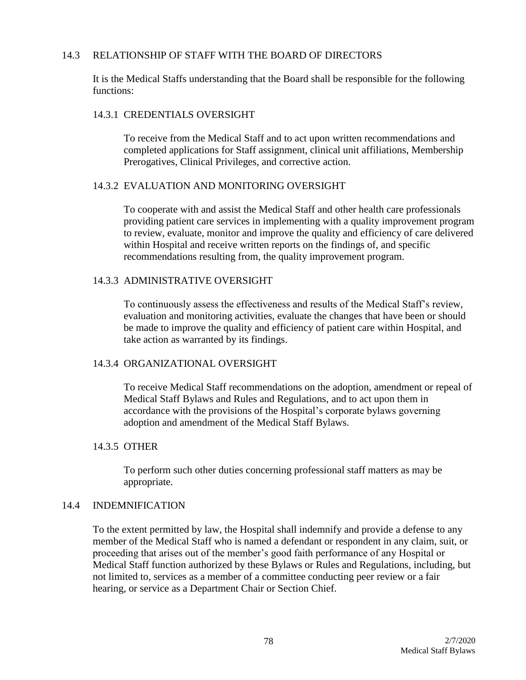### 14.3 RELATIONSHIP OF STAFF WITH THE BOARD OF DIRECTORS

It is the Medical Staffs understanding that the Board shall be responsible for the following functions:

#### 14.3.1 CREDENTIALS OVERSIGHT

To receive from the Medical Staff and to act upon written recommendations and completed applications for Staff assignment, clinical unit affiliations, Membership Prerogatives, Clinical Privileges, and corrective action.

#### 14.3.2 EVALUATION AND MONITORING OVERSIGHT

To cooperate with and assist the Medical Staff and other health care professionals providing patient care services in implementing with a quality improvement program to review, evaluate, monitor and improve the quality and efficiency of care delivered within Hospital and receive written reports on the findings of, and specific recommendations resulting from, the quality improvement program.

## 14.3.3 ADMINISTRATIVE OVERSIGHT

To continuously assess the effectiveness and results of the Medical Staff's review, evaluation and monitoring activities, evaluate the changes that have been or should be made to improve the quality and efficiency of patient care within Hospital, and take action as warranted by its findings.

### 14.3.4 ORGANIZATIONAL OVERSIGHT

To receive Medical Staff recommendations on the adoption, amendment or repeal of Medical Staff Bylaws and Rules and Regulations, and to act upon them in accordance with the provisions of the Hospital's corporate bylaws governing adoption and amendment of the Medical Staff Bylaws.

### 14.3.5 OTHER

To perform such other duties concerning professional staff matters as may be appropriate.

#### 14.4 INDEMNIFICATION

To the extent permitted by law, the Hospital shall indemnify and provide a defense to any member of the Medical Staff who is named a defendant or respondent in any claim, suit, or proceeding that arises out of the member's good faith performance of any Hospital or Medical Staff function authorized by these Bylaws or Rules and Regulations, including, but not limited to, services as a member of a committee conducting peer review or a fair hearing, or service as a Department Chair or Section Chief.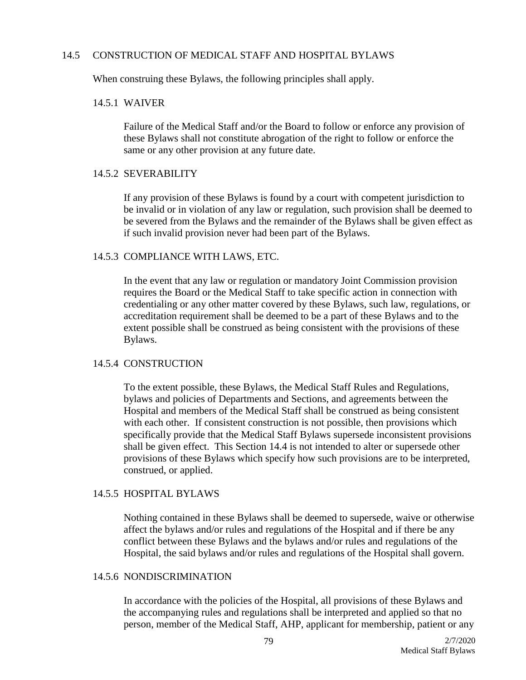#### 14.5 CONSTRUCTION OF MEDICAL STAFF AND HOSPITAL BYLAWS

When construing these Bylaws, the following principles shall apply.

#### 14.5.1 WAIVER

Failure of the Medical Staff and/or the Board to follow or enforce any provision of these Bylaws shall not constitute abrogation of the right to follow or enforce the same or any other provision at any future date.

#### 14.5.2 SEVERABILITY

If any provision of these Bylaws is found by a court with competent jurisdiction to be invalid or in violation of any law or regulation, such provision shall be deemed to be severed from the Bylaws and the remainder of the Bylaws shall be given effect as if such invalid provision never had been part of the Bylaws.

## 14.5.3 COMPLIANCE WITH LAWS, ETC.

In the event that any law or regulation or mandatory Joint Commission provision requires the Board or the Medical Staff to take specific action in connection with credentialing or any other matter covered by these Bylaws, such law, regulations, or accreditation requirement shall be deemed to be a part of these Bylaws and to the extent possible shall be construed as being consistent with the provisions of these Bylaws.

### 14.5.4 CONSTRUCTION

To the extent possible, these Bylaws, the Medical Staff Rules and Regulations, bylaws and policies of Departments and Sections, and agreements between the Hospital and members of the Medical Staff shall be construed as being consistent with each other. If consistent construction is not possible, then provisions which specifically provide that the Medical Staff Bylaws supersede inconsistent provisions shall be given effect. This Section 14.4 is not intended to alter or supersede other provisions of these Bylaws which specify how such provisions are to be interpreted, construed, or applied.

### 14.5.5 HOSPITAL BYLAWS

Nothing contained in these Bylaws shall be deemed to supersede, waive or otherwise affect the bylaws and/or rules and regulations of the Hospital and if there be any conflict between these Bylaws and the bylaws and/or rules and regulations of the Hospital, the said bylaws and/or rules and regulations of the Hospital shall govern.

### 14.5.6 NONDISCRIMINATION

In accordance with the policies of the Hospital, all provisions of these Bylaws and the accompanying rules and regulations shall be interpreted and applied so that no person, member of the Medical Staff, AHP, applicant for membership, patient or any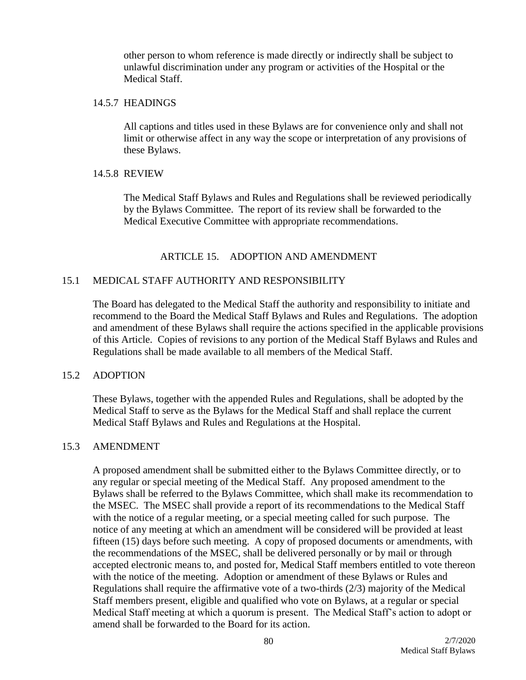other person to whom reference is made directly or indirectly shall be subject to unlawful discrimination under any program or activities of the Hospital or the Medical Staff.

#### 14.5.7 HEADINGS

All captions and titles used in these Bylaws are for convenience only and shall not limit or otherwise affect in any way the scope or interpretation of any provisions of these Bylaws.

### 14.5.8 REVIEW

The Medical Staff Bylaws and Rules and Regulations shall be reviewed periodically by the Bylaws Committee. The report of its review shall be forwarded to the Medical Executive Committee with appropriate recommendations.

# ARTICLE 15. ADOPTION AND AMENDMENT

# 15.1 MEDICAL STAFF AUTHORITY AND RESPONSIBILITY

The Board has delegated to the Medical Staff the authority and responsibility to initiate and recommend to the Board the Medical Staff Bylaws and Rules and Regulations. The adoption and amendment of these Bylaws shall require the actions specified in the applicable provisions of this Article. Copies of revisions to any portion of the Medical Staff Bylaws and Rules and Regulations shall be made available to all members of the Medical Staff.

### 15.2 ADOPTION

These Bylaws, together with the appended Rules and Regulations, shall be adopted by the Medical Staff to serve as the Bylaws for the Medical Staff and shall replace the current Medical Staff Bylaws and Rules and Regulations at the Hospital.

### 15.3 AMENDMENT

A proposed amendment shall be submitted either to the Bylaws Committee directly, or to any regular or special meeting of the Medical Staff. Any proposed amendment to the Bylaws shall be referred to the Bylaws Committee, which shall make its recommendation to the MSEC. The MSEC shall provide a report of its recommendations to the Medical Staff with the notice of a regular meeting, or a special meeting called for such purpose. The notice of any meeting at which an amendment will be considered will be provided at least fifteen (15) days before such meeting. A copy of proposed documents or amendments, with the recommendations of the MSEC, shall be delivered personally or by mail or through accepted electronic means to, and posted for, Medical Staff members entitled to vote thereon with the notice of the meeting. Adoption or amendment of these Bylaws or Rules and Regulations shall require the affirmative vote of a two-thirds (2/3) majority of the Medical Staff members present, eligible and qualified who vote on Bylaws, at a regular or special Medical Staff meeting at which a quorum is present. The Medical Staff's action to adopt or amend shall be forwarded to the Board for its action.